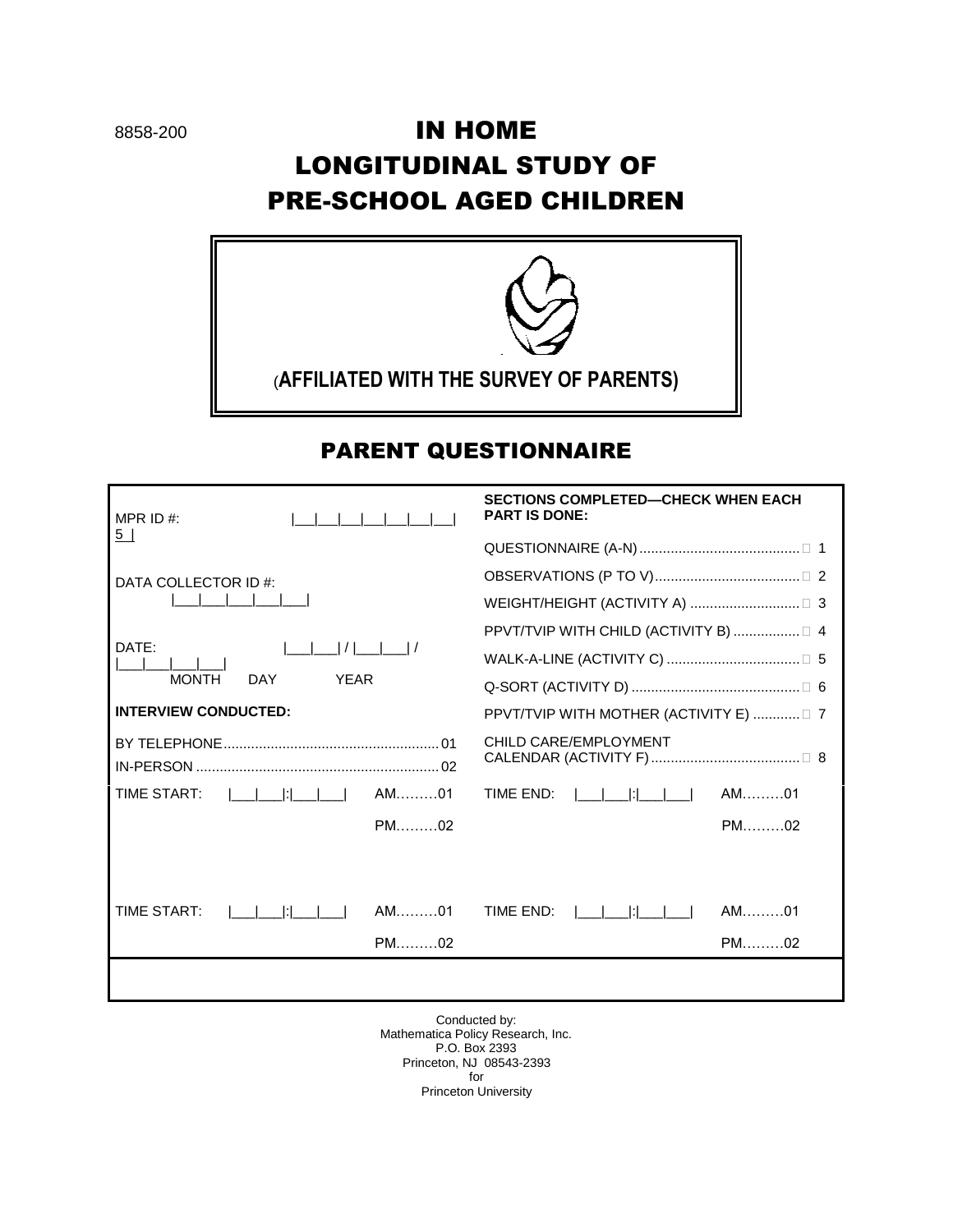# IN HOME LONGITUDINAL STUDY OF PRE-SCHOOL AGED CHILDREN



# PARENT QUESTIONNAIRE

| MPR ID $#$ :                              | <b>SECTIONS COMPLETED-CHECK WHEN EACH</b><br><b>PART IS DONE:</b> |  |
|-------------------------------------------|-------------------------------------------------------------------|--|
| 5 <sub>1</sub>                            |                                                                   |  |
| DATA COLLECTOR ID #:                      |                                                                   |  |
|                                           |                                                                   |  |
| DATE:                                     | PPVT/TVIP WITH CHILD (ACTIVITY B)  □ 4                            |  |
|                                           |                                                                   |  |
| <b>MONTH</b><br><b>DAY</b><br><b>YFAR</b> |                                                                   |  |
| <b>INTERVIEW CONDUCTED:</b>               | PPVT/TVIP WITH MOTHER (ACTIVITY E) □ 7                            |  |
|                                           | CHILD CARE/EMPLOYMENT                                             |  |
| AM01<br>TIME START:<br>and a bhail        | $AM$ 01<br>TIME END:                                              |  |
|                                           |                                                                   |  |
| $AM$ 01<br><b>TIME START:</b>             | $AM$ 01<br>TIME FND:                                              |  |
| $PM$ 02                                   | $PM$ 02                                                           |  |
|                                           |                                                                   |  |

Conducted by: Mathematica Policy Research, Inc. P.O. Box 2393 Princeton, NJ 08543-2393 for Princeton University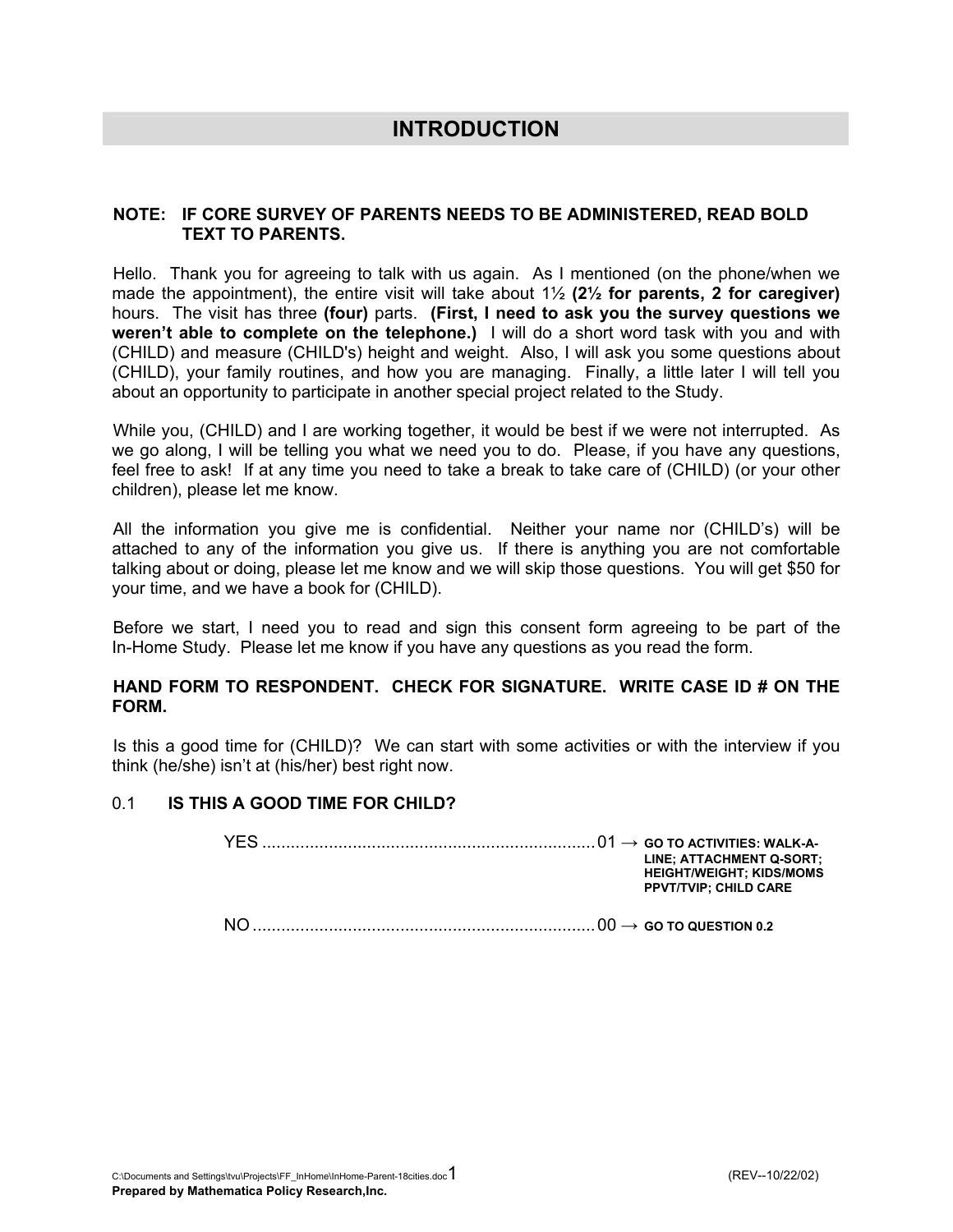### **INTRODUCTION**

### **NOTE: IF CORE SURVEY OF PARENTS NEEDS TO BE ADMINISTERED, READ BOLD TEXT TO PARENTS.**

Hello. Thank you for agreeing to talk with us again. As I mentioned (on the phone/when we made the appointment), the entire visit will take about 1½ **(2½ for parents, 2 for caregiver)** hours. The visit has three **(four)** parts. **(First, I need to ask you the survey questions we weren't able to complete on the telephone.)** I will do a short word task with you and with (CHILD) and measure (CHILD's) height and weight. Also, I will ask you some questions about (CHILD), your family routines, and how you are managing. Finally, a little later I will tell you about an opportunity to participate in another special project related to the Study.

While you, (CHILD) and I are working together, it would be best if we were not interrupted. As we go along, I will be telling you what we need you to do. Please, if you have any questions, feel free to ask! If at any time you need to take a break to take care of (CHILD) (or your other children), please let me know.

All the information you give me is confidential. Neither your name nor (CHILD's) will be attached to any of the information you give us. If there is anything you are not comfortable talking about or doing, please let me know and we will skip those questions. You will get \$50 for your time, and we have a book for (CHILD).

Before we start, I need you to read and sign this consent form agreeing to be part of the In-Home Study. Please let me know if you have any questions as you read the form.

#### **HAND FORM TO RESPONDENT. CHECK FOR SIGNATURE. WRITE CASE ID # ON THE FORM.**

Is this a good time for (CHILD)? We can start with some activities or with the interview if you think (he/she) isn't at (his/her) best right now.

#### 0.1 **IS THIS A GOOD TIME FOR CHILD?**

|  | LINE; ATTACHMENT Q-SORT;<br><b>HEIGHT/WEIGHT: KIDS/MOMS</b><br><b>PPVT/TVIP: CHILD CARE</b> |
|--|---------------------------------------------------------------------------------------------|
|  |                                                                                             |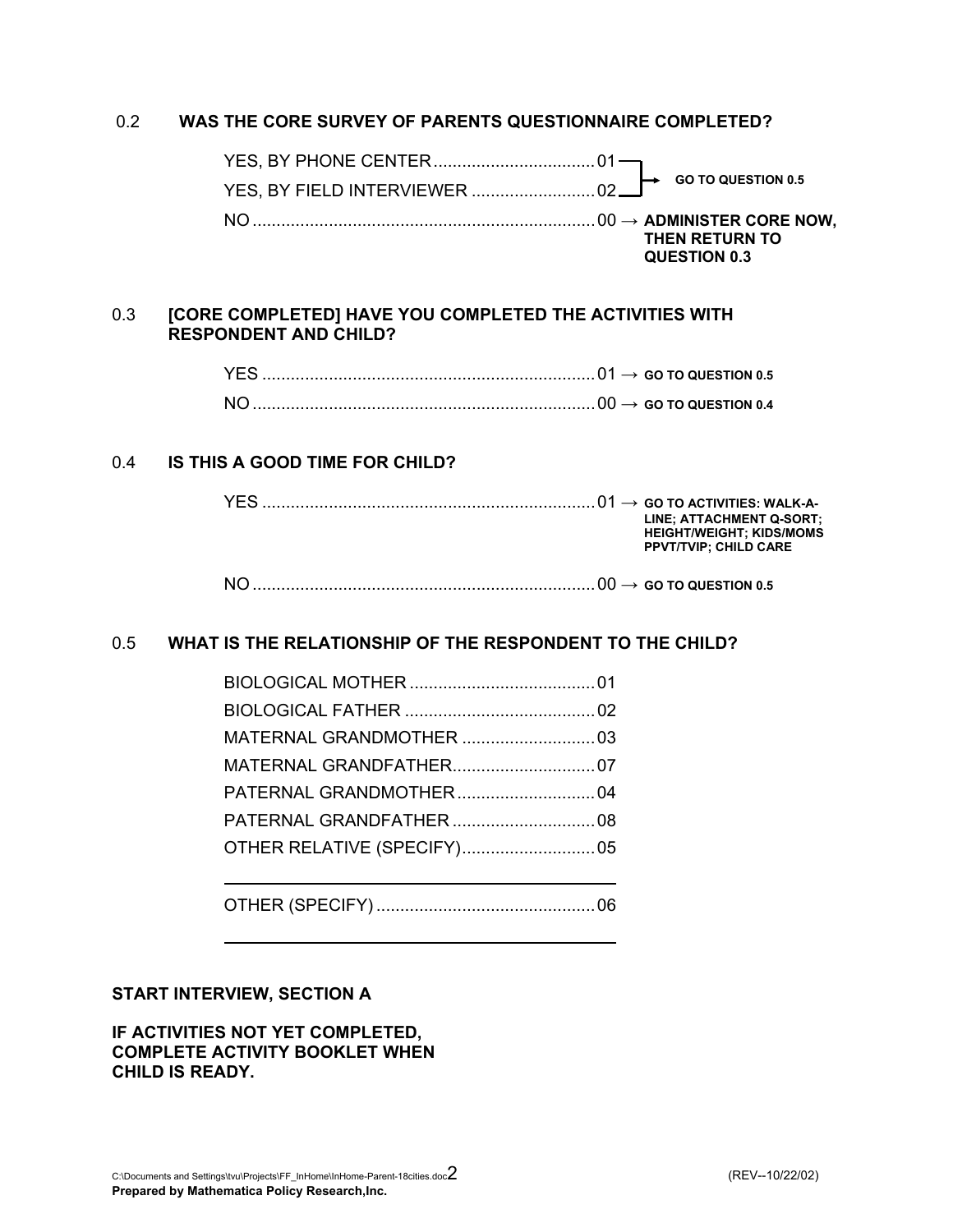### 0.2 **WAS THE CORE SURVEY OF PARENTS QUESTIONNAIRE COMPLETED?**

|  |  | $\mapsto$ GO TO QUESTION 0.5   |
|--|--|--------------------------------|
|  |  |                                |
|  |  | THEN RETURN TO<br>QUESTION 0.3 |

### 0.3 **[CORE COMPLETED] HAVE YOU COMPLETED THE ACTIVITIES WITH RESPONDENT AND CHILD?**

| $\text{``}\dots\text{``}\dots\text{``}\dots\text{``}\dots\text{``}\dots\text{``}\dots\text{``}\dots\text{``}\dots\text{``}\dots\text{``}\dots\text{``}\dots\text{``}\dots\text{``}\dots\text{``}\dots\text{``}\dots\text{``}\dots\text{``}\dots\text{``}\dots\text{``}\dots\text{``}\dots\text{``}\dots\text{``}\dots\text{``}\dots\text{``}\dots\text{``}\dots\text{``}\dots\text{``}\dots\text{``}\dots\text{``}\dots\text{``}\dots\text{``}\dots\text{``}\dots\text{``}\dots\text{``}\dots\text{``}\dots\text{``}\dots\text{``$ |
|------------------------------------------------------------------------------------------------------------------------------------------------------------------------------------------------------------------------------------------------------------------------------------------------------------------------------------------------------------------------------------------------------------------------------------------------------------------------------------------------------------------------------------|
|                                                                                                                                                                                                                                                                                                                                                                                                                                                                                                                                    |

### 0.4 **IS THIS A GOOD TIME FOR CHILD?**

|                                              | LINE; ATTACHMENT Q-SORT;<br><b>HEIGHT/WEIGHT: KIDS/MOMS</b><br><b>PPVT/TVIP: CHILD CARE</b> |
|----------------------------------------------|---------------------------------------------------------------------------------------------|
| $\ldots$ 00 $\rightarrow$ GO TO QUESTION 0.5 |                                                                                             |

### 0.5 **WHAT IS THE RELATIONSHIP OF THE RESPONDENT TO THE CHILD?**

#### **START INTERVIEW, SECTION A**

#### **IF ACTIVITIES NOT YET COMPLETED, COMPLETE ACTIVITY BOOKLET WHEN CHILD IS READY.**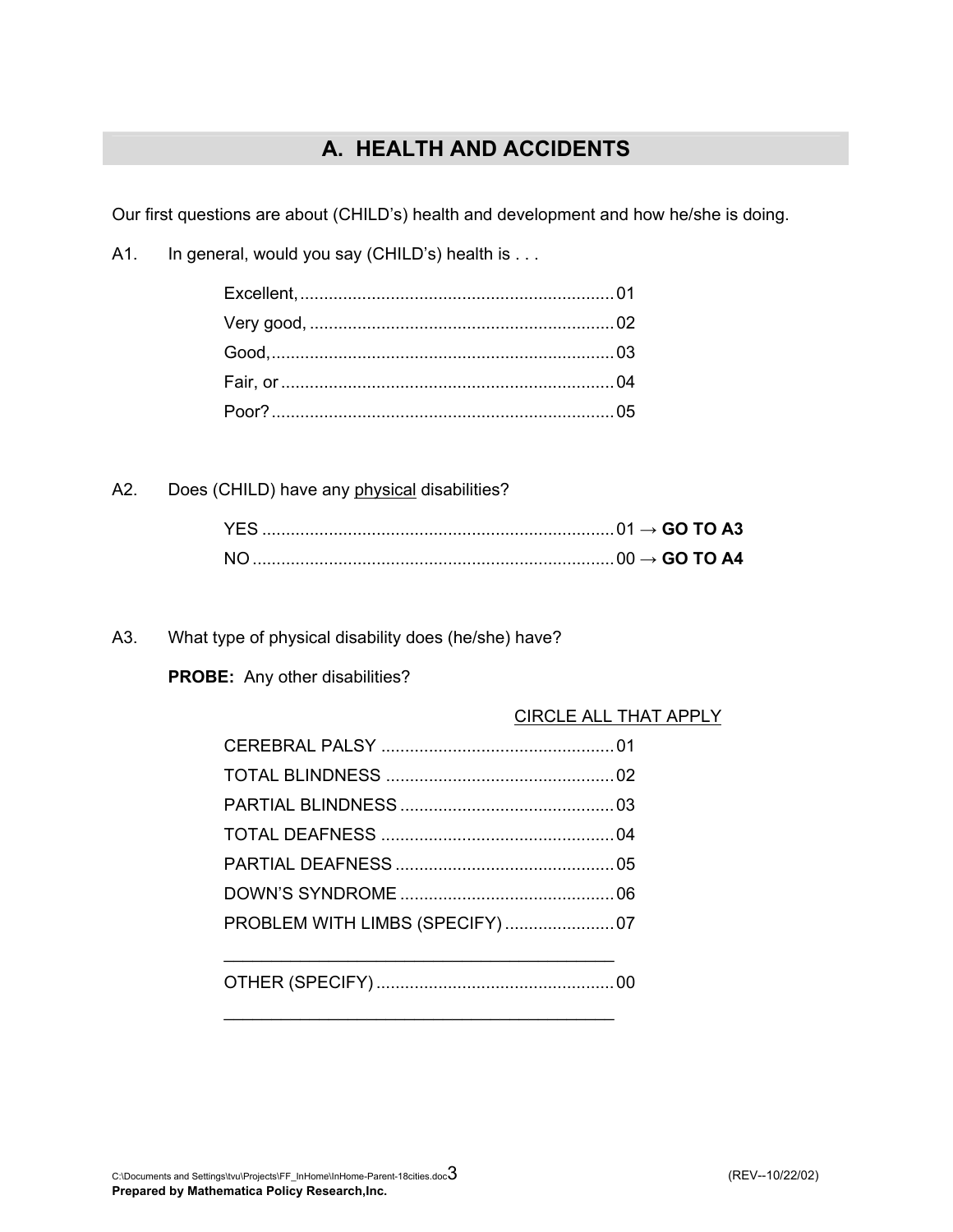# **A. HEALTH AND ACCIDENTS**

Our first questions are about (CHILD's) health and development and how he/she is doing.

A1. In general, would you say (CHILD's) health is . . .

A2. Does (CHILD) have any physical disabilities?

A3. What type of physical disability does (he/she) have?

**PROBE:** Any other disabilities?

### CIRCLE ALL THAT APPLY

OTHER (SPECIFY) ..................................................00

 $\mathcal{L}_\mathcal{L}$  , which is a set of the set of the set of the set of the set of the set of the set of the set of the set of the set of the set of the set of the set of the set of the set of the set of the set of the set of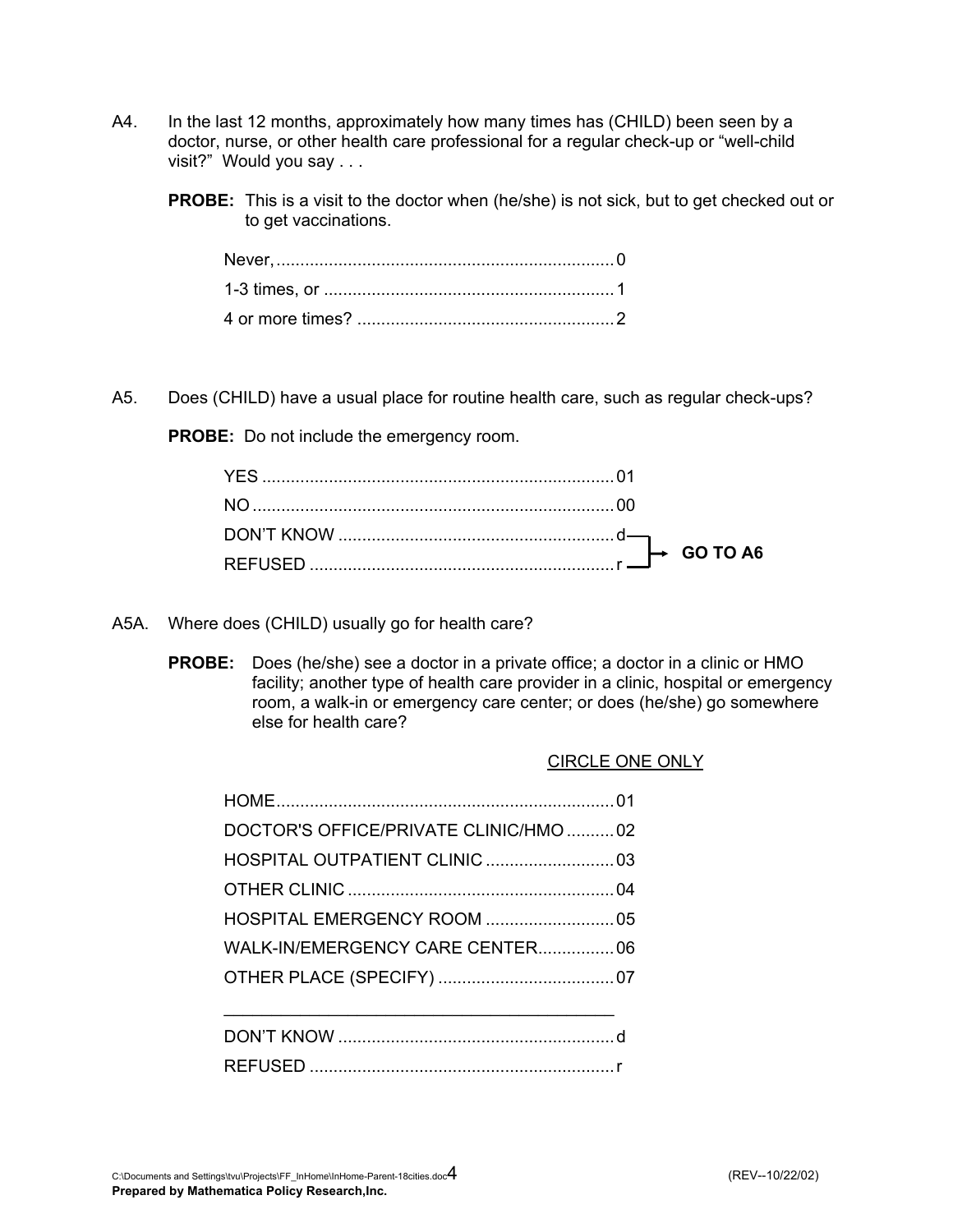- A4. In the last 12 months, approximately how many times has (CHILD) been seen by a doctor, nurse, or other health care professional for a regular check-up or "well-child visit?" Would you say . . .
	- **PROBE:** This is a visit to the doctor when (he/she) is not sick, but to get checked out or to get vaccinations.

A5. Does (CHILD) have a usual place for routine health care, such as regular check-ups?

**PROBE:** Do not include the emergency room.

- A5A. Where does (CHILD) usually go for health care?
	- **PROBE:** Does (he/she) see a doctor in a private office; a doctor in a clinic or HMO facility; another type of health care provider in a clinic, hospital or emergency room, a walk-in or emergency care center; or does (he/she) go somewhere else for health care?

| DOCTOR'S OFFICE/PRIVATE CLINIC/HMO 02 |  |
|---------------------------------------|--|
|                                       |  |
|                                       |  |
|                                       |  |
| WALK-IN/EMERGENCY CARE CENTER 06      |  |
|                                       |  |
|                                       |  |
|                                       |  |

REFUSED ................................................................r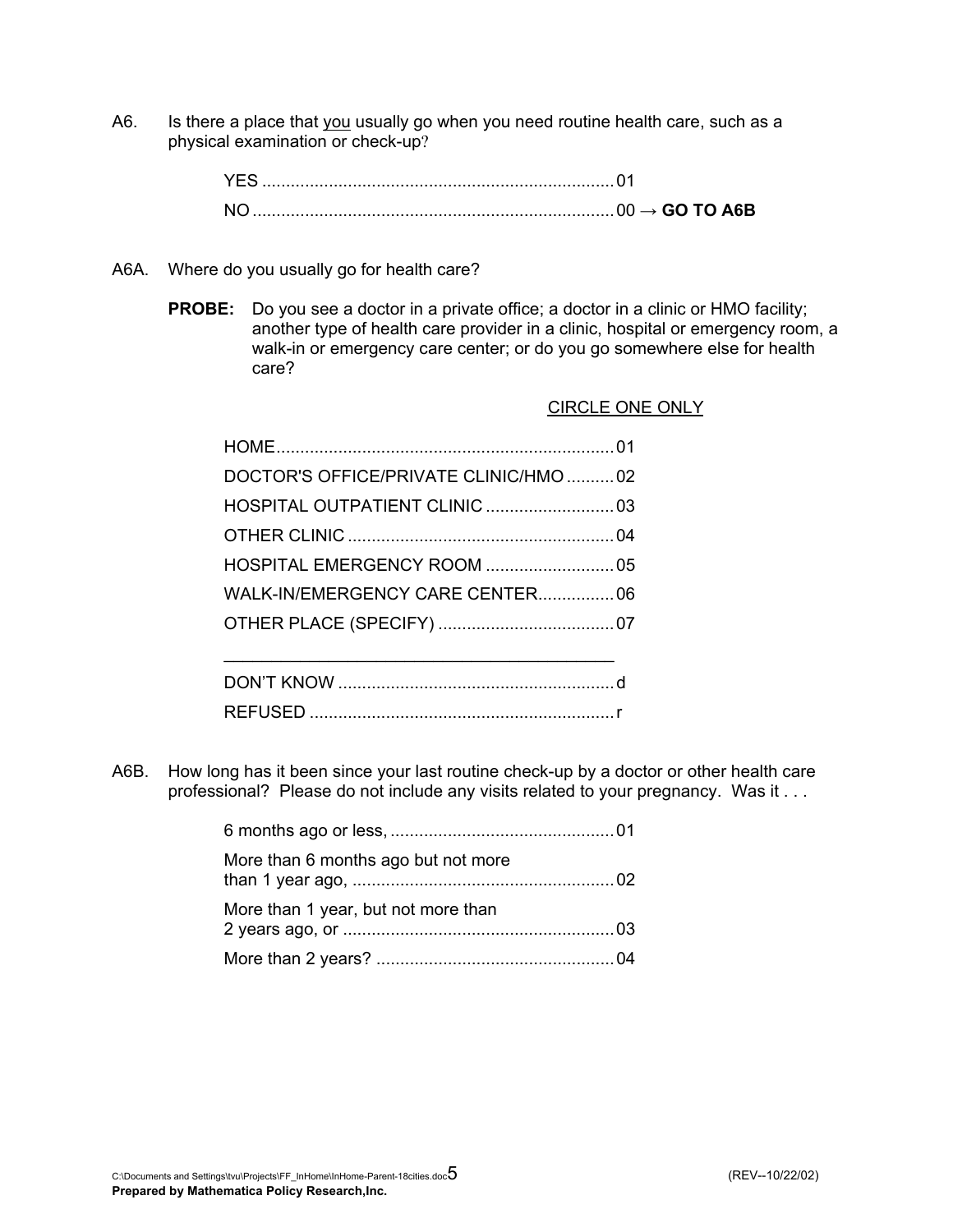A6. Is there a place that you usually go when you need routine health care, such as a physical examination or check-up?

|  | $\rightarrow$ GO TO A6B |
|--|-------------------------|

- A6A. Where do you usually go for health care?
	- **PROBE:** Do you see a doctor in a private office; a doctor in a clinic or HMO facility; another type of health care provider in a clinic, hospital or emergency room, a walk-in or emergency care center; or do you go somewhere else for health care?

CIRCLE ONE ONLY

| DOCTOR'S OFFICE/PRIVATE CLINIC/HMO 02 |  |
|---------------------------------------|--|
|                                       |  |
|                                       |  |
|                                       |  |
| WALK-IN/EMERGENCY CARE CENTER 06      |  |
|                                       |  |
|                                       |  |
|                                       |  |
|                                       |  |
|                                       |  |

A6B. How long has it been since your last routine check-up by a doctor or other health care professional? Please do not include any visits related to your pregnancy. Was it . . .

| More than 6 months ago but not more |  |
|-------------------------------------|--|
| More than 1 year, but not more than |  |
|                                     |  |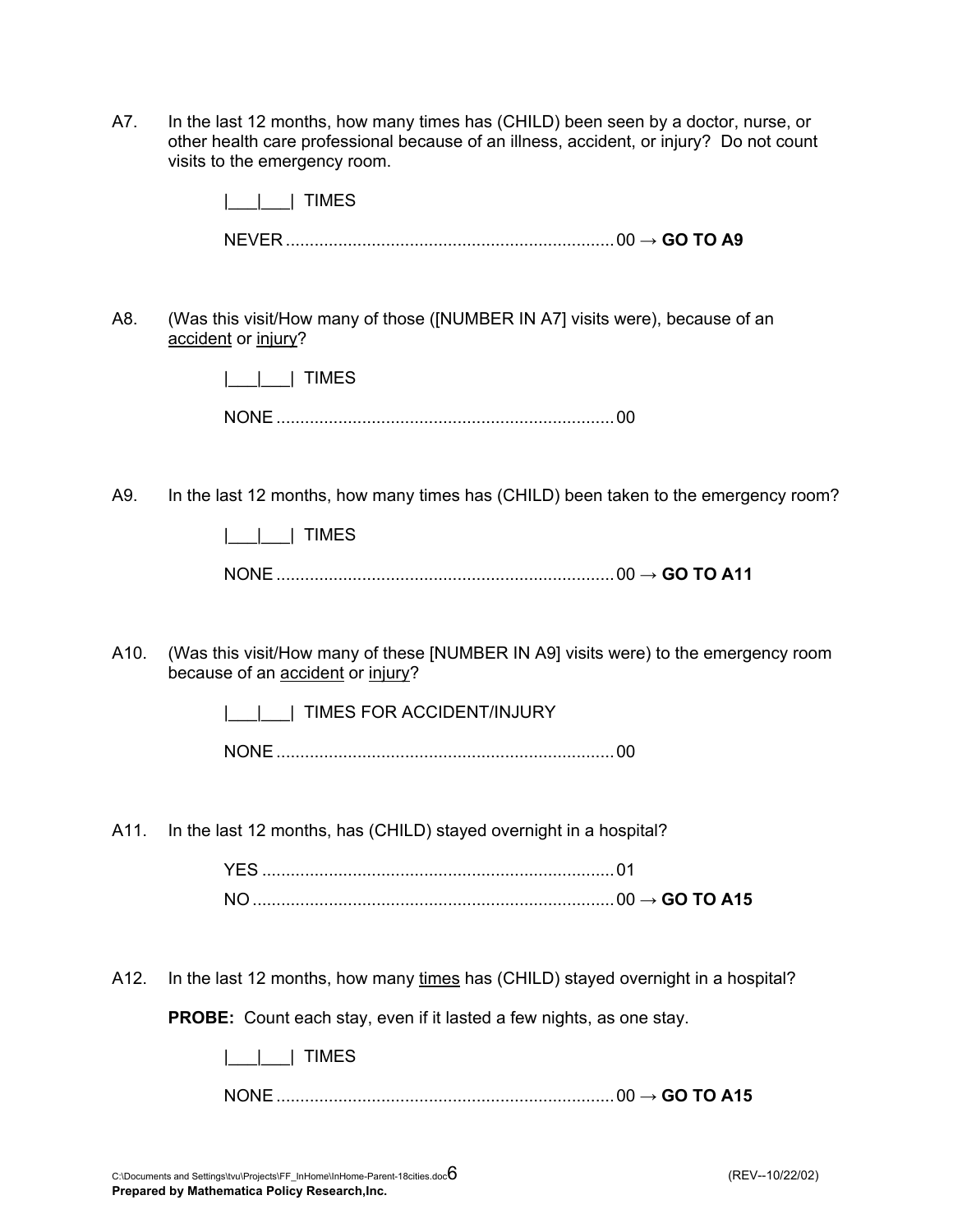A7. In the last 12 months, how many times has (CHILD) been seen by a doctor, nurse, or other health care professional because of an illness, accident, or injury? Do not count visits to the emergency room.

|      | <b>TIMES</b>                                                                                                             |
|------|--------------------------------------------------------------------------------------------------------------------------|
|      |                                                                                                                          |
|      |                                                                                                                          |
| A8.  | (Was this visit/How many of those ([NUMBER IN A7] visits were), because of an<br>accident or injury?                     |
|      | TIMES                                                                                                                    |
|      |                                                                                                                          |
|      |                                                                                                                          |
| A9.  | In the last 12 months, how many times has (CHILD) been taken to the emergency room?                                      |
|      | <b>TIMES</b>                                                                                                             |
|      |                                                                                                                          |
| A10. | (Was this visit/How many of these [NUMBER IN A9] visits were) to the emergency room<br>because of an accident or injury? |
|      | TIMES FOR ACCIDENT/INJURY                                                                                                |
|      |                                                                                                                          |
|      |                                                                                                                          |
| A11. | In the last 12 months, has (CHILD) stayed overnight in a hospital?                                                       |
|      |                                                                                                                          |
|      |                                                                                                                          |
| A12. | In the last 12 months, how many times has (CHILD) stayed overnight in a hospital?                                        |

**PROBE:** Count each stay, even if it lasted a few nights, as one stay.

| I IIMES |  |
|---------|--|
|         |  |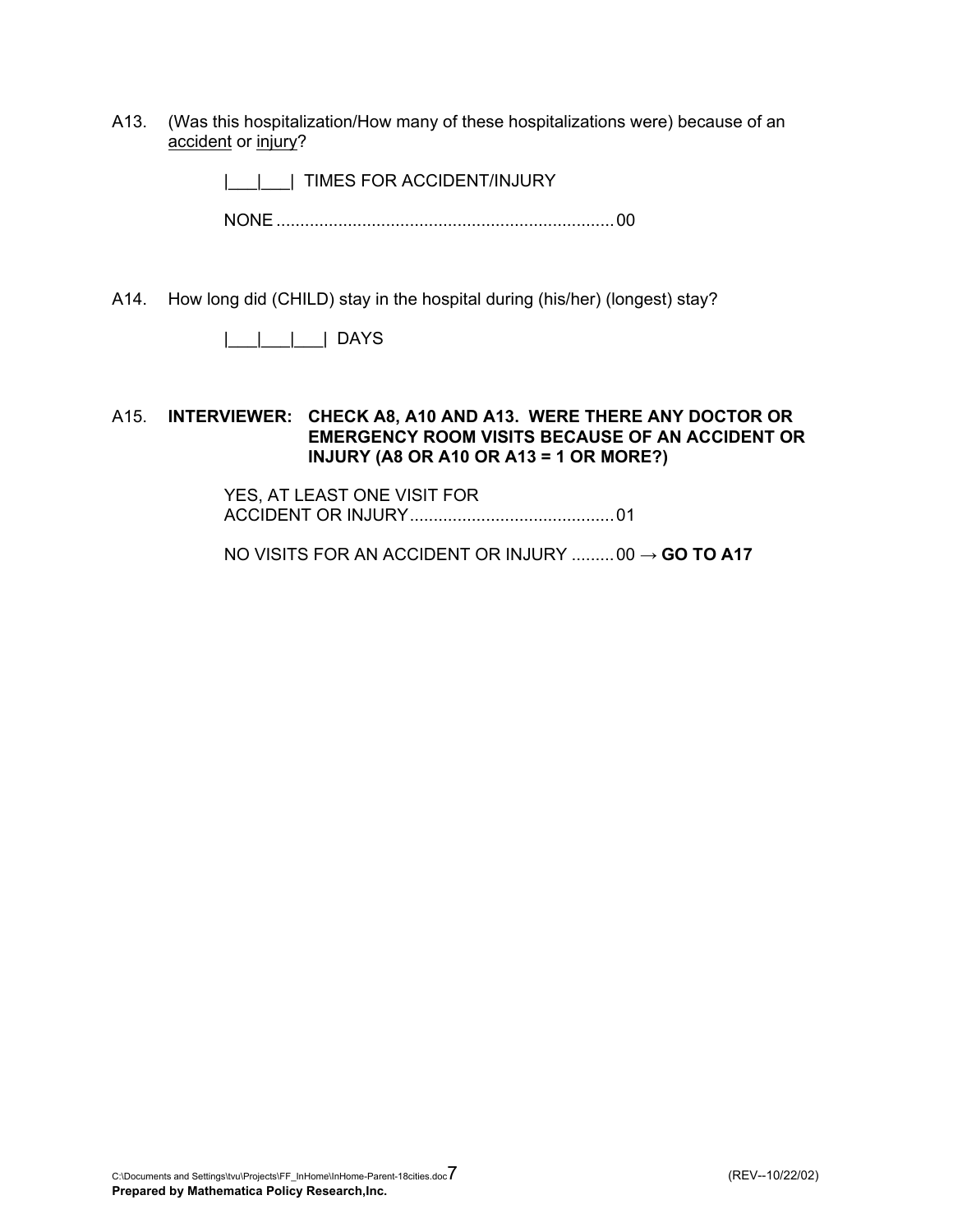A13. (Was this hospitalization/How many of these hospitalizations were) because of an accident or injury?

| | | | TIMES FOR ACCIDENT/INJURY

NONE .......................................................................00

A14. How long did (CHILD) stay in the hospital during (his/her) (longest) stay?

|\_\_\_|\_\_\_|\_\_\_| DAYS

#### A15. **INTERVIEWER: CHECK A8, A10 AND A13. WERE THERE ANY DOCTOR OR EMERGENCY ROOM VISITS BECAUSE OF AN ACCIDENT OR INJURY (A8 OR A10 OR A13 = 1 OR MORE?)**

 YES, AT LEAST ONE VISIT FOR ACCIDENT OR INJURY...........................................01

NO VISITS FOR AN ACCIDENT OR INJURY .........00 → **GO TO A17**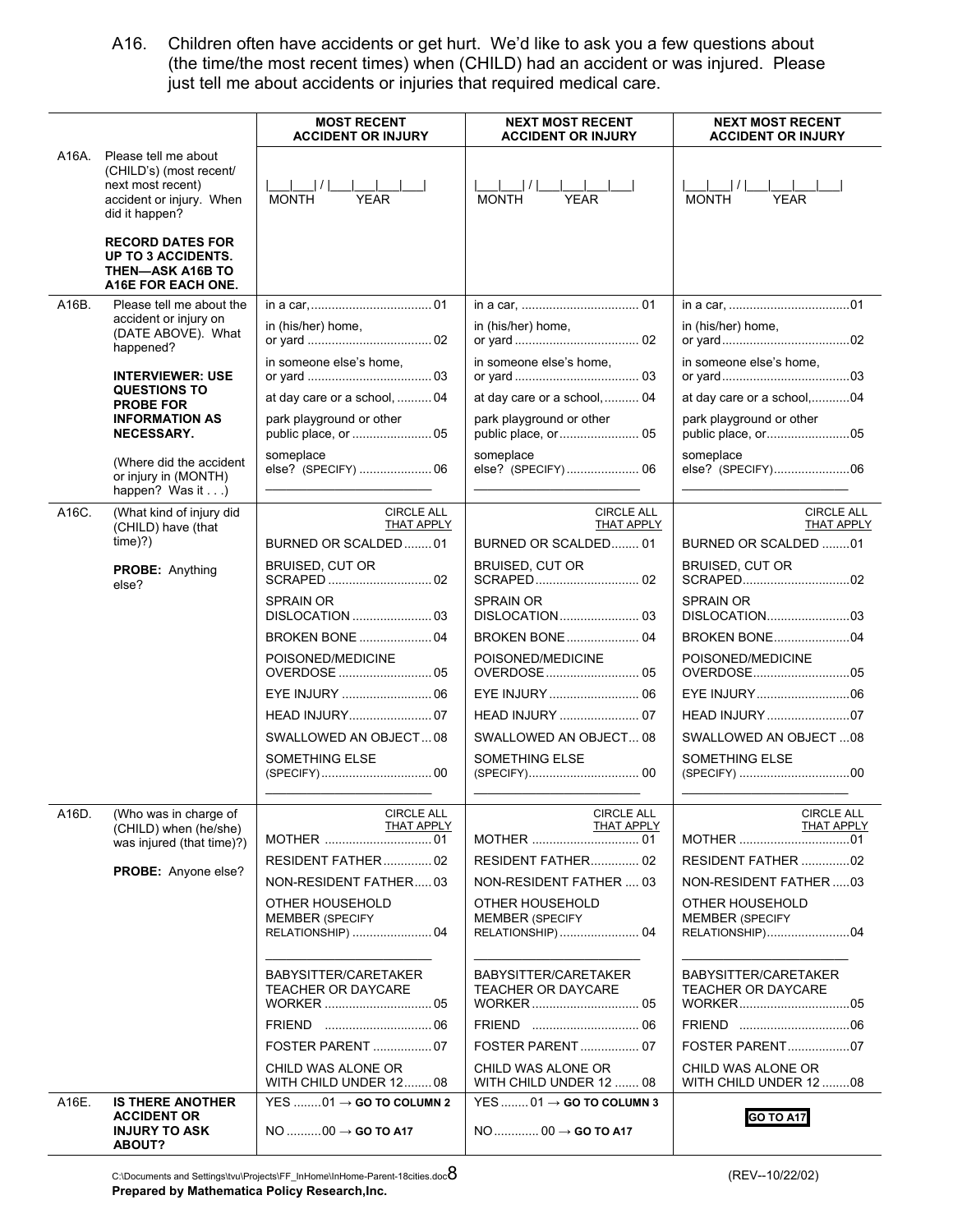A16. Children often have accidents or get hurt. We'd like to ask you a few questions about (the time/the most recent times) when (CHILD) had an accident or was injured. Please just tell me about accidents or injuries that required medical care.

|       |                                                                                                                    | <b>MOST RECENT</b><br><b>ACCIDENT OR INJURY</b>                          | <b>NEXT MOST RECENT</b><br><b>ACCIDENT OR INJURY</b>                     | <b>NEXT MOST RECENT</b><br><b>ACCIDENT OR INJURY</b>         |
|-------|--------------------------------------------------------------------------------------------------------------------|--------------------------------------------------------------------------|--------------------------------------------------------------------------|--------------------------------------------------------------|
| A16A. | Please tell me about<br>(CHILD's) (most recent/<br>next most recent)<br>accident or injury. When<br>did it happen? | I <br><b>MONTH</b><br><b>YEAR</b>                                        | MONTH<br><b>YFAR</b>                                                     | <b>MONTH</b><br><b>YEAR</b>                                  |
|       | <b>RECORD DATES FOR</b><br>UP TO 3 ACCIDENTS.<br><b>THEN-ASK A16B TO</b><br>A16E FOR EACH ONE.                     |                                                                          |                                                                          |                                                              |
| A16B. | Please tell me about the                                                                                           |                                                                          |                                                                          |                                                              |
|       | accident or injury on<br>(DATE ABOVE). What<br>happened?                                                           | in (his/her) home,                                                       | in (his/her) home,                                                       | in (his/her) home,                                           |
|       |                                                                                                                    | in someone else's home,                                                  | in someone else's home.                                                  | in someone else's home.                                      |
|       | <b>INTERVIEWER: USE</b><br><b>QUESTIONS TO</b>                                                                     |                                                                          |                                                                          |                                                              |
|       | <b>PROBE FOR</b>                                                                                                   | at day care or a school,  04<br>park playground or other                 | at day care or a school, 04<br>park playground or other                  | at day care or a school,04<br>park playground or other       |
|       | <b>INFORMATION AS</b><br><b>NECESSARY.</b>                                                                         |                                                                          |                                                                          | public place, or05                                           |
|       | (Where did the accident<br>or injury in (MONTH)<br>happen? Was it)                                                 | someplace<br>else? (SPECIFY)  06                                         | someplace<br>else? (SPECIFY) 06                                          | someplace<br>else? (SPECIFY)06                               |
| A16C. | (What kind of injury did                                                                                           | <b>CIRCLE ALL</b>                                                        | <b>CIRCLE ALL</b>                                                        | <b>CIRCLE ALL</b>                                            |
|       | (CHILD) have (that<br>time(?)                                                                                      | THAT APPLY<br>BURNED OR SCALDED01                                        | THAT APPLY<br>BURNED OR SCALDED 01                                       | THAT APPLY<br>BURNED OR SCALDED 01                           |
|       | <b>PROBE: Anything</b><br>else?                                                                                    | BRUISED, CUT OR                                                          | BRUISED, CUT OR                                                          | <b>BRUISED, CUT OR</b>                                       |
|       |                                                                                                                    | <b>SPRAIN OR</b>                                                         | <b>SPRAIN OR</b>                                                         | <b>SPRAIN OR</b>                                             |
|       |                                                                                                                    | <b>BROKEN BONE  04</b>                                                   | <b>BROKEN BONE 04</b>                                                    | <b>BROKEN BONE04</b>                                         |
|       |                                                                                                                    | POISONED/MEDICINE                                                        | POISONED/MEDICINE                                                        | POISONED/MEDICINE<br>OVERDOSE05                              |
|       |                                                                                                                    |                                                                          |                                                                          |                                                              |
|       |                                                                                                                    |                                                                          |                                                                          | HEAD INJURY 07                                               |
|       |                                                                                                                    | SWALLOWED AN OBJECT08                                                    | SWALLOWED AN OBJECT 08                                                   | SWALLOWED AN OBJECT08                                        |
|       |                                                                                                                    | SOMETHING ELSE                                                           | SOMETHING ELSE                                                           | SOMETHING ELSE                                               |
|       |                                                                                                                    |                                                                          |                                                                          |                                                              |
| A16D. | (Who was in charge of<br>(CHILD) when (he/she)                                                                     | <b>CIRCLE ALL</b><br><b>THAT APPLY</b>                                   | <b>CIRCLE ALL</b><br><b>THAT APPLY</b>                                   | <b>CIRCLE ALL</b><br><b>THAT APPLY</b>                       |
|       | was injured (that time)?)                                                                                          |                                                                          |                                                                          | MOTHER 01                                                    |
|       | PROBE: Anyone else?                                                                                                | RESIDENT FATHER 02                                                       | <b>RESIDENT FATHER 02</b>                                                | RESIDENT FATHER 02                                           |
|       |                                                                                                                    | NON-RESIDENT FATHER03                                                    | NON-RESIDENT FATHER  03                                                  | NON-RESIDENT FATHER03                                        |
|       |                                                                                                                    | OTHER HOUSEHOLD<br><b>MEMBER (SPECIFY</b><br>RELATIONSHIP)  04           | OTHER HOUSEHOLD<br><b>MEMBER (SPECIFY</b><br>RELATIONSHIP)  04           | OTHER HOUSEHOLD<br><b>MEMBER (SPECIFY</b><br>RELATIONSHIP)04 |
|       |                                                                                                                    | BABYSITTER/CARETAKER<br><b>TEACHER OR DAYCARE</b>                        | BABYSITTER/CARETAKER<br><b>TEACHER OR DAYCARE</b>                        | BABYSITTER/CARETAKER<br><b>TEACHER OR DAYCARE</b>            |
|       |                                                                                                                    |                                                                          |                                                                          |                                                              |
|       |                                                                                                                    | FOSTER PARENT  07                                                        | <b>FOSTER PARENT</b> 07                                                  | FOSTER PARENT07                                              |
|       |                                                                                                                    | CHILD WAS ALONE OR<br>WITH CHILD UNDER 12 08                             | CHILD WAS ALONE OR<br>WITH CHILD UNDER 12  08                            | CHILD WAS ALONE OR<br>WITH CHILD UNDER 1208                  |
| A16E. | <b>IS THERE ANOTHER</b><br><b>ACCIDENT OR</b><br><b>INJURY TO ASK</b><br>ABOUT?                                    | $YES$ 01 $\rightarrow$ GO TO COLUMN 2<br>$NO$ 00 $\rightarrow$ GO TO A17 | $YES$ 01 $\rightarrow$ GO TO COLUMN 3<br>$NO$ 00 $\rightarrow$ GO TO A17 | <b>GO TO A17</b>                                             |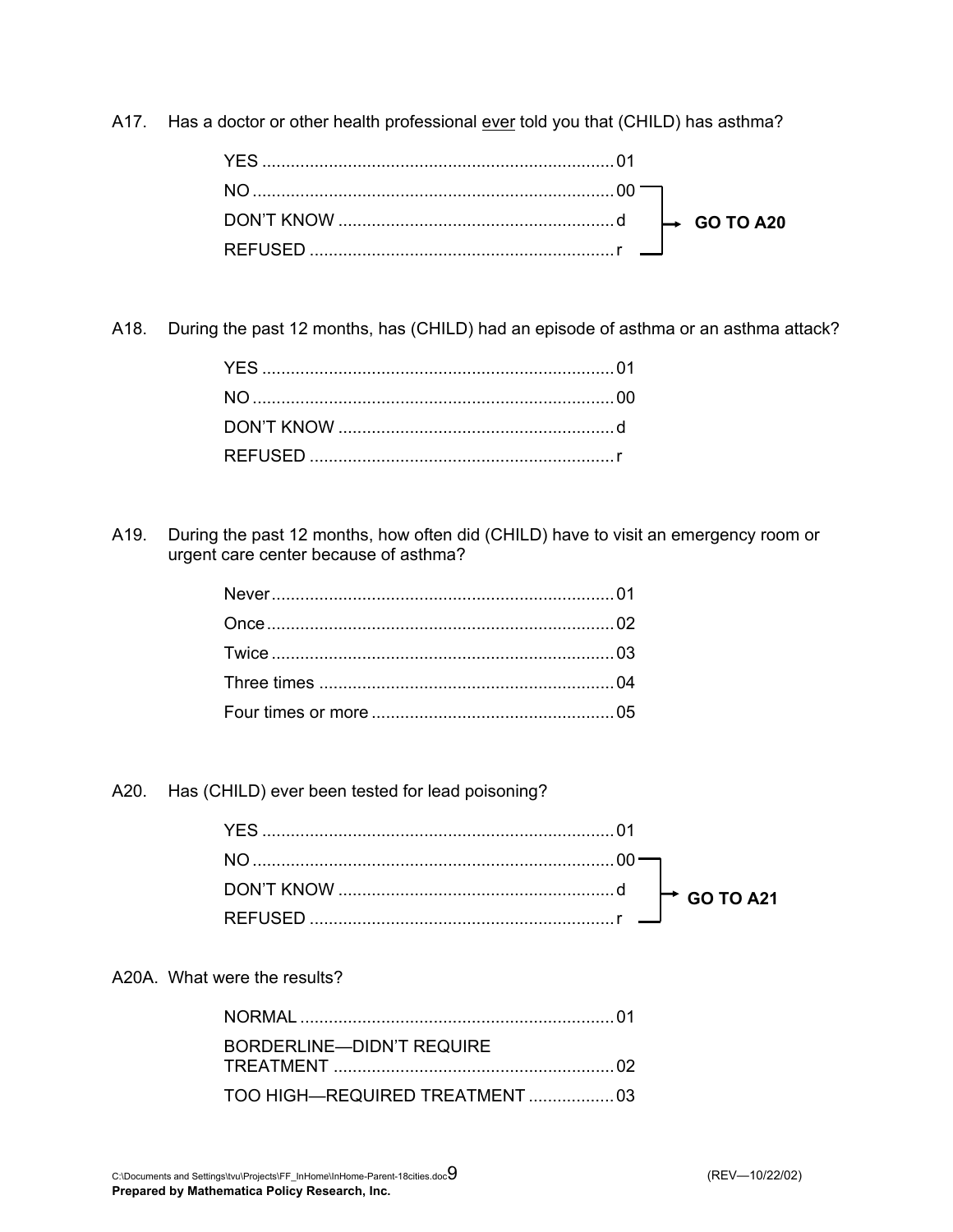A17. Has a doctor or other health professional ever told you that (CHILD) has asthma?

A18. During the past 12 months, has (CHILD) had an episode of asthma or an asthma attack?

A19. During the past 12 months, how often did (CHILD) have to visit an emergency room or urgent care center because of asthma?

A20. Has (CHILD) ever been tested for lead poisoning?

### A20A. What were the results?

| BORDERLINE—DIDN'T REQUIRE |  |
|---------------------------|--|
|                           |  |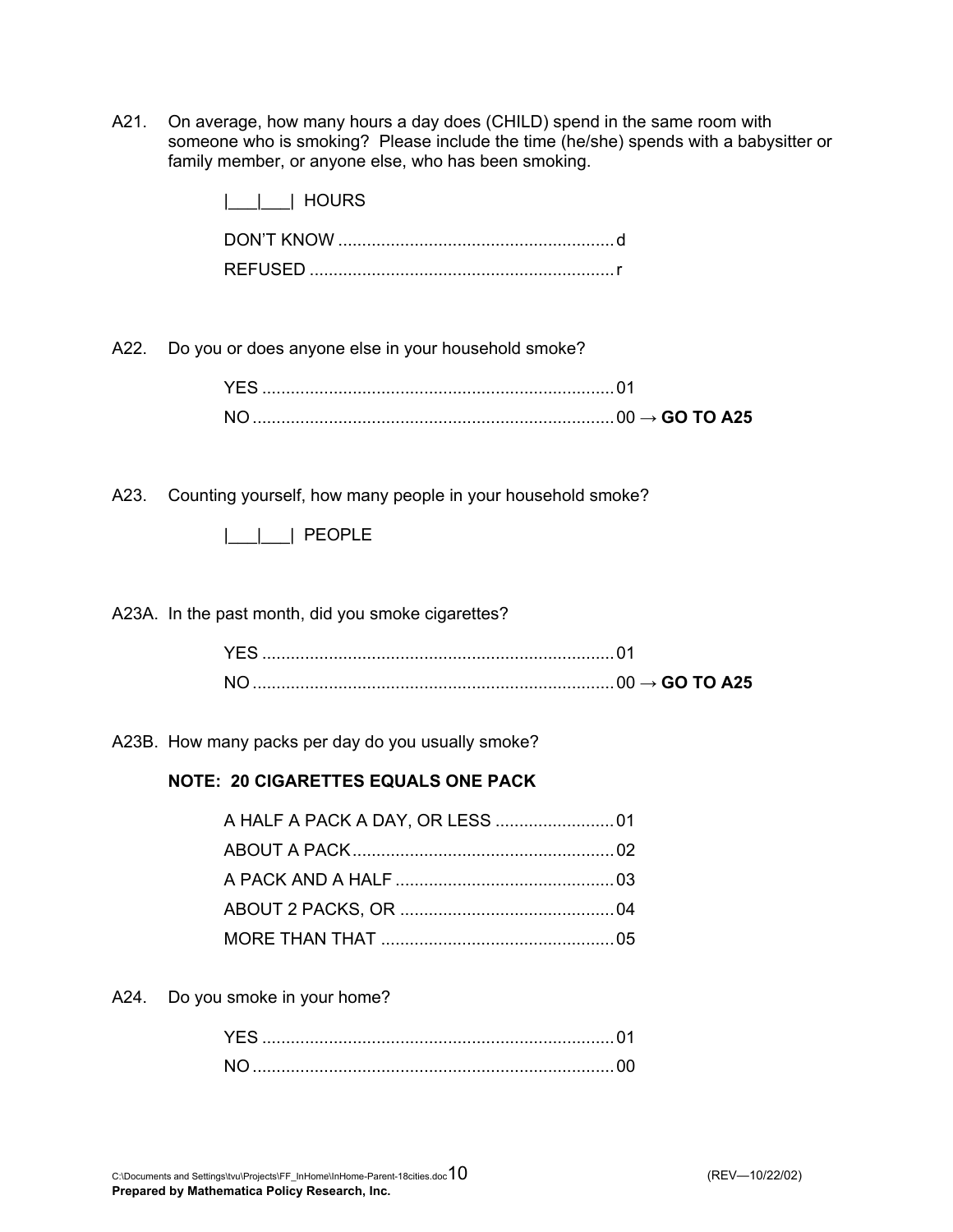A21. On average, how many hours a day does (CHILD) spend in the same room with someone who is smoking? Please include the time (he/she) spends with a babysitter or family member, or anyone else, who has been smoking.

|      | <b>HOURS</b>                                                     |
|------|------------------------------------------------------------------|
|      |                                                                  |
| A22. | Do you or does anyone else in your household smoke?              |
|      |                                                                  |
|      |                                                                  |
|      | A23. Counting yourself, how many people in your household smoke? |
|      | $     $ PEOPLE                                                   |
|      | A23A. In the past month, did you smoke cigarettes?               |
|      |                                                                  |
|      |                                                                  |
|      | A23B. How many packs per day do you usually smoke?               |

### **NOTE: 20 CIGARETTES EQUALS ONE PACK**

A24. Do you smoke in your home?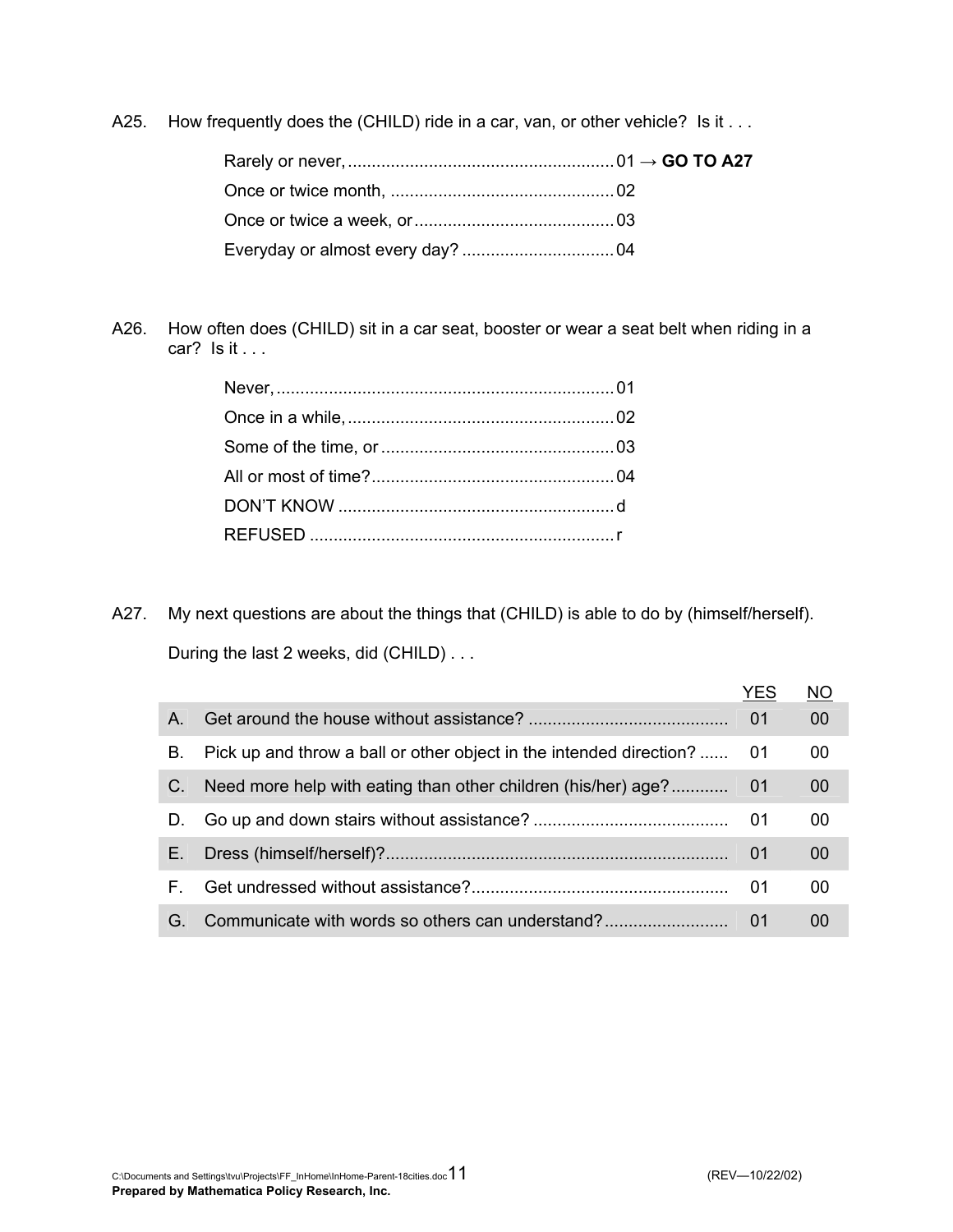A25. How frequently does the (CHILD) ride in a car, van, or other vehicle? Is it . . .

A26. How often does (CHILD) sit in a car seat, booster or wear a seat belt when riding in a car? Is it . . .

A27. My next questions are about the things that (CHILD) is able to do by (himself/herself).

During the last 2 weeks, did (CHILD) . . .

|         |                                                                        | YES  | <b>NO</b> |
|---------|------------------------------------------------------------------------|------|-----------|
| $A_{1}$ |                                                                        | 01   | 00        |
| В.      | Pick up and throw a ball or other object in the intended direction? 01 |      | 00        |
| C.      |                                                                        |      | 00        |
| D.      |                                                                        |      | 00        |
| Е.      |                                                                        | - 01 | 00        |
| F.      |                                                                        | 01   | 00        |
| G.      | Communicate with words so others can understand?                       | 01   | 00        |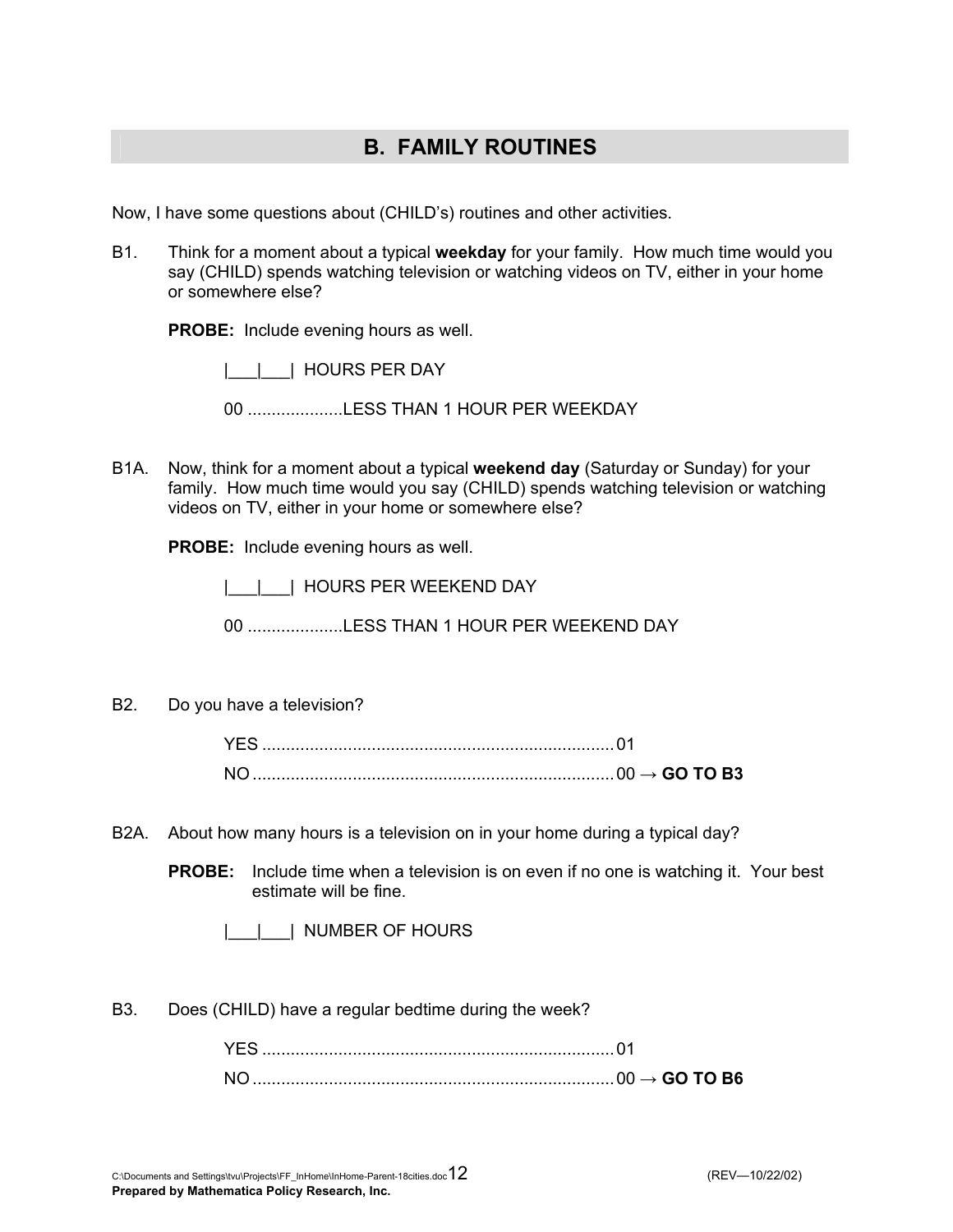## **B. FAMILY ROUTINES**

Now, I have some questions about (CHILD's) routines and other activities.

B1. Think for a moment about a typical **weekday** for your family. How much time would you say (CHILD) spends watching television or watching videos on TV, either in your home or somewhere else?

**PROBE:** Include evening hours as well.

| | | HOURS PER DAY

00 ....................LESS THAN 1 HOUR PER WEEKDAY

B1A. Now, think for a moment about a typical **weekend day** (Saturday or Sunday) for your family. How much time would you say (CHILD) spends watching television or watching videos on TV, either in your home or somewhere else?

**PROBE:** Include evening hours as well.

|\_\_\_|\_\_\_| HOURS PER WEEKEND DAY

00 ....................LESS THAN 1 HOUR PER WEEKEND DAY

B2. Do you have a television?

|  | $\sim$ GO TO B3. |
|--|------------------|

B2A. About how many hours is a television on in your home during a typical day?

**PROBE:** Include time when a television is on even if no one is watching it. Your best estimate will be fine.

|\_\_\_|\_\_\_| NUMBER OF HOURS

B3. Does (CHILD) have a regular bedtime during the week?

|  | $\cdot$ GO TO B6 |
|--|------------------|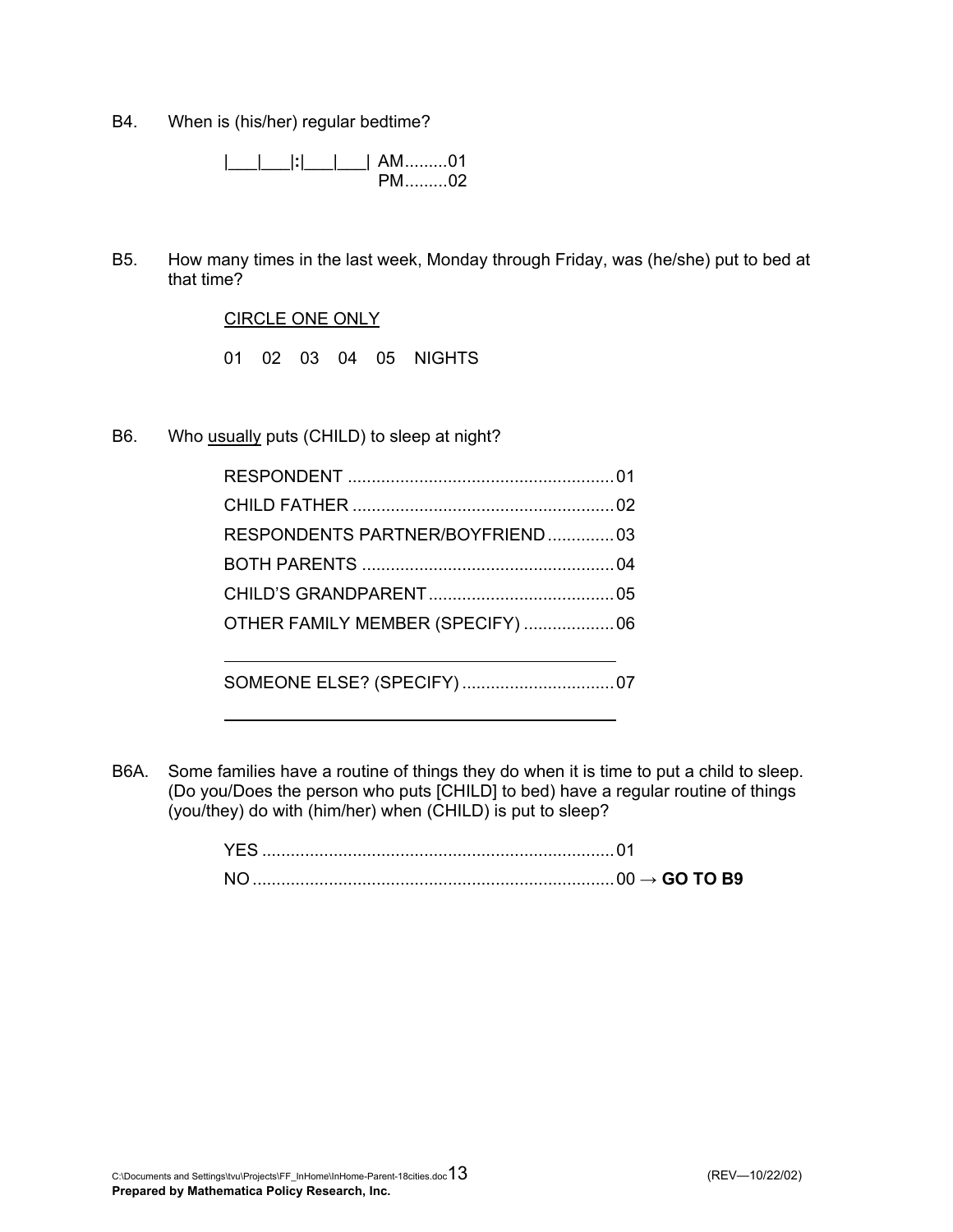B4. When is (his/her) regular bedtime?

 |\_\_\_|\_\_\_|**:**|\_\_\_|\_\_\_| AM.........01 PM.........02

B5. How many times in the last week, Monday through Friday, was (he/she) put to bed at that time?

CIRCLE ONE ONLY

01 02 03 04 05 NIGHTS

B6. Who usually puts (CHILD) to sleep at night?

| RESPONDENTS PARTNER/BOYFRIEND03   |  |
|-----------------------------------|--|
|                                   |  |
|                                   |  |
| OTHER FAMILY MEMBER (SPECIFY)  06 |  |
|                                   |  |
|                                   |  |

B6A. Some families have a routine of things they do when it is time to put a child to sleep. (Do you/Does the person who puts [CHILD] to bed) have a regular routine of things (you/they) do with (him/her) when (CHILD) is put to sleep?

|  | $\rightarrow$ GO TO B9 |
|--|------------------------|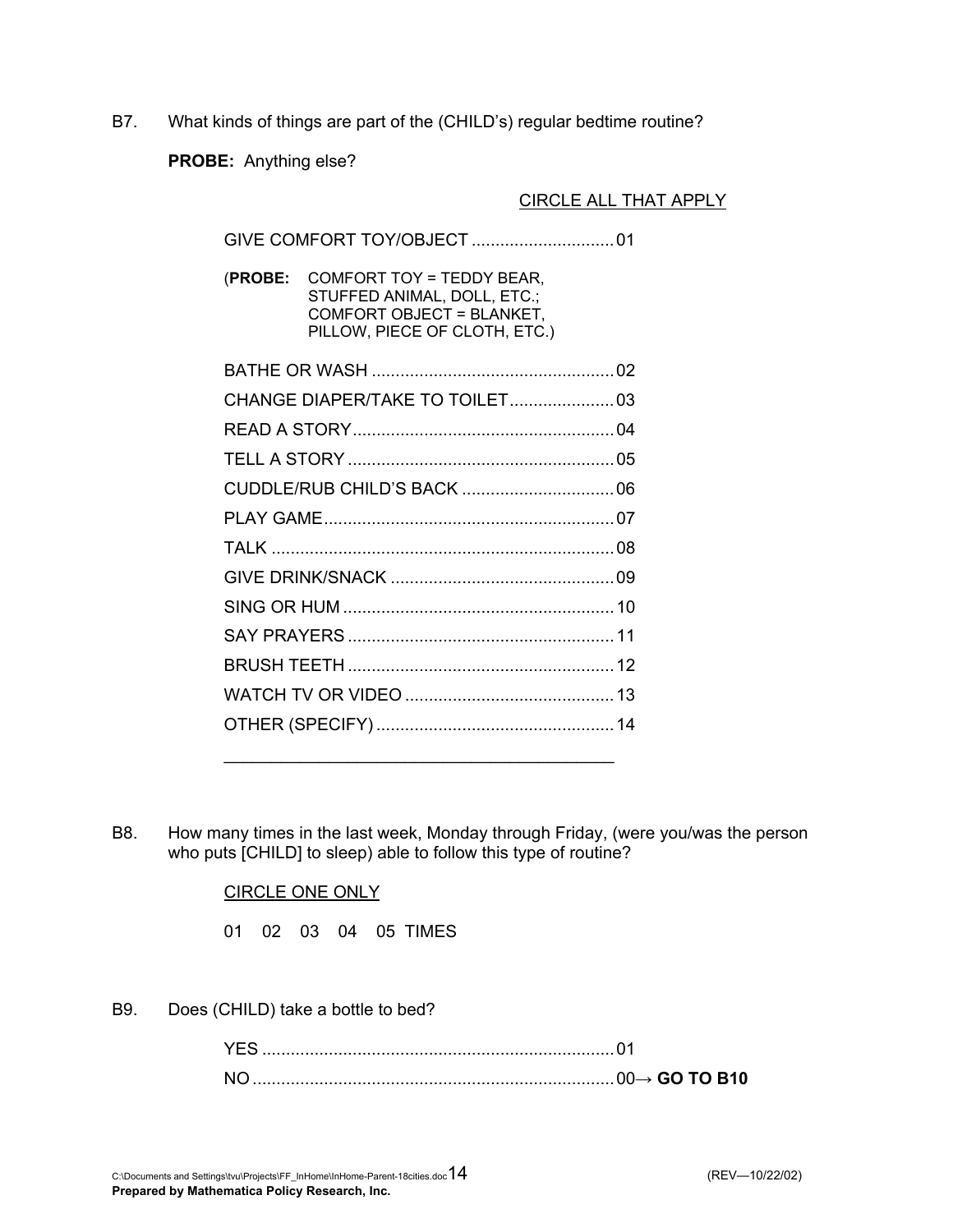B7. What kinds of things are part of the (CHILD's) regular bedtime routine?

**PROBE:** Anything else?

### CIRCLE ALL THAT APPLY

| (PROBE: | COMFORT TOY = TEDDY BEAR,<br>STUFFED ANIMAL, DOLL, ETC.;<br>COMFORT OBJECT = BLANKET,<br>PILLOW, PIECE OF CLOTH, ETC.) |  |
|---------|------------------------------------------------------------------------------------------------------------------------|--|
|         |                                                                                                                        |  |
|         |                                                                                                                        |  |
|         |                                                                                                                        |  |
|         |                                                                                                                        |  |
|         |                                                                                                                        |  |
|         |                                                                                                                        |  |
|         |                                                                                                                        |  |
|         |                                                                                                                        |  |
|         |                                                                                                                        |  |
|         |                                                                                                                        |  |
|         |                                                                                                                        |  |
|         |                                                                                                                        |  |
|         |                                                                                                                        |  |
|         |                                                                                                                        |  |

B8. How many times in the last week, Monday through Friday, (were you/was the person who puts [CHILD] to sleep) able to follow this type of routine?

CIRCLE ONE ONLY

01 02 03 04 05 TIMES

 $\mathcal{L}_\mathcal{L}$  , and the contract of the contract of the contract of the contract of the contract of the contract of the contract of the contract of the contract of the contract of the contract of the contract of the cont

B9. Does (CHILD) take a bottle to bed?

|  | <b>GO TO B10</b> |
|--|------------------|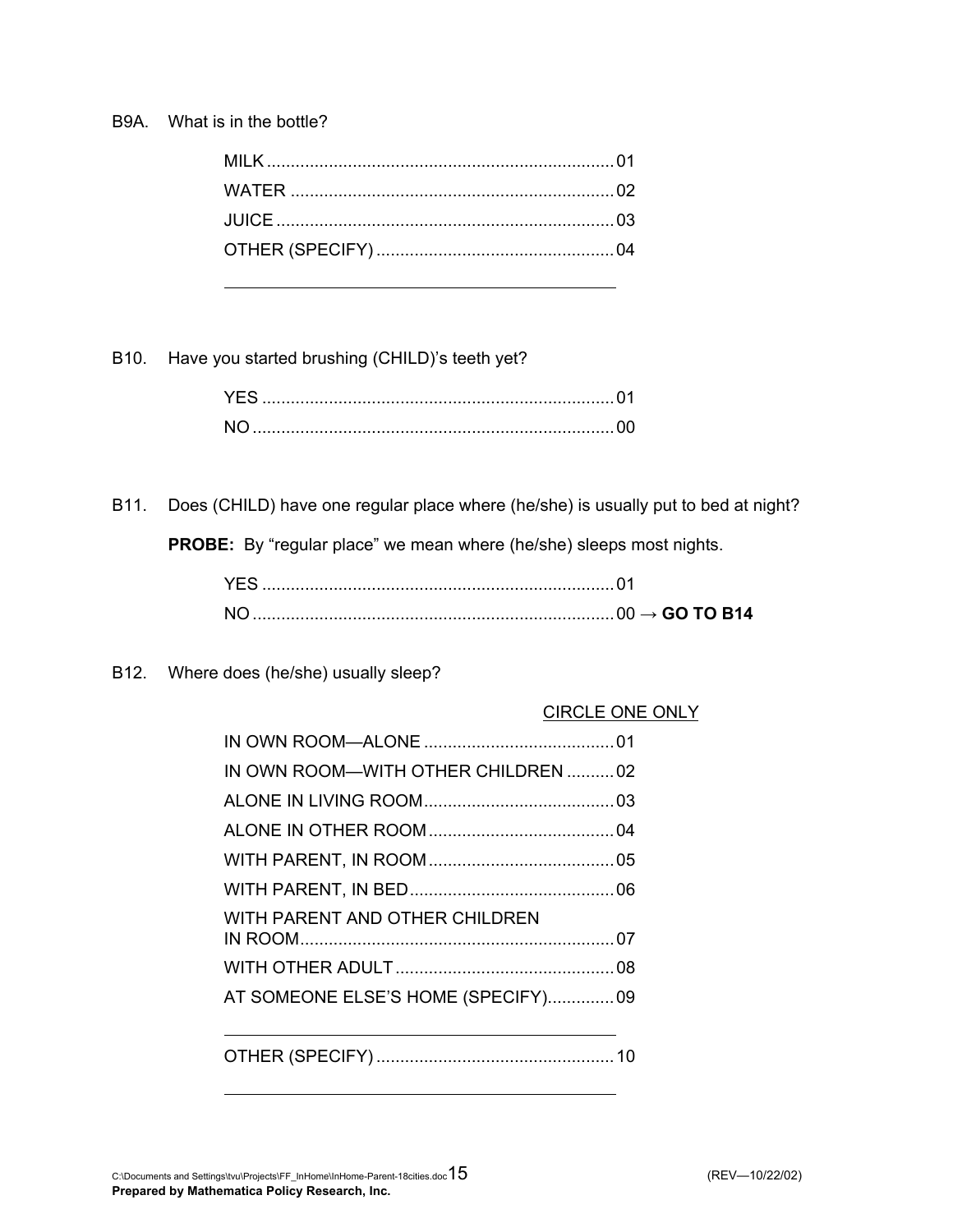### B9A. What is in the bottle?

B10. Have you started brushing (CHILD)'s teeth yet?

B11. Does (CHILD) have one regular place where (he/she) is usually put to bed at night?

**PROBE:** By "regular place" we mean where (he/she) sleeps most nights.

B12. Where does (he/she) usually sleep?

### CIRCLE ONE ONLY

| IN OWN ROOM-WITH OTHER CHILDREN  02 |  |
|-------------------------------------|--|
|                                     |  |
|                                     |  |
|                                     |  |
|                                     |  |
| WITH PARENT AND OTHER CHILDREN      |  |
|                                     |  |
| AT SOMEONE ELSE'S HOME (SPECIFY)09  |  |
|                                     |  |
|                                     |  |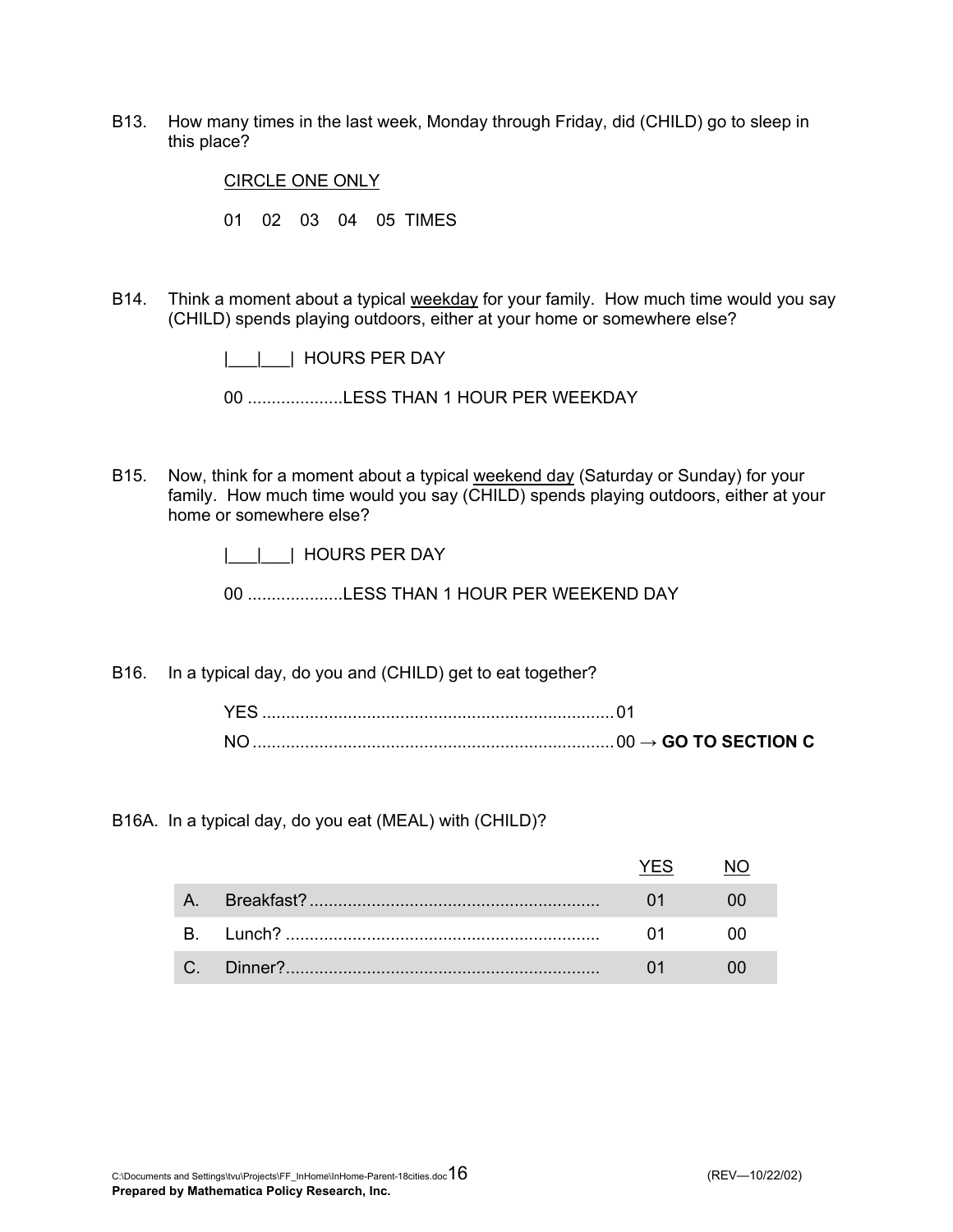B13. How many times in the last week, Monday through Friday, did (CHILD) go to sleep in this place?

CIRCLE ONE ONLY

01 02 03 04 05 TIMES

B14. Think a moment about a typical weekday for your family. How much time would you say (CHILD) spends playing outdoors, either at your home or somewhere else?

|\_\_\_|\_\_\_| HOURS PER DAY

00 ....................LESS THAN 1 HOUR PER WEEKDAY

- B15. Now, think for a moment about a typical weekend day (Saturday or Sunday) for your family. How much time would you say (CHILD) spends playing outdoors, either at your home or somewhere else?
	- |\_\_\_|\_\_\_| HOURS PER DAY

00 ....................LESS THAN 1 HOUR PER WEEKEND DAY

B16. In a typical day, do you and (CHILD) get to eat together?

B16A. In a typical day, do you eat (MEAL) with (CHILD)?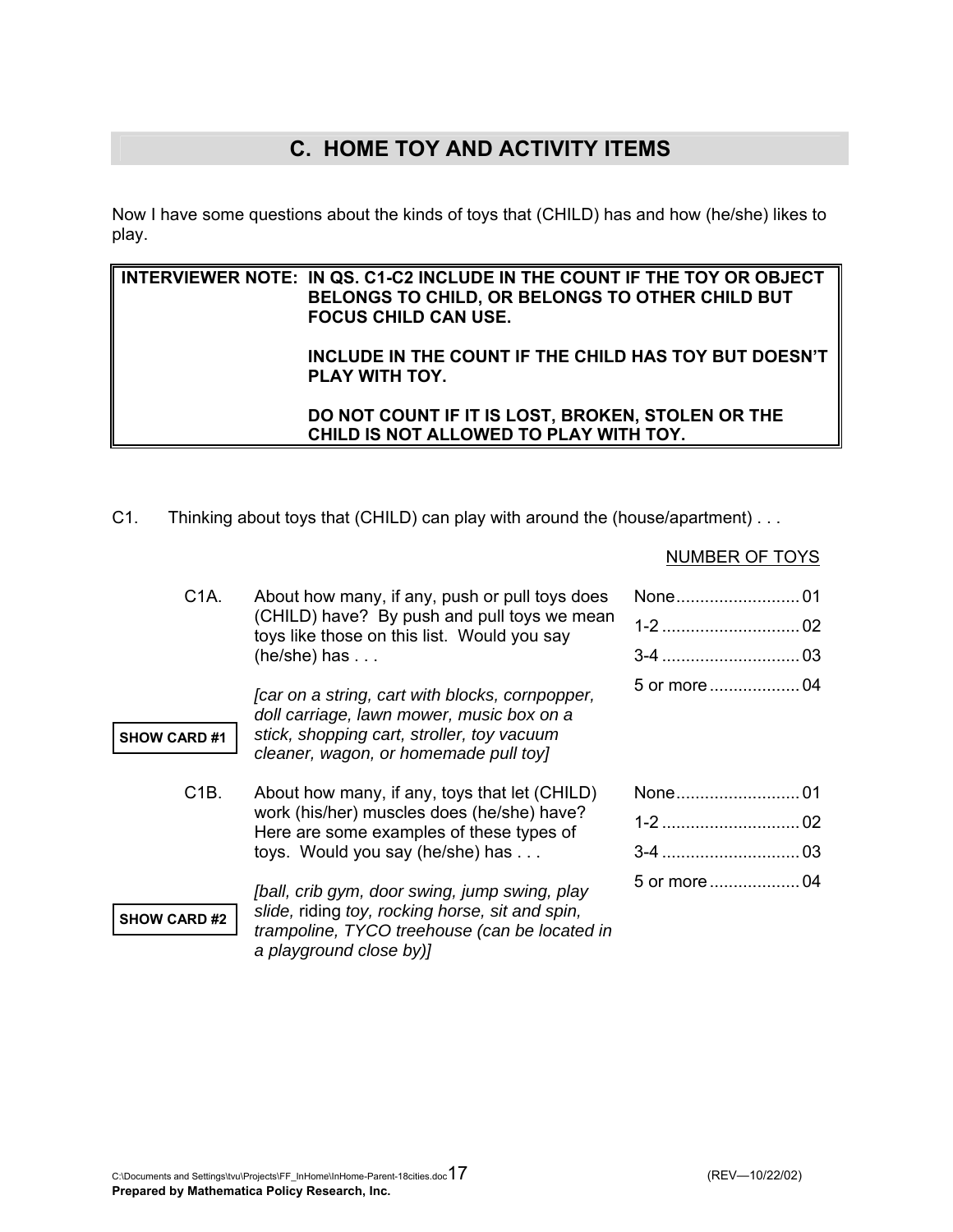# **C. HOME TOY AND ACTIVITY ITEMS**

Now I have some questions about the kinds of toys that (CHILD) has and how (he/she) likes to play.

### **INTERVIEWER NOTE: IN QS. C1-C2 INCLUDE IN THE COUNT IF THE TOY OR OBJECT BELONGS TO CHILD, OR BELONGS TO OTHER CHILD BUT FOCUS CHILD CAN USE.**

### **INCLUDE IN THE COUNT IF THE CHILD HAS TOY BUT DOESN'T PLAY WITH TOY.**

 **DO NOT COUNT IF IT IS LOST, BROKEN, STOLEN OR THE CHILD IS NOT ALLOWED TO PLAY WITH TOY.** 

C1. Thinking about toys that (CHILD) can play with around the (house/apartment) . . .

### NUMBER OF TOYS

| C <sub>1</sub> A.   | About how many, if any, push or pull toys does<br>(CHILD) have? By push and pull toys we mean<br>toys like those on this list. Would you say                                | $02\,$      |
|---------------------|-----------------------------------------------------------------------------------------------------------------------------------------------------------------------------|-------------|
|                     | $(he/she)$ has $\ldots$                                                                                                                                                     |             |
|                     | [car on a string, cart with blocks, cornpopper,<br>doll carriage, lawn mower, music box on a                                                                                |             |
| <b>SHOW CARD #1</b> | stick, shopping cart, stroller, toy vacuum<br>cleaner, wagon, or homemade pull toy]                                                                                         |             |
|                     |                                                                                                                                                                             |             |
| C <sub>1</sub> B.   | About how many, if any, toys that let (CHILD)<br>work (his/her) muscles does (he/she) have?<br>Here are some examples of these types of<br>toys. Would you say (he/she) has | None<br>.01 |
|                     |                                                                                                                                                                             | 02<br>1-2   |
|                     |                                                                                                                                                                             | 03<br>$3-4$ |
|                     | [ball, crib gym, door swing, jump swing, play                                                                                                                               |             |
| <b>SHOW CARD #2</b> | slide, riding toy, rocking horse, sit and spin,<br>trampoline, TYCO treehouse (can be located in                                                                            |             |
|                     |                                                                                                                                                                             |             |

*a playground close by)]*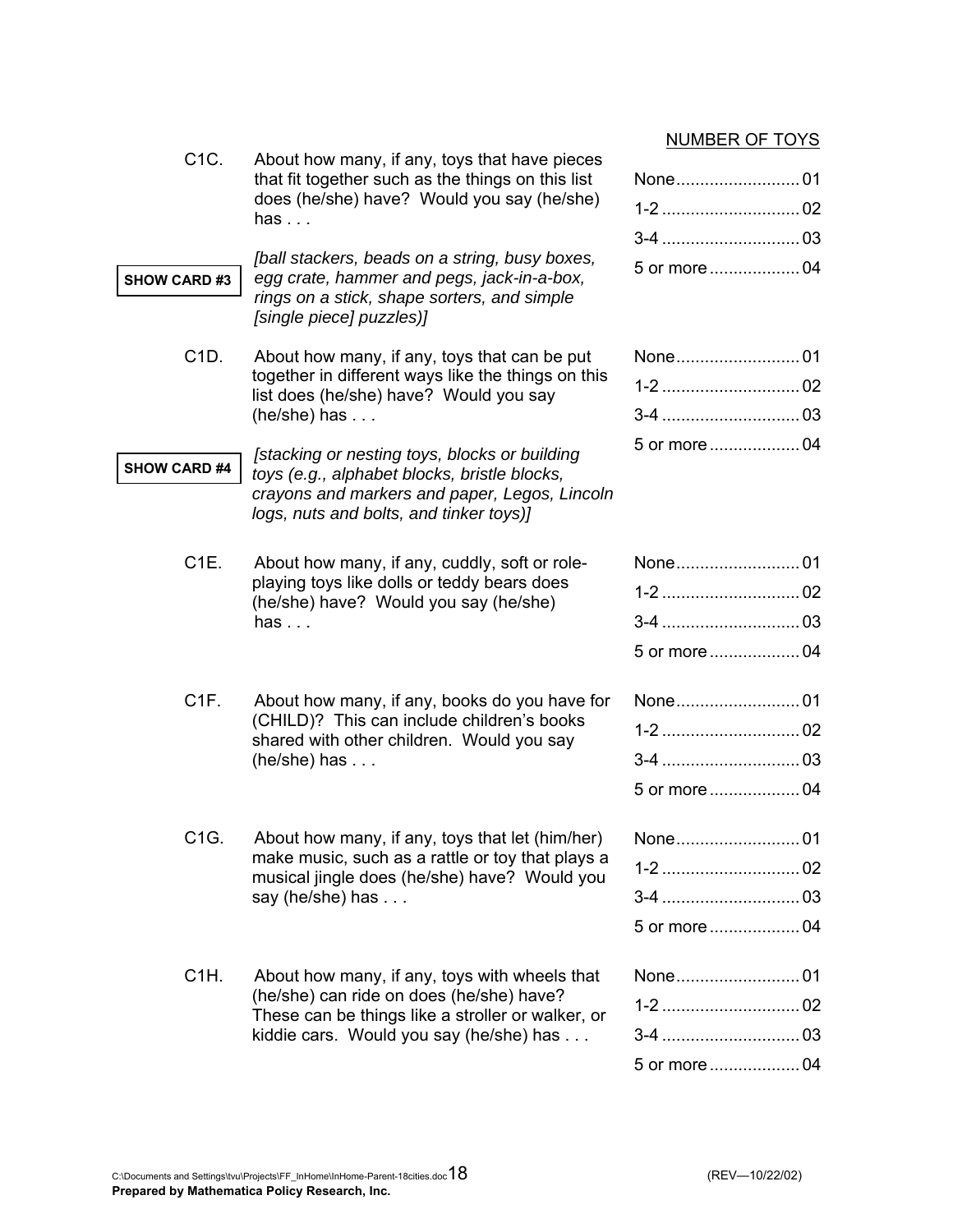### NUMBER OF TOYS

| C <sub>1</sub> C.<br>About how many, if any, toys that have pieces<br>that fit together such as the things on this list<br>does (he/she) have? Would you say (he/she)<br>has $\ldots$ |                                                                                                                                                                                           | None01       |
|---------------------------------------------------------------------------------------------------------------------------------------------------------------------------------------|-------------------------------------------------------------------------------------------------------------------------------------------------------------------------------------------|--------------|
| <b>SHOW CARD #3</b>                                                                                                                                                                   | [ball stackers, beads on a string, busy boxes,<br>egg crate, hammer and pegs, jack-in-a-box,<br>rings on a stick, shape sorters, and simple<br>[single piece] puzzles)]                   | 5 or more04  |
| C1D.                                                                                                                                                                                  | About how many, if any, toys that can be put<br>together in different ways like the things on this<br>list does (he/she) have? Would you say<br>$(he/she)$ has $\ldots$                   | None01       |
| <b>SHOW CARD #4</b>                                                                                                                                                                   | [stacking or nesting toys, blocks or building<br>toys (e.g., alphabet blocks, bristle blocks,<br>crayons and markers and paper, Legos, Lincoln<br>logs, nuts and bolts, and tinker toys)] |              |
| C <sub>1E</sub>                                                                                                                                                                       | About how many, if any, cuddly, soft or role-<br>playing toys like dolls or teddy bears does<br>(he/she) have? Would you say (he/she)<br>has $\ldots$                                     | 5 or more 04 |
| C <sub>1</sub> F.                                                                                                                                                                     | About how many, if any, books do you have for<br>(CHILD)? This can include children's books<br>shared with other children. Would you say<br>$(he/she)$ has $\ldots$                       |              |
| C <sub>1</sub> G.                                                                                                                                                                     | About how many, if any, toys that let (him/her)<br>make music, such as a rattle or toy that plays a<br>musical jingle does (he/she) have? Would you<br>say (he/she) has $\dots$           | None01       |
| C <sub>1</sub> H.                                                                                                                                                                     | About how many, if any, toys with wheels that<br>(he/she) can ride on does (he/she) have?<br>These can be things like a stroller or walker, or<br>kiddie cars. Would you say (he/she) has | None01       |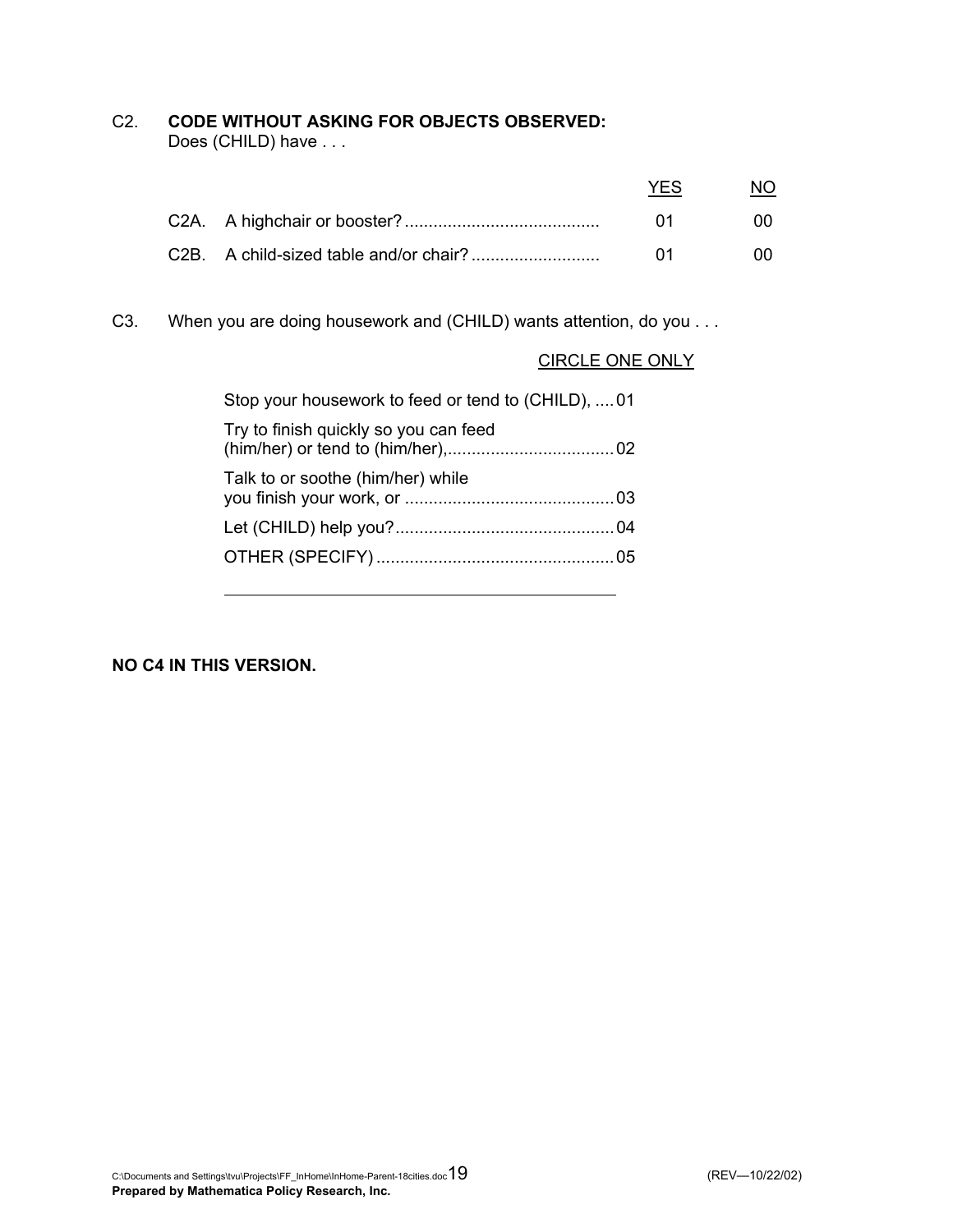### C2. **CODE WITHOUT ASKING FOR OBJECTS OBSERVED:**

Does (CHILD) have . . .

|  | YFS. |     |
|--|------|-----|
|  | -01  | -00 |
|  | -01  | m   |

C3. When you are doing housework and (CHILD) wants attention, do you . . .

### CIRCLE ONE ONLY

| Stop your housework to feed or tend to (CHILD), 01 |  |
|----------------------------------------------------|--|
| Try to finish quickly so you can feed              |  |
| Talk to or soothe (him/her) while                  |  |
|                                                    |  |
|                                                    |  |
|                                                    |  |

**NO C4 IN THIS VERSION.**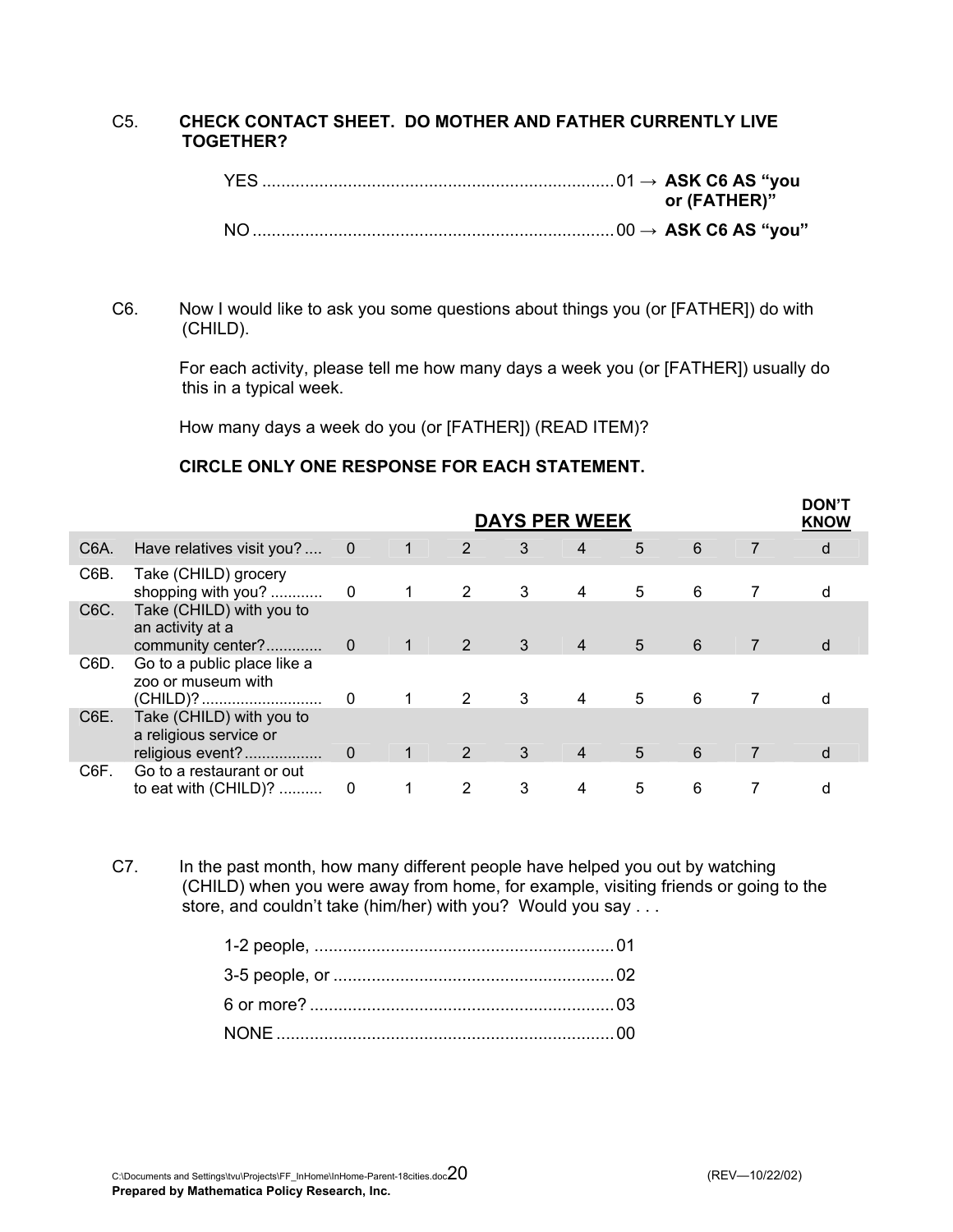### C5. **CHECK CONTACT SHEET. DO MOTHER AND FATHER CURRENTLY LIVE TOGETHER?**

|  | or (FATHER)" |  |
|--|--------------|--|
|  |              |  |

### C6. Now I would like to ask you some questions about things you (or [FATHER]) do with (CHILD).

 For each activity, please tell me how many days a week you (or [FATHER]) usually do this in a typical week.

How many days a week do you (or [FATHER]) (READ ITEM)?

### **CIRCLE ONLY ONE RESPONSE FOR EACH STATEMENT.**

|                   |                                                                        | <b>DAYS PER WEEK</b>     |                |                |   |                |   |   | <b>DON'T</b><br><b>KNOW</b> |   |
|-------------------|------------------------------------------------------------------------|--------------------------|----------------|----------------|---|----------------|---|---|-----------------------------|---|
| C6A.              | Have relatives visit you?                                              | $\overline{\phantom{0}}$ | $\sqrt{1}$     | 2              | 3 | $\overline{4}$ | 5 | 6 | $\overline{7}$              | d |
| C6B.              | Take (CHILD) grocery                                                   |                          |                | 2              | 3 | 4              | 5 | 6 |                             |   |
| C <sub>6</sub> C. | Take (CHILD) with you to<br>an activity at a<br>community center?      | $\overline{0}$           | $\mathbf{1}$   | 2              | 3 | $\overline{4}$ | 5 | 6 | $\overline{7}$              | d |
| C6D.              | Go to a public place like a<br>zoo or museum with<br>(CHILD)?          | 0                        |                | 2              | 3 | 4              | 5 | 6 |                             |   |
| C6E.              | Take (CHILD) with you to<br>a religious service or<br>religious event? | $\mathbf 0$              | $\overline{1}$ | 2              | 3 | $\overline{4}$ | 5 | 6 | $\overline{7}$              | d |
| C6F.              | Go to a restaurant or out<br>to eat with (CHILD)?                      | 0                        |                | $\overline{2}$ | 3 | 4              | 5 | 6 |                             | d |

C7. In the past month, how many different people have helped you out by watching (CHILD) when you were away from home, for example, visiting friends or going to the store, and couldn't take (him/her) with you? Would you say . . .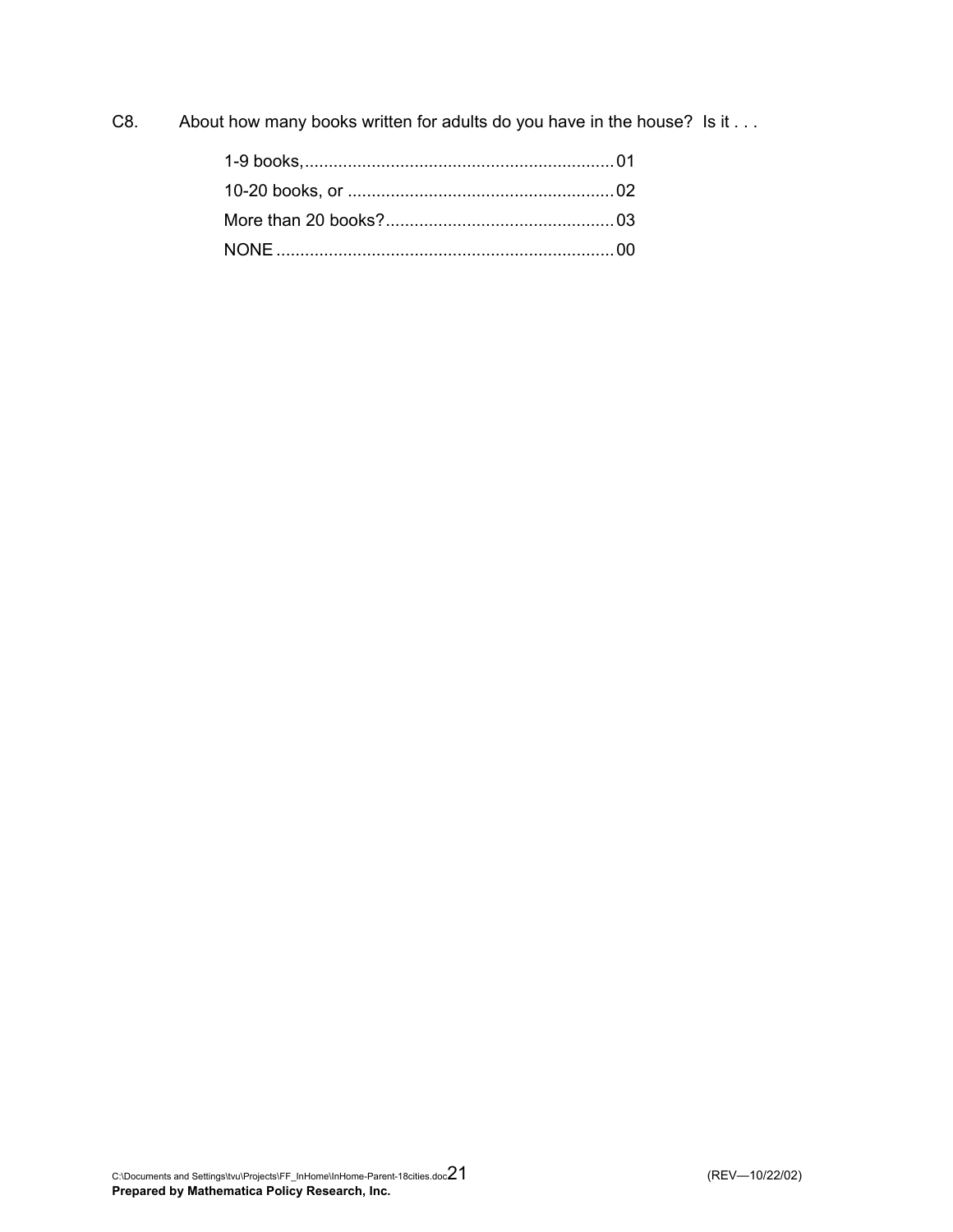C8. About how many books written for adults do you have in the house? Is it . . .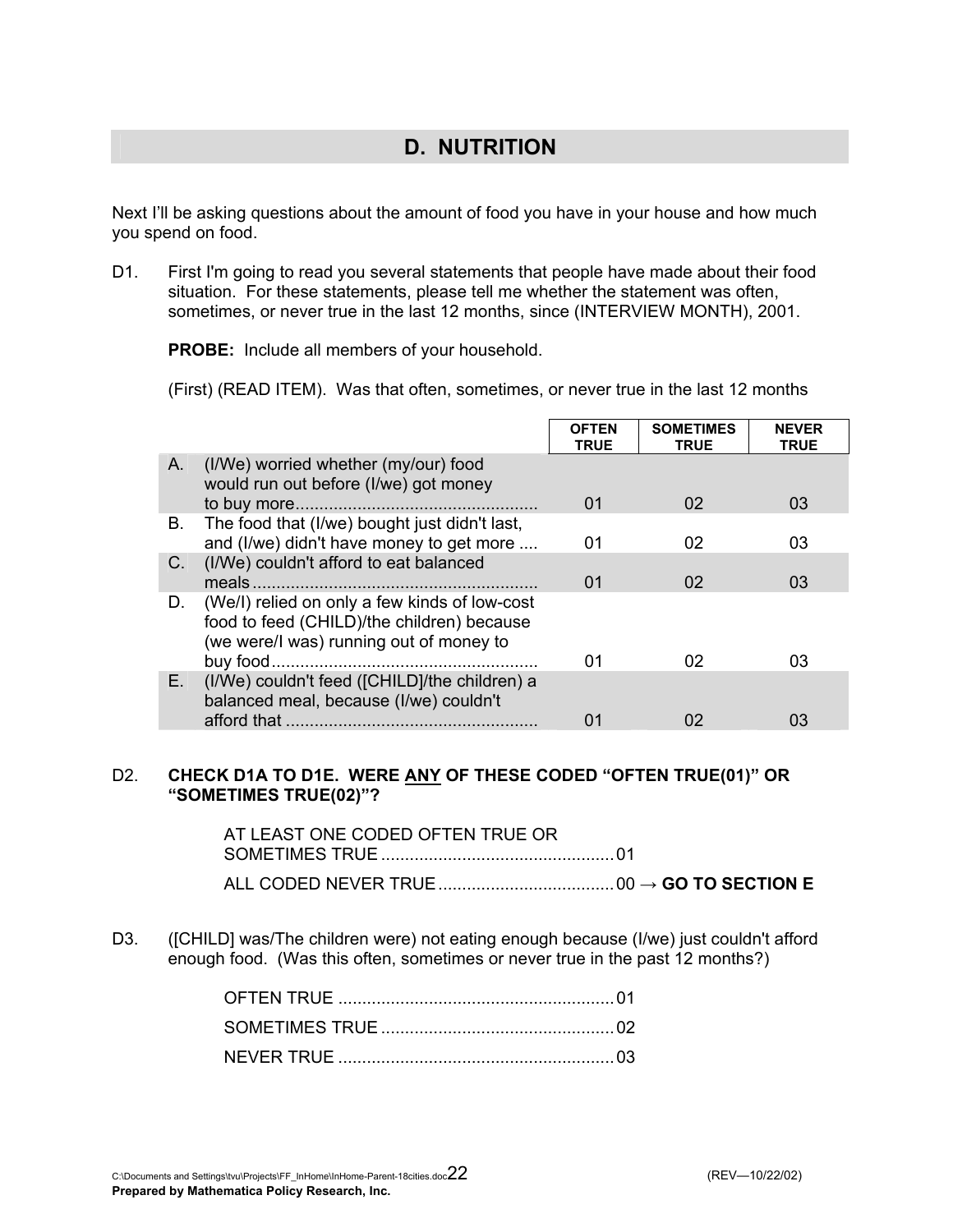## **D. NUTRITION**

Next I'll be asking questions about the amount of food you have in your house and how much you spend on food.

D1. First I'm going to read you several statements that people have made about their food situation. For these statements, please tell me whether the statement was often, sometimes, or never true in the last 12 months, since (INTERVIEW MONTH), 2001.

**PROBE:** Include all members of your household.

(First) (READ ITEM). Was that often, sometimes, or never true in the last 12 months

|    |                                                                                                                                        | <b>OFTEN</b><br><b>TRUE</b> | <b>SOMETIMES</b><br><b>TRUE</b> | <b>NEVER</b><br><b>TRUE</b> |
|----|----------------------------------------------------------------------------------------------------------------------------------------|-----------------------------|---------------------------------|-----------------------------|
| A. | (I/We) worried whether (my/our) food<br>would run out before (I/we) got money                                                          |                             |                                 |                             |
|    |                                                                                                                                        | 01                          | 02                              | 03                          |
| В. | The food that (I/we) bought just didn't last,                                                                                          |                             |                                 |                             |
|    | and (I/we) didn't have money to get more                                                                                               | 01                          | 02                              | 03                          |
| C. | (I/We) couldn't afford to eat balanced                                                                                                 |                             |                                 |                             |
|    |                                                                                                                                        | 01                          | 02                              | 03                          |
| D. | (We/I) relied on only a few kinds of low-cost<br>food to feed (CHILD)/the children) because<br>(we were/I was) running out of money to |                             |                                 |                             |
|    | buy food                                                                                                                               | 01                          | 02                              | 03                          |
| Е. | (I/We) couldn't feed ([CHILD]/the children) a<br>balanced meal, because (I/we) couldn't                                                |                             |                                 |                             |
|    | afford that $,$                                                                                                                        | 01                          | 02                              | 03                          |

### D2. **CHECK D1A TO D1E. WERE ANY OF THESE CODED "OFTEN TRUE(01)" OR "SOMETIMES TRUE(02)"?**

| AT LEAST ONE CODED OFTEN TRUE OR |  |
|----------------------------------|--|
|                                  |  |
|                                  |  |

D3. ([CHILD] was/The children were) not eating enough because (I/we) just couldn't afford enough food. (Was this often, sometimes or never true in the past 12 months?)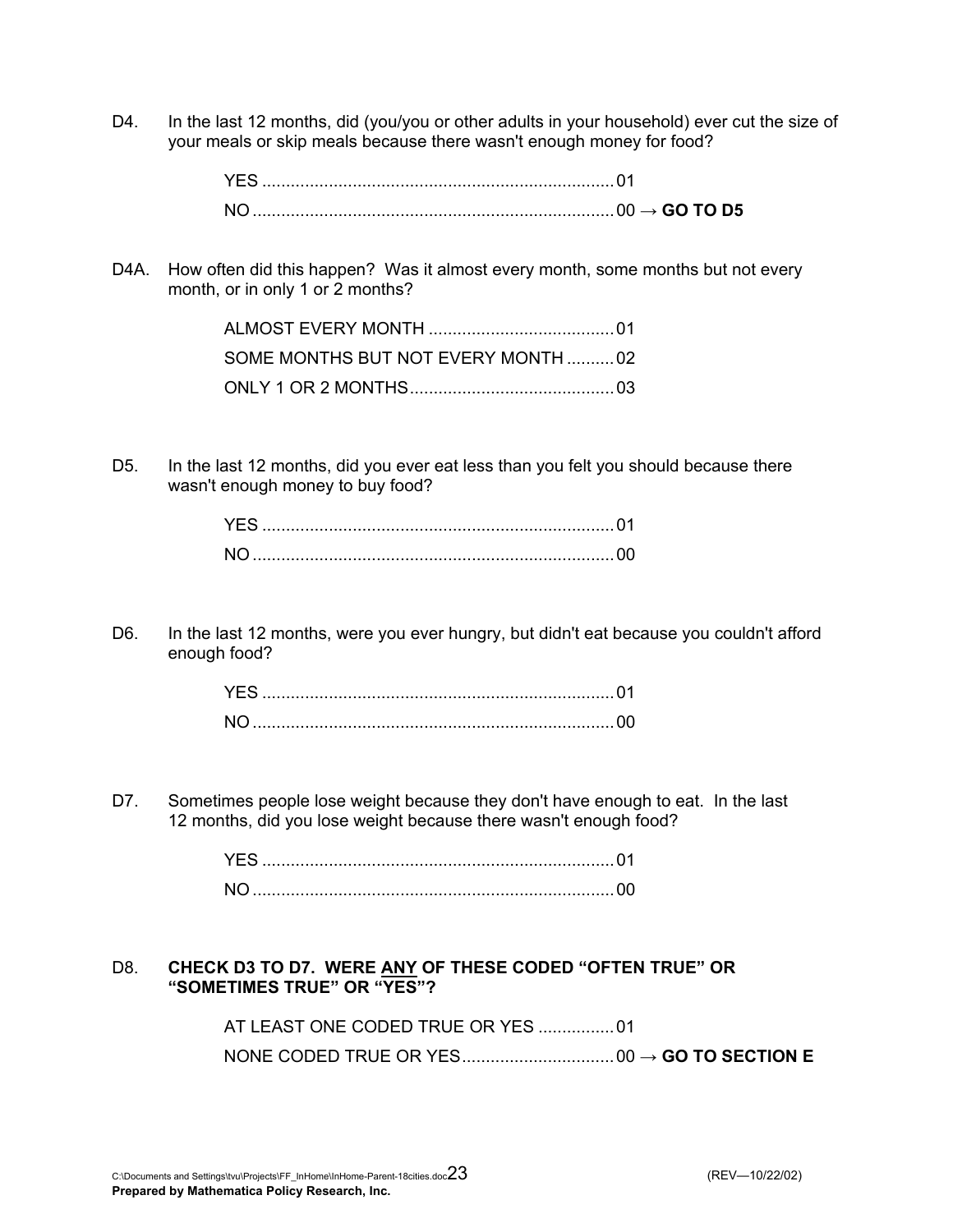D4. In the last 12 months, did (you/you or other adults in your household) ever cut the size of your meals or skip meals because there wasn't enough money for food?

D4A. How often did this happen? Was it almost every month, some months but not every month, or in only 1 or 2 months?

| SOME MONTHS BUT NOT EVERY MONTH02 |
|-----------------------------------|
|                                   |

D5. In the last 12 months, did you ever eat less than you felt you should because there wasn't enough money to buy food?

D6. In the last 12 months, were you ever hungry, but didn't eat because you couldn't afford enough food?

D7. Sometimes people lose weight because they don't have enough to eat. In the last 12 months, did you lose weight because there wasn't enough food?

### D8. **CHECK D3 TO D7. WERE ANY OF THESE CODED "OFTEN TRUE" OR "SOMETIMES TRUE" OR "YES"?**

 AT LEAST ONE CODED TRUE OR YES ................01 NONE CODED TRUE OR YES................................00 → **GO TO SECTION E**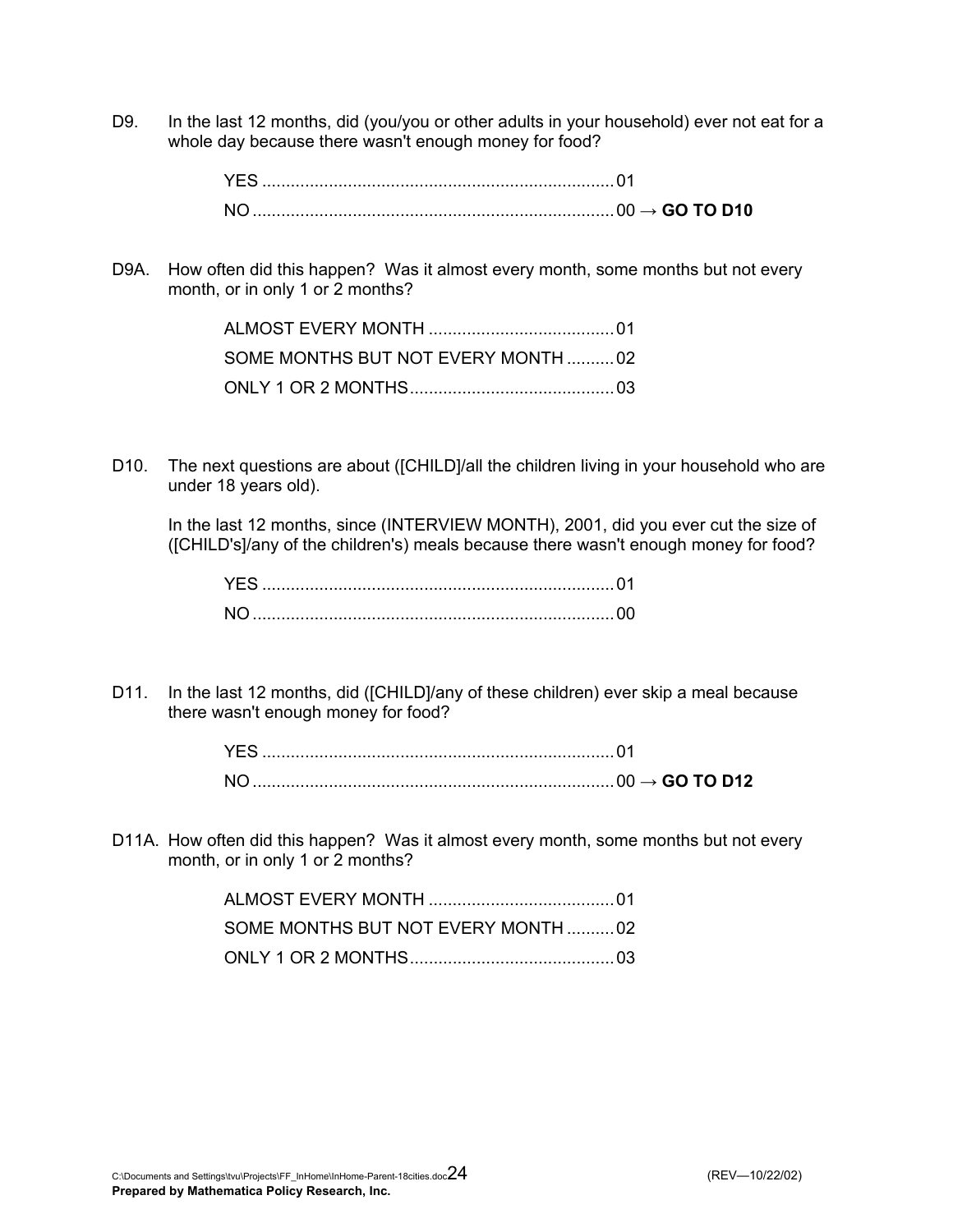D9. In the last 12 months, did (you/you or other adults in your household) ever not eat for a whole day because there wasn't enough money for food?

D9A. How often did this happen? Was it almost every month, some months but not every month, or in only 1 or 2 months?

| SOME MONTHS BUT NOT EVERY MONTH02 |
|-----------------------------------|
|                                   |

D10. The next questions are about ([CHILD]/all the children living in your household who are under 18 years old).

 In the last 12 months, since (INTERVIEW MONTH), 2001, did you ever cut the size of ([CHILD's]/any of the children's) meals because there wasn't enough money for food?

D11. In the last 12 months, did ([CHILD]/any of these children) ever skip a meal because there wasn't enough money for food?

|  | $\rightarrow$ GO TO D12 |
|--|-------------------------|

D11A. How often did this happen? Was it almost every month, some months but not every month, or in only 1 or 2 months?

| SOME MONTHS BUT NOT EVERY MONTH 02 |  |
|------------------------------------|--|
|                                    |  |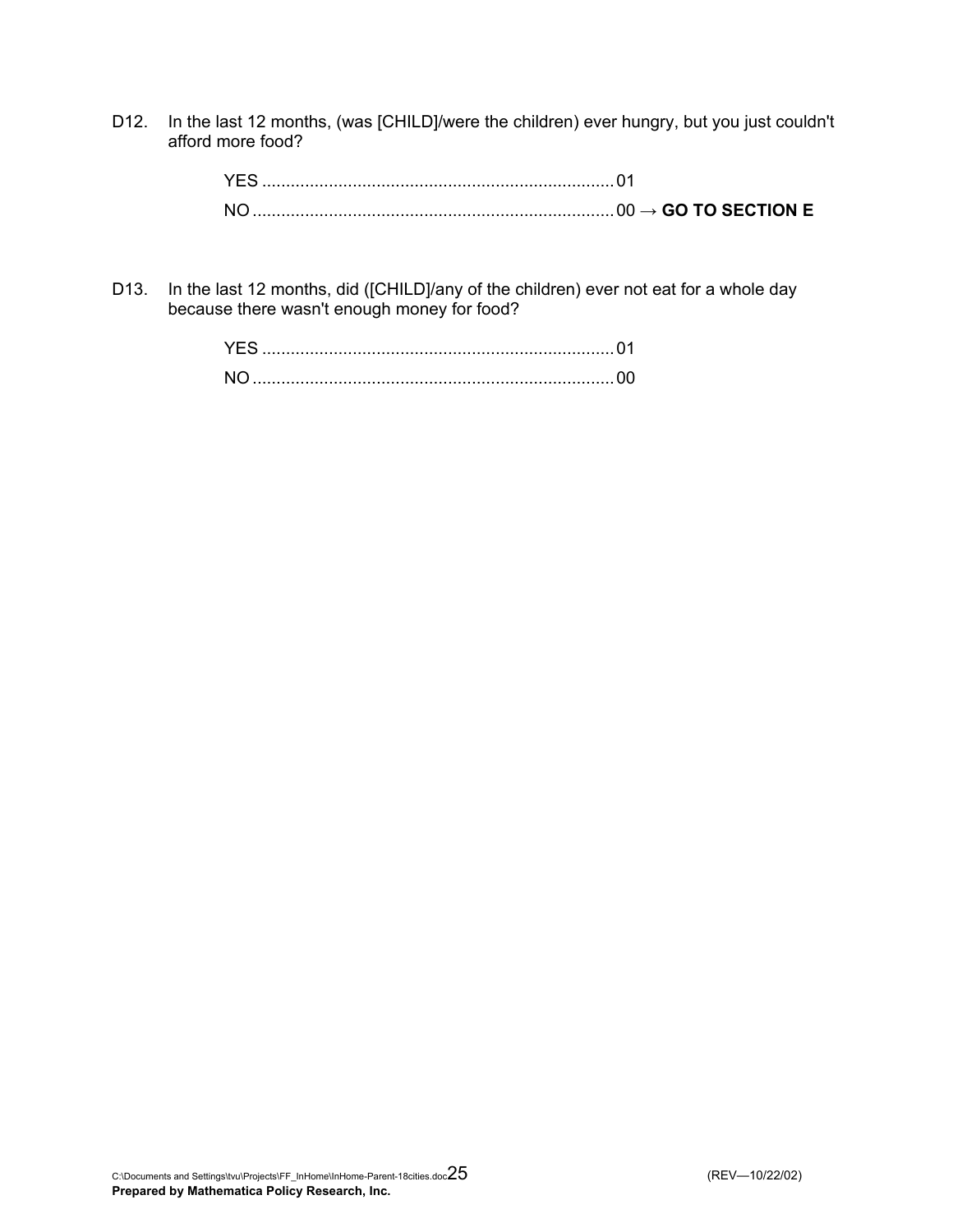D12. In the last 12 months, (was [CHILD]/were the children) ever hungry, but you just couldn't afford more food?

D13. In the last 12 months, did ([CHILD]/any of the children) ever not eat for a whole day because there wasn't enough money for food?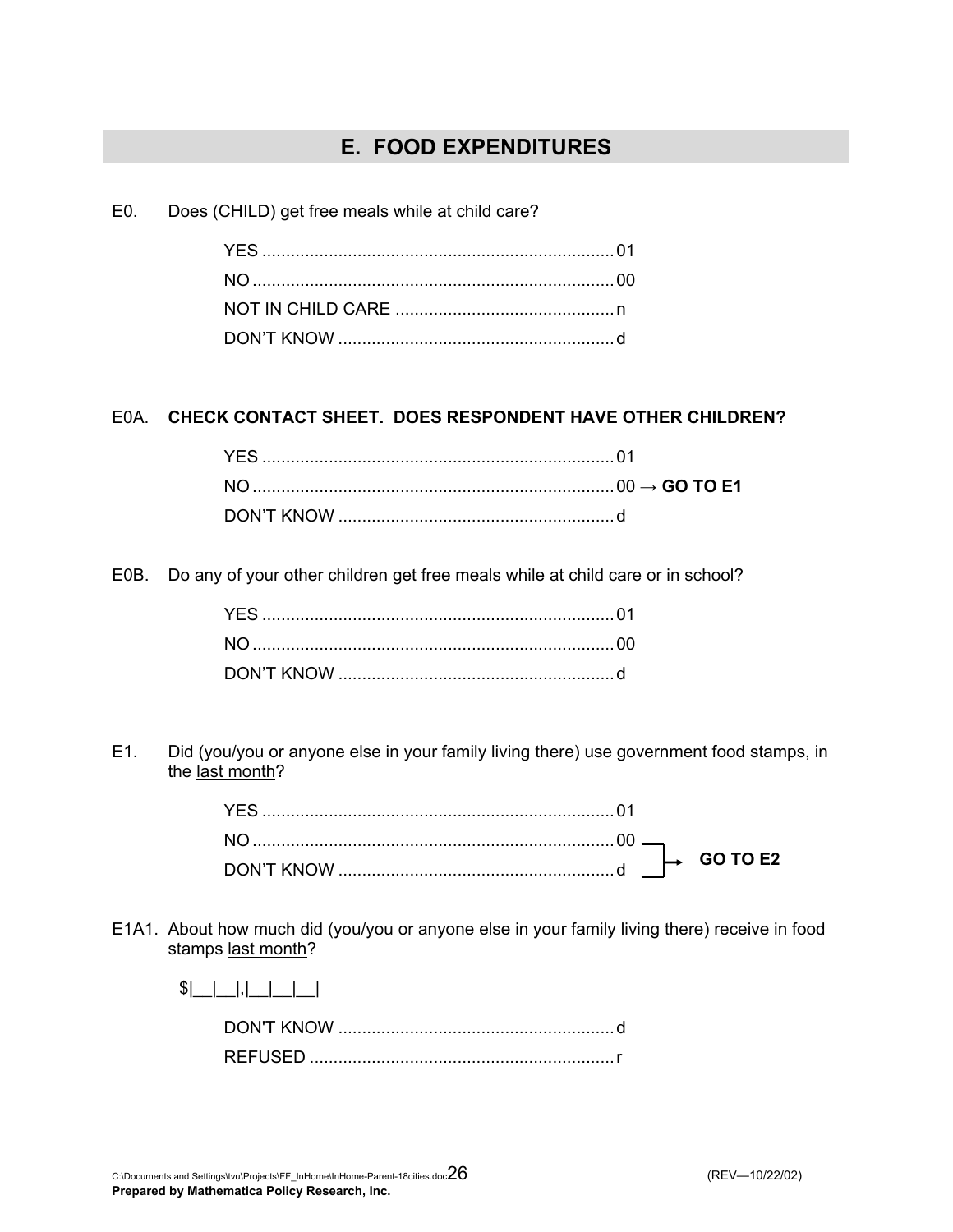### **E. FOOD EXPENDITURES**

E0. Does (CHILD) get free meals while at child care?

### E0A. **CHECK CONTACT SHEET. DOES RESPONDENT HAVE OTHER CHILDREN?**

E0B. Do any of your other children get free meals while at child care or in school?

E1. Did (you/you or anyone else in your family living there) use government food stamps, in the last month?

|  |  | 60 L |
|--|--|------|

- E1A1. About how much did (you/you or anyone else in your family living there) receive in food stamps last month?
	- $|S|$  |  $|$

 DON'T KNOW ..........................................................d REFUSED ................................................................r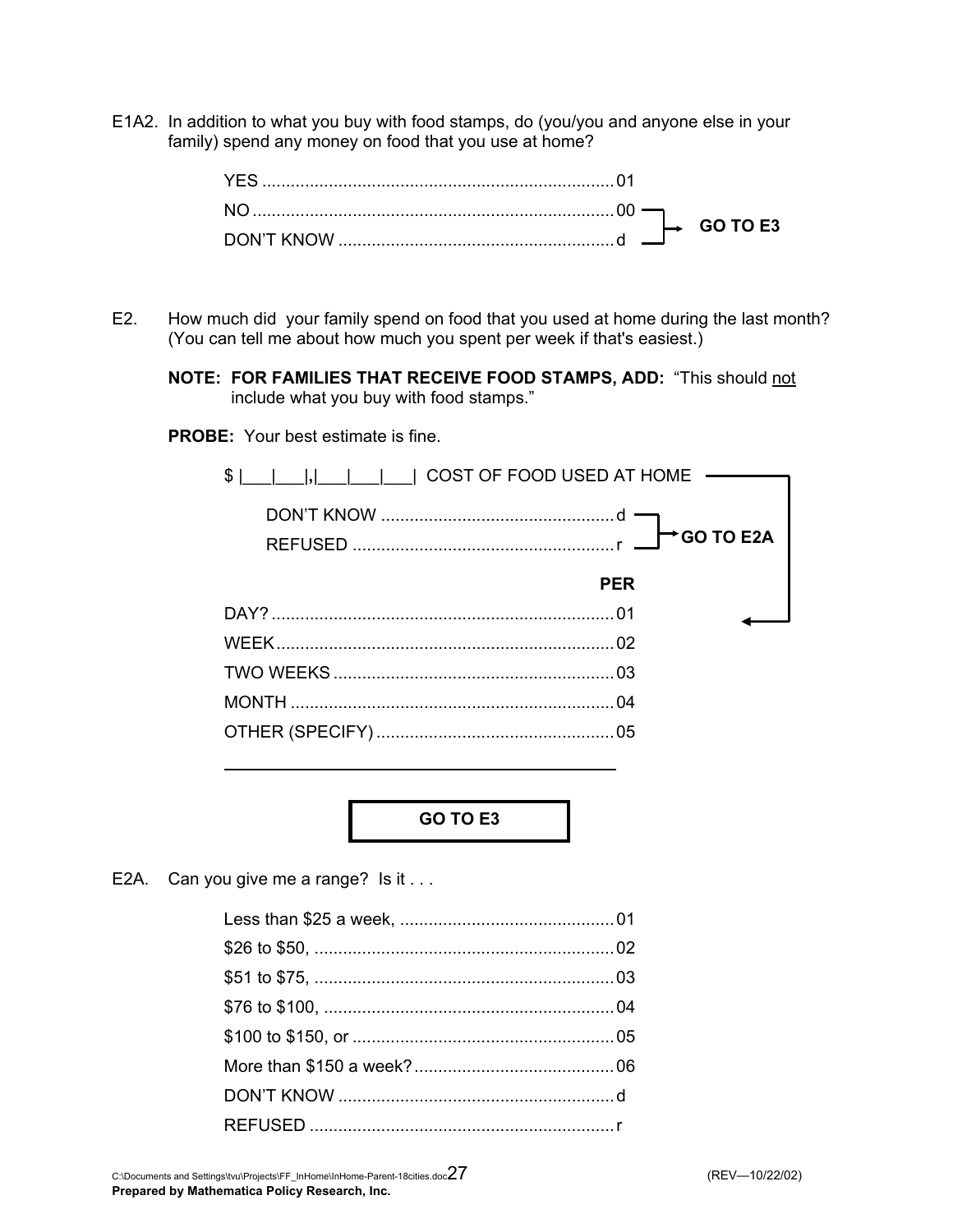E1A2. In addition to what you buy with food stamps, do (you/you and anyone else in your family) spend any money on food that you use at home?

|  |  | GO 1<br><b>TELESTING</b> |
|--|--|--------------------------|

- E2. How much did your family spend on food that you used at home during the last month? (You can tell me about how much you spent per week if that's easiest.)
	- **NOTE: FOR FAMILIES THAT RECEIVE FOOD STAMPS, ADD:** "This should not include what you buy with food stamps."

**PROBE:** Your best estimate is fine.



**GO TO E3** 

E2A. Can you give me a range? Is it ...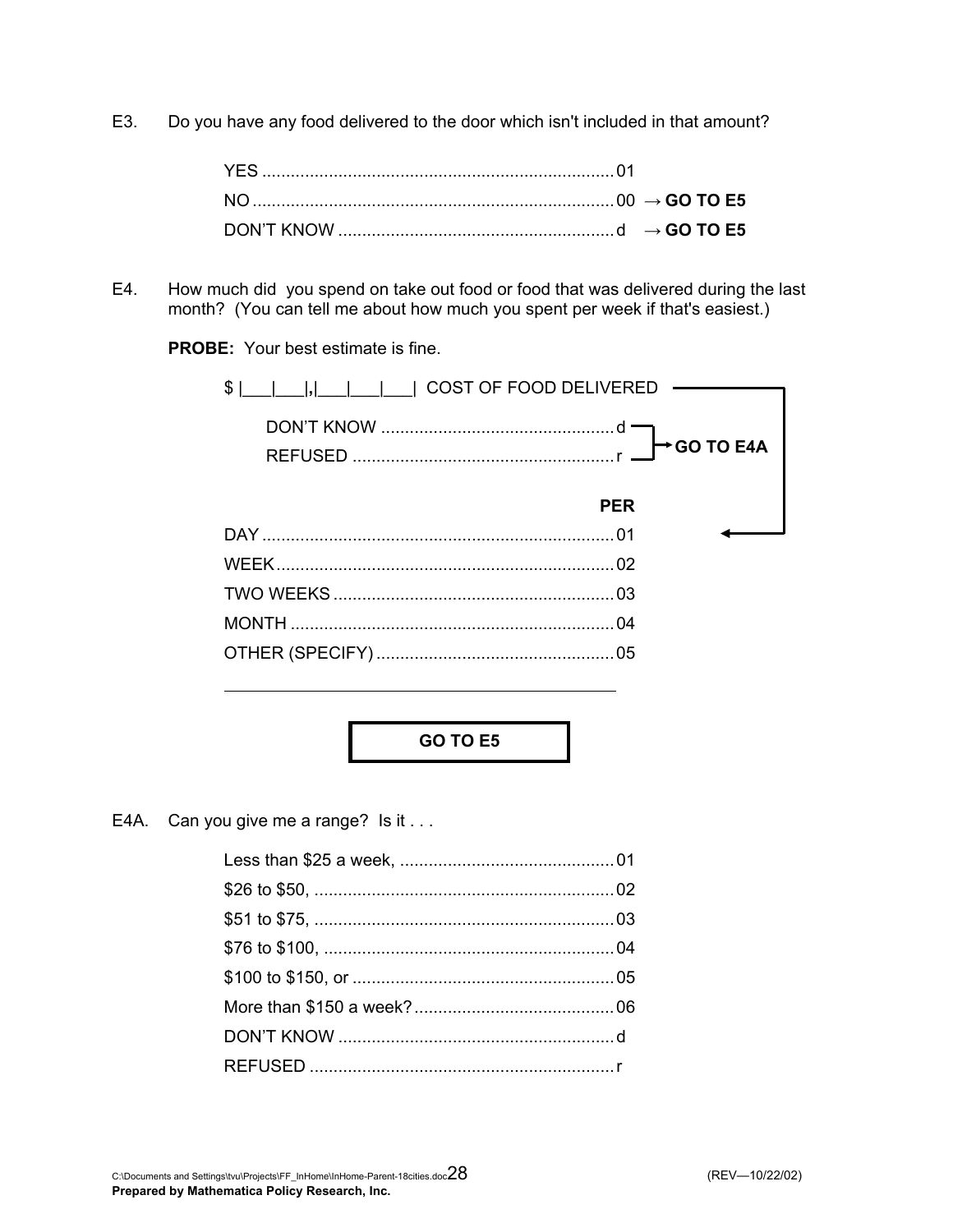E3. Do you have any food delivered to the door which isn't included in that amount?

E4. How much did you spend on take out food or food that was delivered during the last month? (You can tell me about how much you spent per week if that's easiest.)

**PROBE:** Your best estimate is fine.

| \$<br>      COST OF FOOD DELIVERED |
|------------------------------------|
| <b>→ GO TO E4A</b>                 |
| <b>PER</b>                         |
|                                    |
| 02                                 |
|                                    |
|                                    |
|                                    |

**GO TO E5** 

E4A. Can you give me a range? Is it . . .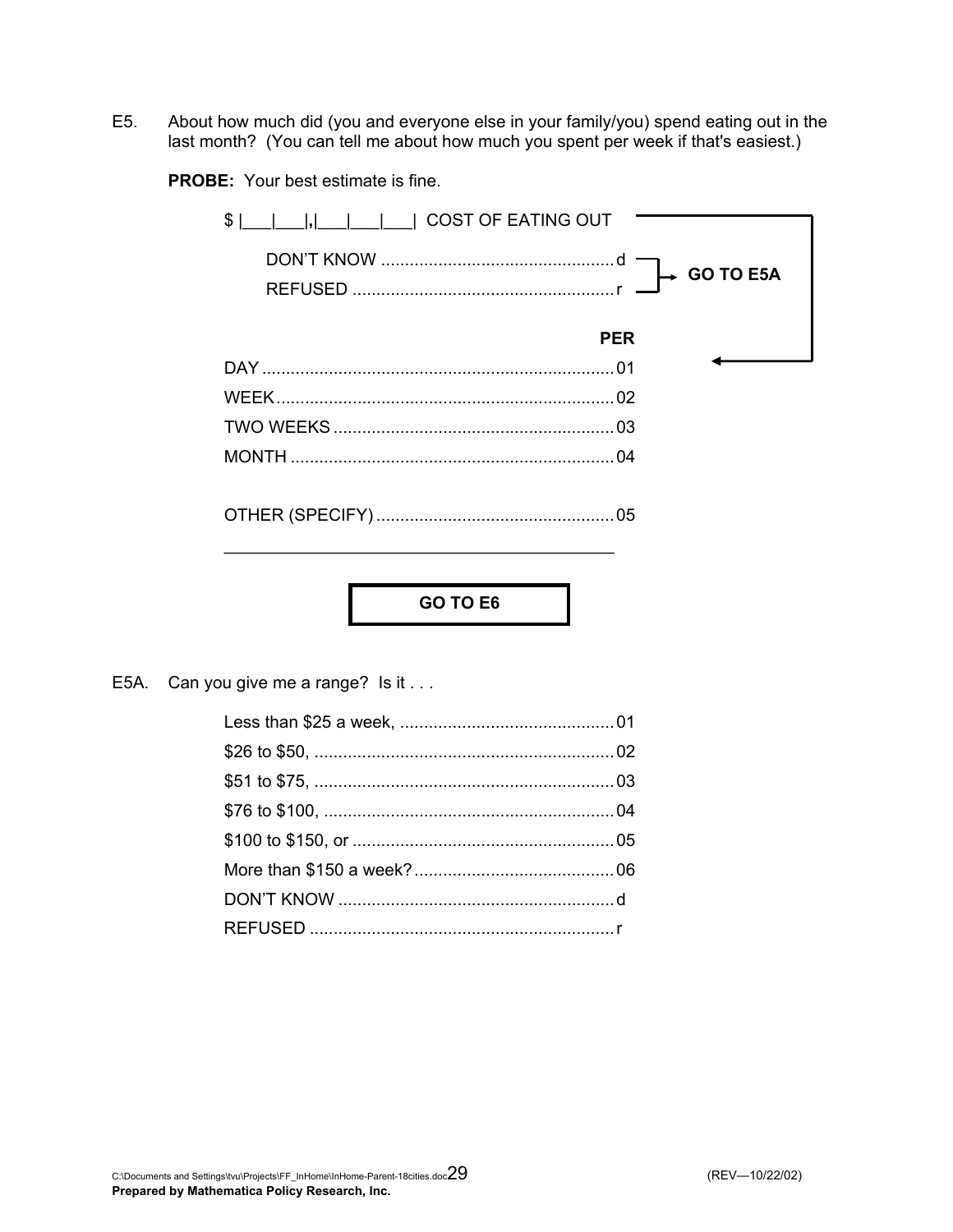E5. About how much did (you and everyone else in your family/you) spend eating out in the last month? (You can tell me about how much you spent per week if that's easiest.)

**PROBE:** Your best estimate is fine.

| COST OF EATING OUT<br>\$ |                  |
|--------------------------|------------------|
|                          | <b>GO TO E5A</b> |
|                          | <b>PER</b>       |
|                          |                  |
|                          |                  |
|                          |                  |
|                          |                  |
|                          |                  |

**GO TO E6** 

E5A. Can you give me a range? Is it . . .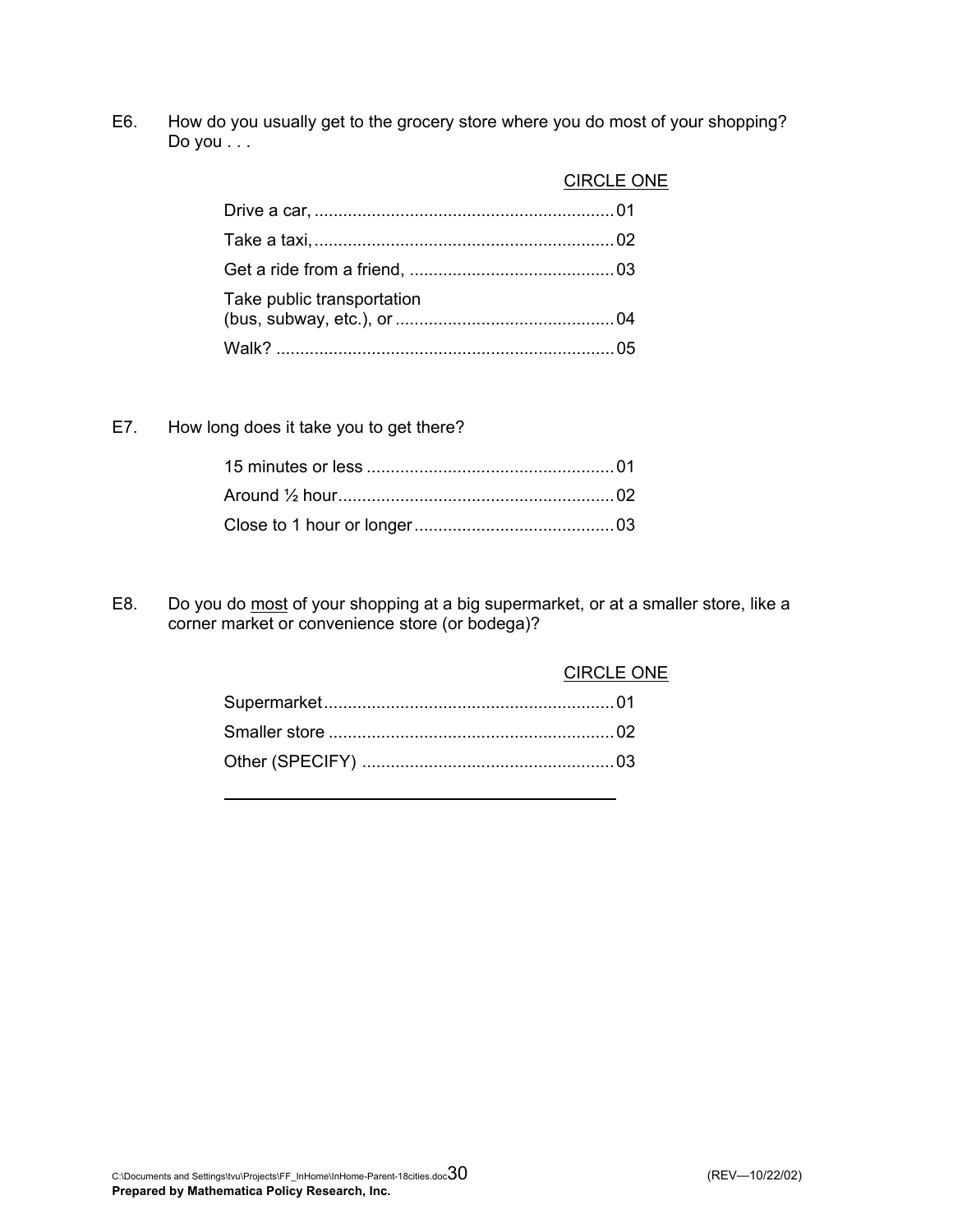E6. How do you usually get to the grocery store where you do most of your shopping? Do you . . .

|                            | <b>CIRCLE ONE</b> |
|----------------------------|-------------------|
|                            |                   |
|                            |                   |
|                            |                   |
| Take public transportation |                   |
|                            |                   |

E7. How long does it take you to get there?

E8. Do you do most of your shopping at a big supermarket, or at a smaller store, like a corner market or convenience store (or bodega)?

| CIRCLE ONE |
|------------|
|            |
|            |
|            |
|            |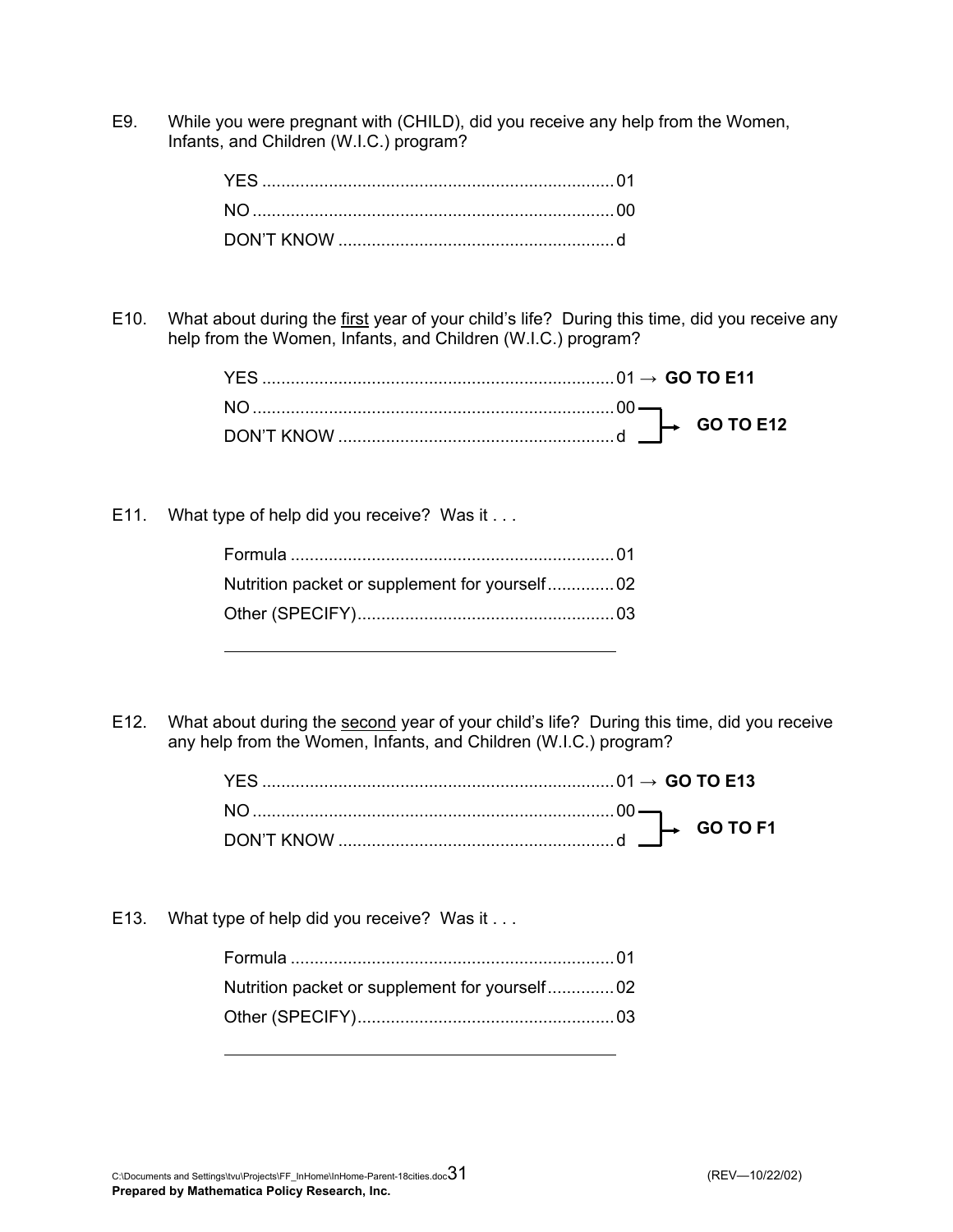E9. While you were pregnant with (CHILD), did you receive any help from the Women, Infants, and Children (W.I.C.) program?

E10. What about during the first year of your child's life? During this time, did you receive any help from the Women, Infants, and Children (W.I.C.) program?

|  |  | <b>GO TO E12</b><br>d $\blacksquare$ |
|--|--|--------------------------------------|

E11. What type of help did you receive? Was it . . .

E12. What about during the second year of your child's life? During this time, did you receive any help from the Women, Infants, and Children (W.I.C.) program?

| $\overline{O}$ GO TO F. |
|-------------------------|

E13. What type of help did you receive? Was it . . .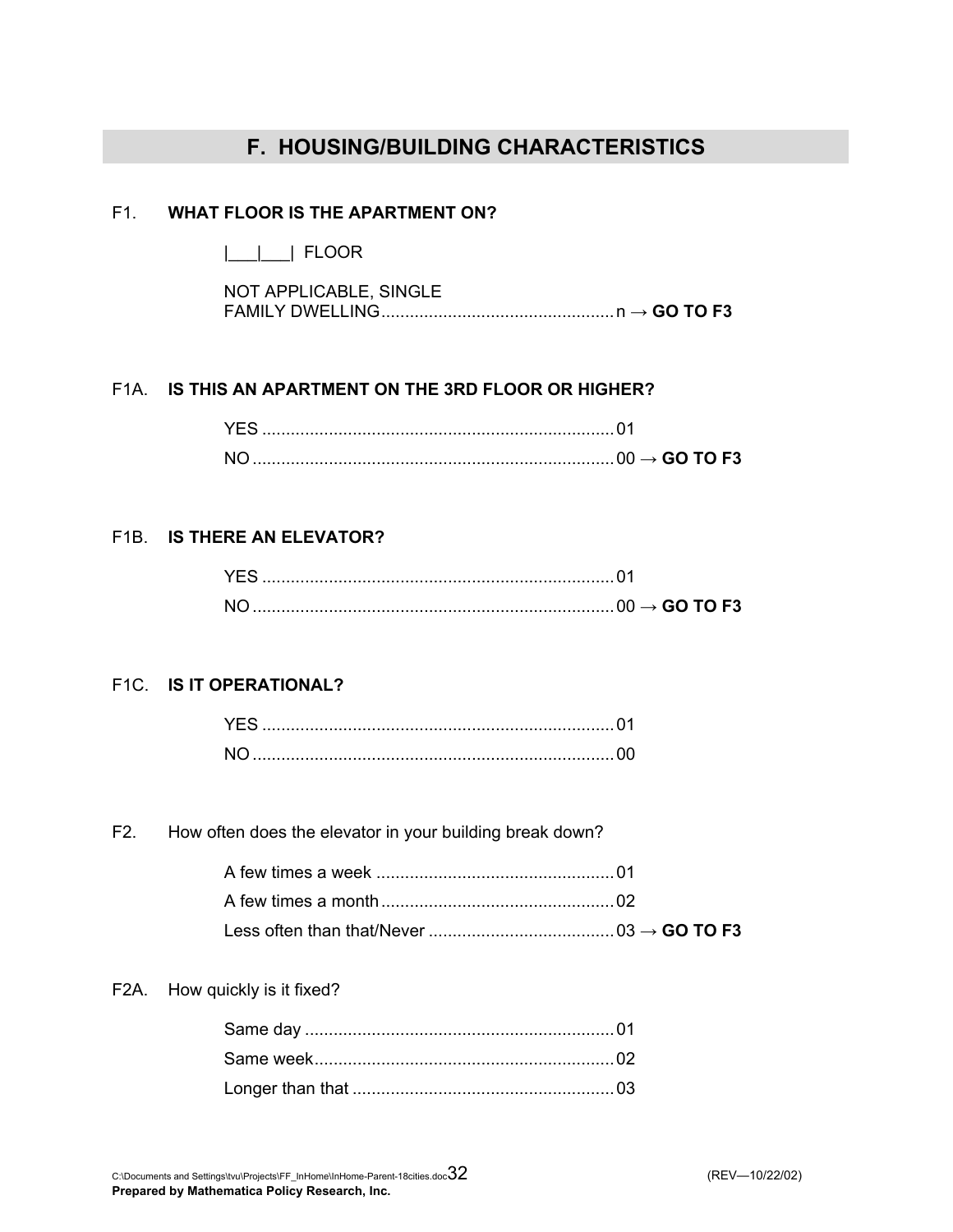# **F. HOUSING/BUILDING CHARACTERISTICS**

### F1. **WHAT FLOOR IS THE APARTMENT ON?**

|\_\_\_|\_\_\_| FLOOR

| NOT APPLICABLE, SINGLE |  |
|------------------------|--|
|                        |  |

### F1A. **IS THIS AN APARTMENT ON THE 3RD FLOOR OR HIGHER?**

|  | $\rightarrow$ GO TO F3 . |
|--|--------------------------|

### F1B. **IS THERE AN ELEVATOR?**

|  | GO TO F <sub>3</sub> |
|--|----------------------|

### F1C. **IS IT OPERATIONAL?**

### F2. How often does the elevator in your building break down?

### F2A. How quickly is it fixed?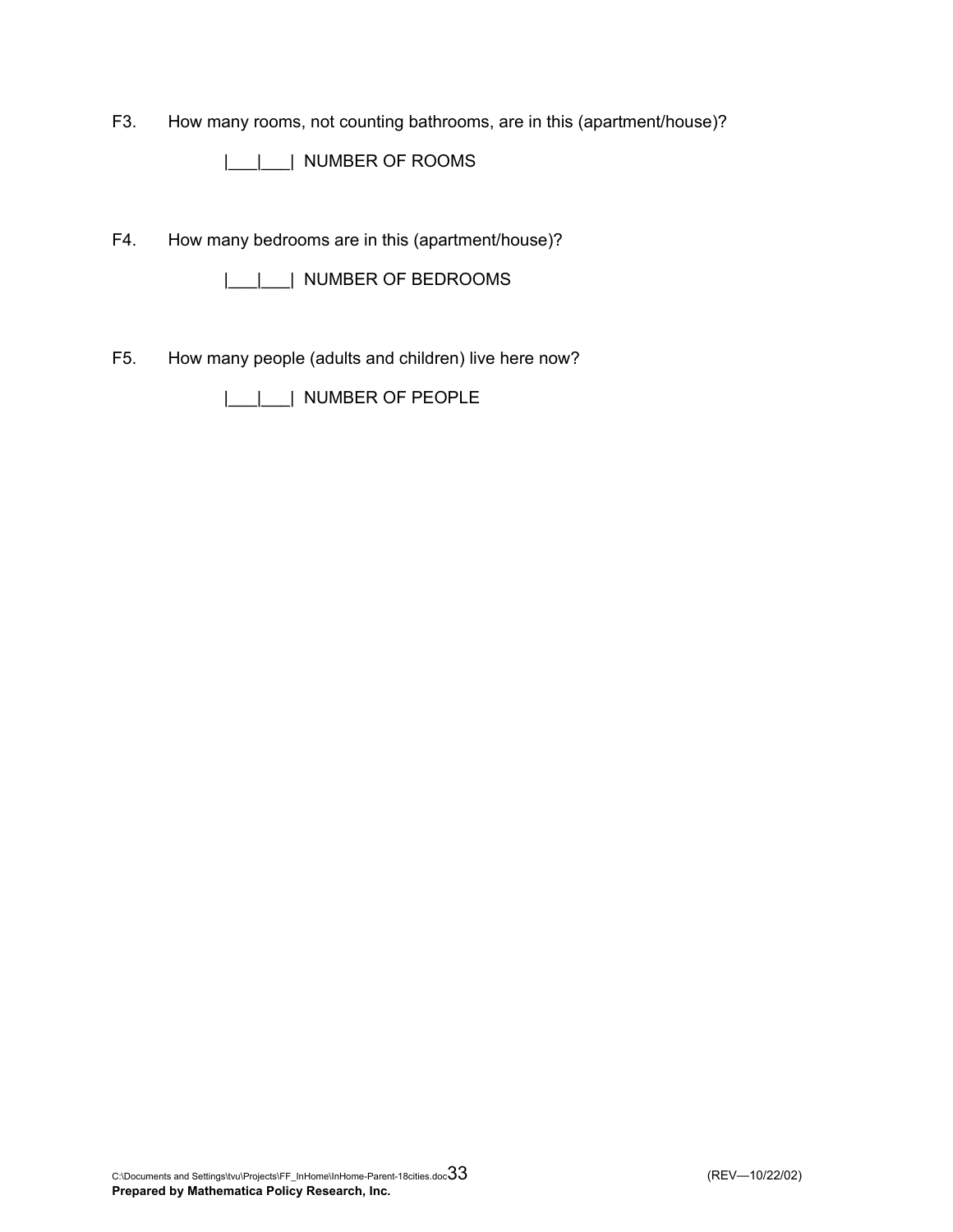F3. How many rooms, not counting bathrooms, are in this (apartment/house)?

|\_\_\_|\_\_\_| NUMBER OF ROOMS

F4. How many bedrooms are in this (apartment/house)?

|\_\_\_|\_\_\_| NUMBER OF BEDROOMS

F5. How many people (adults and children) live here now?

|\_\_\_|\_\_\_| NUMBER OF PEOPLE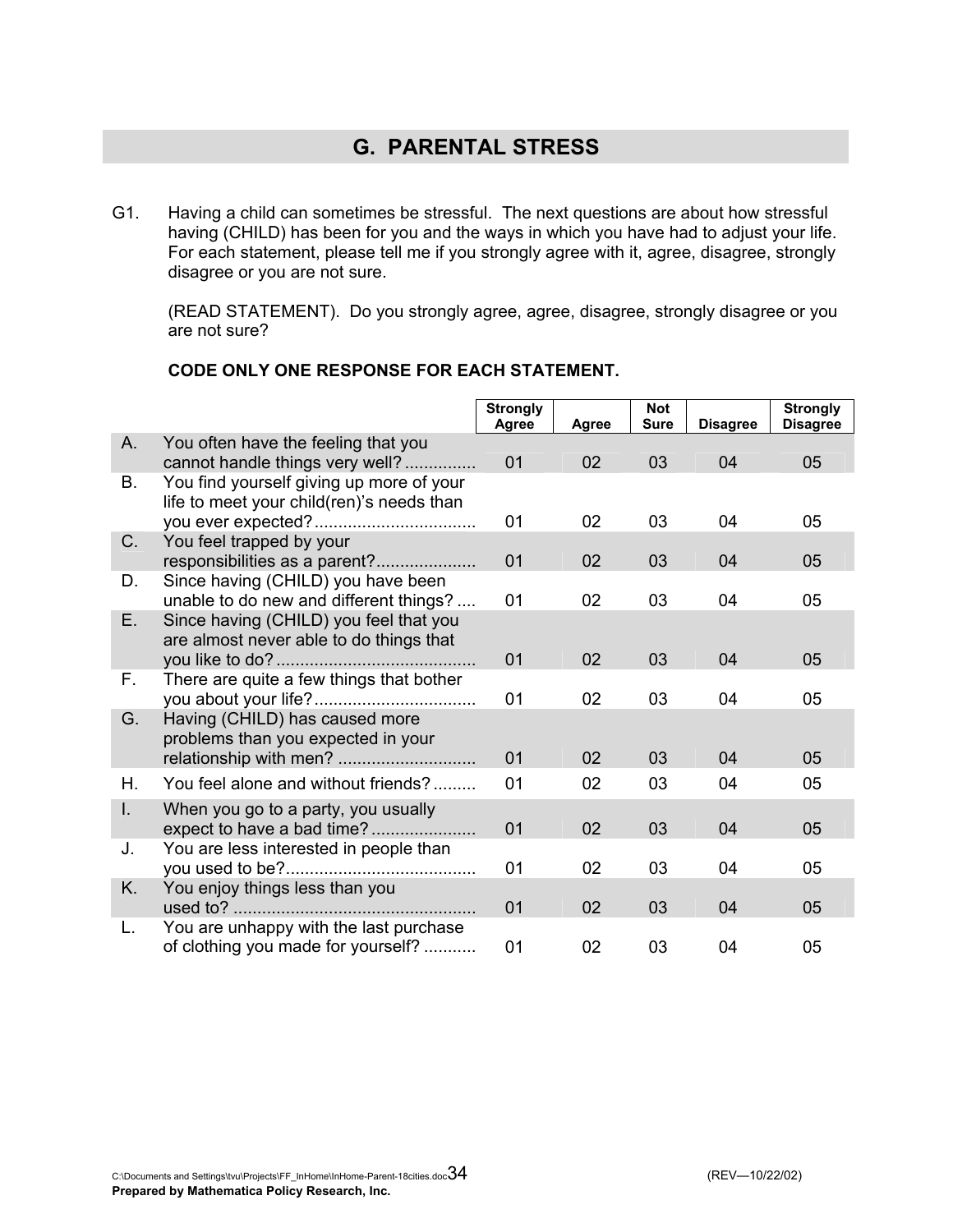# **G. PARENTAL STRESS**

G1. Having a child can sometimes be stressful. The next questions are about how stressful having (CHILD) has been for you and the ways in which you have had to adjust your life. For each statement, please tell me if you strongly agree with it, agree, disagree, strongly disagree or you are not sure.

 (READ STATEMENT). Do you strongly agree, agree, disagree, strongly disagree or you are not sure?

|           |                                                                                       | <b>Strongly</b> |              | <b>Not</b><br><b>Sure</b> |                 | <b>Strongly</b> |
|-----------|---------------------------------------------------------------------------------------|-----------------|--------------|---------------------------|-----------------|-----------------|
| A.        |                                                                                       | Agree           | <b>Agree</b> |                           | <b>Disagree</b> | <b>Disagree</b> |
|           | You often have the feeling that you<br>cannot handle things very well?                | 01              | 02           | 03                        | 04              | 05              |
| <b>B.</b> | You find yourself giving up more of your<br>life to meet your child(ren)'s needs than |                 |              |                           |                 |                 |
|           |                                                                                       | 01              | 02           | 03                        | 04              | 05              |
| C.        | You feel trapped by your<br>responsibilities as a parent?                             | 01              | 02           | 03                        | 04              | 05              |
| D.        | Since having (CHILD) you have been<br>unable to do new and different things?          | 01              | 02           | 03                        | 04              | 05              |
| E.        | Since having (CHILD) you feel that you<br>are almost never able to do things that     |                 |              |                           |                 |                 |
|           |                                                                                       | 01              | 02           | 03                        | 04              | 05              |
| F.        | There are quite a few things that bother                                              | 01              | 02           | 03                        | 04              | 05              |
| G.        | Having (CHILD) has caused more<br>problems than you expected in your                  | 01              | 02           | 03                        | 04              | 05              |
| Η.        | You feel alone and without friends?                                                   | 01              | 02           | 03                        | 04              | 05              |
| I.        | When you go to a party, you usually<br>expect to have a bad time?                     | 01              | 02           | 03                        | 04              | 05              |
| J.        | You are less interested in people than                                                | 01              | 02           | 03                        | 04              | 05              |
| K.        | You enjoy things less than you                                                        | 01              | 02           | 03                        | 04              | 05              |
| L.        | You are unhappy with the last purchase<br>of clothing you made for yourself?          | 01              | 02           | 03                        | 04              | 05              |

### **CODE ONLY ONE RESPONSE FOR EACH STATEMENT.**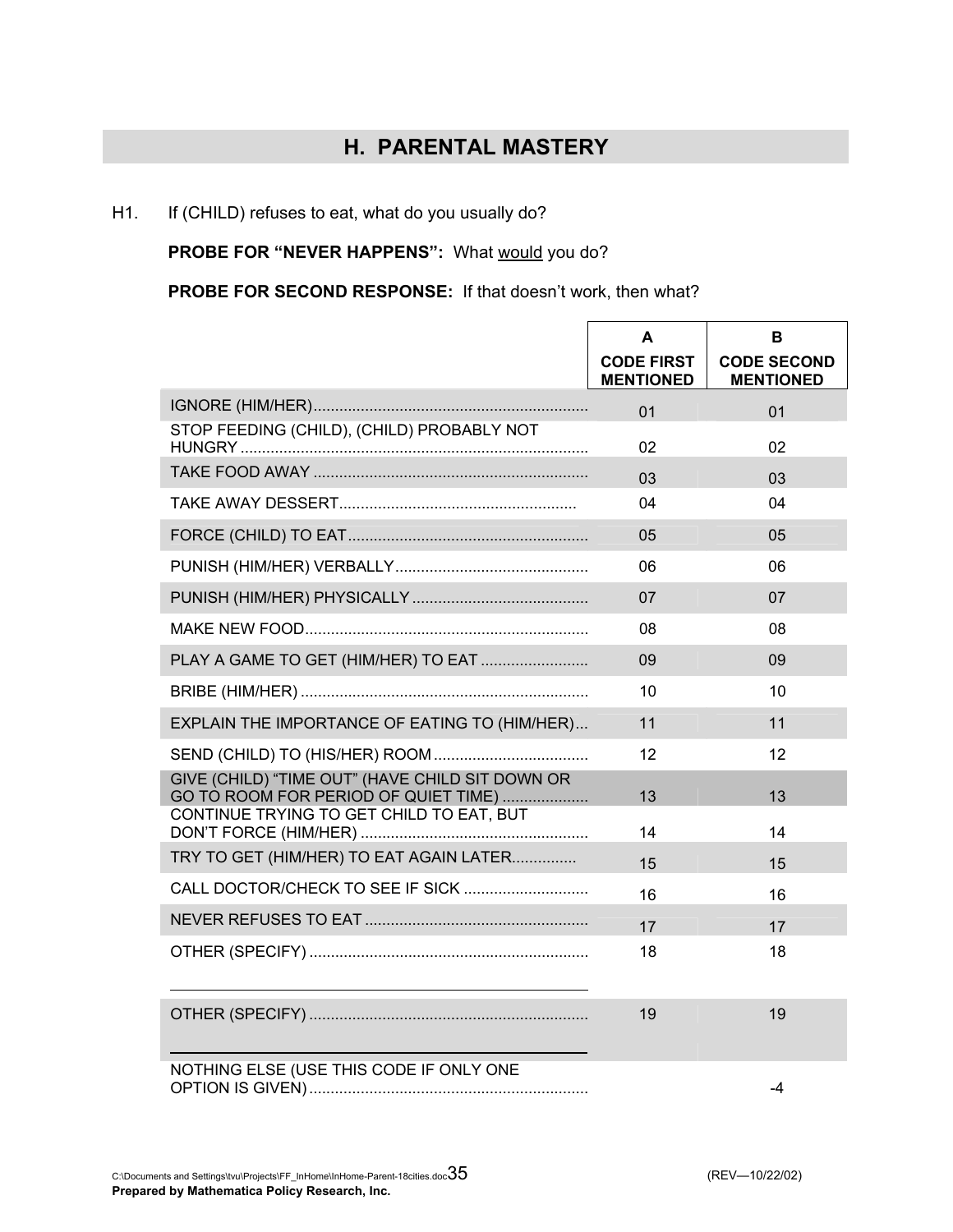# **H. PARENTAL MASTERY**

### H1. If (CHILD) refuses to eat, what do you usually do?

PROBE FOR "NEVER HAPPENS": What would you do?

**PROBE FOR SECOND RESPONSE:** If that doesn't work, then what?

|                                                                                                                                     | A<br><b>CODE FIRST</b><br><b>MENTIONED</b> | B<br><b>CODE SECOND</b> |
|-------------------------------------------------------------------------------------------------------------------------------------|--------------------------------------------|-------------------------|
|                                                                                                                                     | 01                                         | <b>MENTIONED</b><br>01  |
| STOP FEEDING (CHILD), (CHILD) PROBABLY NOT                                                                                          | 02                                         | 02                      |
|                                                                                                                                     | 03                                         | 0 <sub>3</sub>          |
|                                                                                                                                     | 04                                         | 04                      |
|                                                                                                                                     | 05                                         | 05                      |
|                                                                                                                                     | 06                                         | 06                      |
|                                                                                                                                     | 07                                         | 07                      |
|                                                                                                                                     | 08                                         | 08                      |
| PLAY A GAME TO GET (HIM/HER) TO EAT                                                                                                 | 09                                         | 09                      |
|                                                                                                                                     | 10                                         | 10                      |
| EXPLAIN THE IMPORTANCE OF EATING TO (HIM/HER)                                                                                       | 11                                         | 11                      |
|                                                                                                                                     | 12                                         | 12                      |
| GIVE (CHILD) "TIME OUT" (HAVE CHILD SIT DOWN OR<br>GO TO ROOM FOR PERIOD OF QUIET TIME)<br>CONTINUE TRYING TO GET CHILD TO EAT, BUT | 13                                         | 13                      |
|                                                                                                                                     | 14                                         | 14                      |
| TRY TO GET (HIM/HER) TO EAT AGAIN LATER                                                                                             | 15                                         | 15                      |
|                                                                                                                                     | 16                                         | 16                      |
|                                                                                                                                     | 17                                         | 17                      |
|                                                                                                                                     | 18                                         | 18                      |
|                                                                                                                                     | 19                                         | 19                      |
| NOTHING ELSE (USE THIS CODE IF ONLY ONE                                                                                             |                                            | -4                      |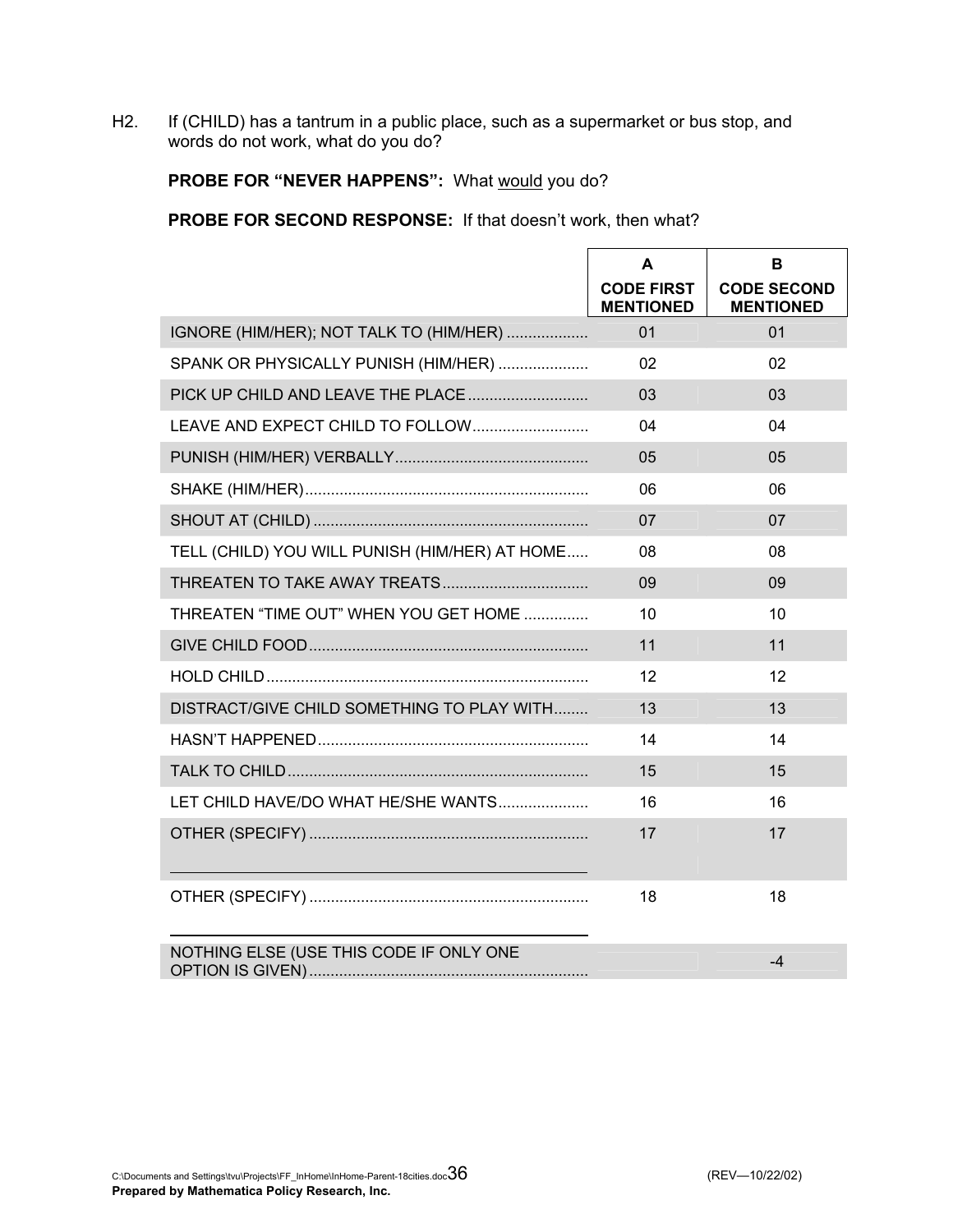H2. If (CHILD) has a tantrum in a public place, such as a supermarket or bus stop, and words do not work, what do you do?

### PROBE FOR "NEVER HAPPENS": What would you do?

**PROBE FOR SECOND RESPONSE:** If that doesn't work, then what?

|                                                | A<br><b>CODE FIRST</b><br><b>MENTIONED</b> | B<br><b>CODE SECOND</b><br><b>MENTIONED</b> |
|------------------------------------------------|--------------------------------------------|---------------------------------------------|
| IGNORE (HIM/HER); NOT TALK TO (HIM/HER)        | 01                                         | 01                                          |
| SPANK OR PHYSICALLY PUNISH (HIM/HER)           | 02                                         | 02                                          |
|                                                | 03                                         | 03                                          |
| LEAVE AND EXPECT CHILD TO FOLLOW               | 04                                         | 04                                          |
|                                                | 05                                         | 05                                          |
|                                                | 06                                         | 06                                          |
|                                                | 07                                         | 07                                          |
| TELL (CHILD) YOU WILL PUNISH (HIM/HER) AT HOME | 08                                         | 08                                          |
|                                                | 09                                         | 09                                          |
| THREATEN "TIME OUT" WHEN YOU GET HOME          | 10                                         | 10                                          |
|                                                | 11                                         | 11                                          |
|                                                | 12                                         | 12                                          |
| DISTRACT/GIVE CHILD SOMETHING TO PLAY WITH     | 13                                         | 13                                          |
|                                                | 14                                         | 14                                          |
|                                                | 15                                         | 15                                          |
| LET CHILD HAVE/DO WHAT HE/SHE WANTS            | 16                                         | 16                                          |
|                                                | 17                                         | 17                                          |
|                                                |                                            |                                             |
|                                                | 18                                         | 18                                          |
| NOTHING ELSE (USE THIS CODE IF ONLY ONE        |                                            | $-4$                                        |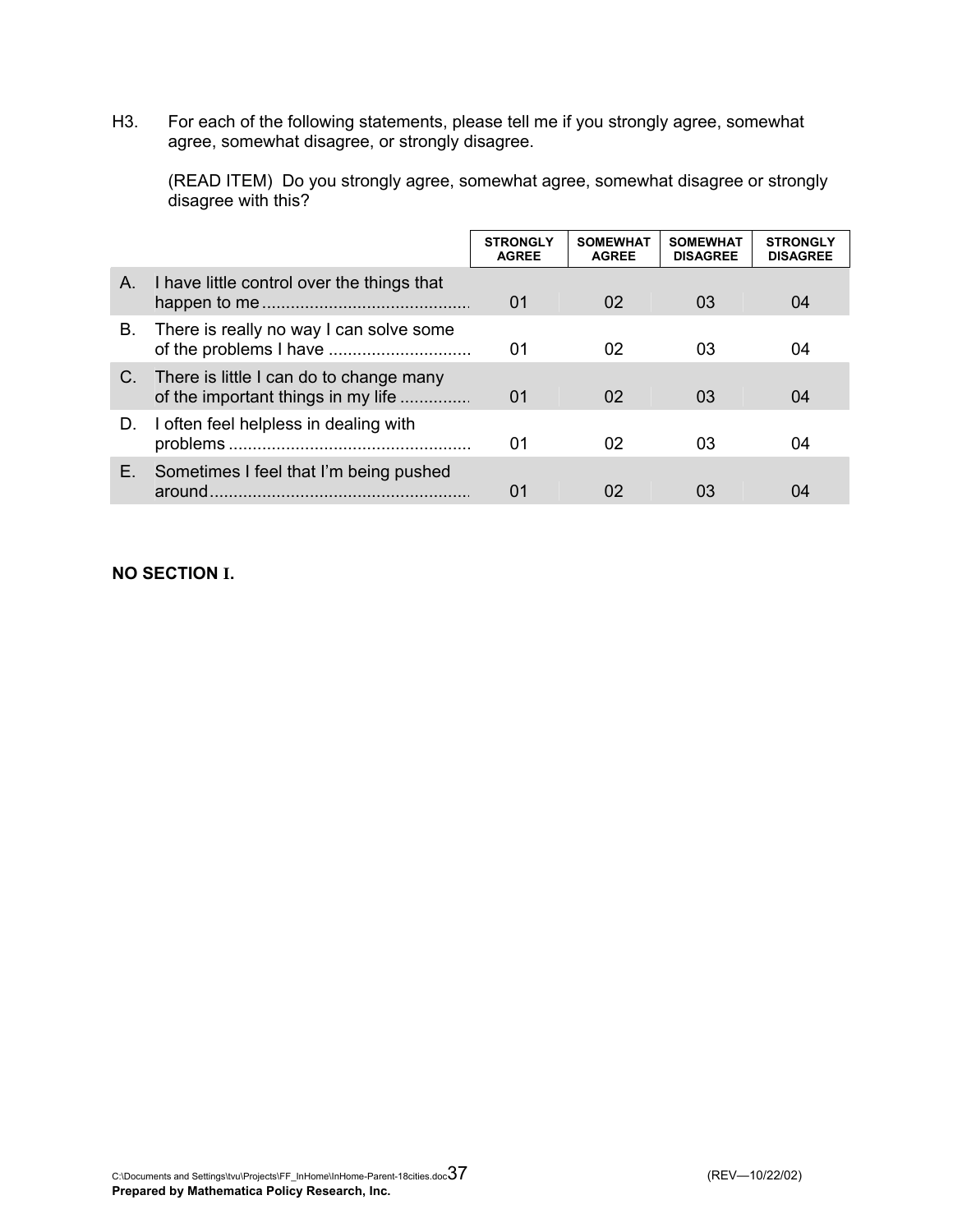H3. For each of the following statements, please tell me if you strongly agree, somewhat agree, somewhat disagree, or strongly disagree.

 (READ ITEM) Do you strongly agree, somewhat agree, somewhat disagree or strongly disagree with this?

|    |                                                                                  | <b>STRONGLY</b><br><b>AGREE</b> | <b>SOMEWHAT</b><br><b>AGREE</b> | <b>SOMEWHAT</b><br><b>DISAGREE</b> | <b>STRONGLY</b><br><b>DISAGREE</b> |
|----|----------------------------------------------------------------------------------|---------------------------------|---------------------------------|------------------------------------|------------------------------------|
| A. | I have little control over the things that                                       | 01                              | 02                              | 03                                 | 04                                 |
| В. | There is really no way I can solve some                                          | 01                              | 02                              | 03                                 | 04                                 |
|    | C. There is little I can do to change many<br>of the important things in my life | 01                              | 02                              | 03                                 | 04                                 |
| D. | I often feel helpless in dealing with                                            | 01                              | 02                              | 03                                 | 04                                 |
| Е. | Sometimes I feel that I'm being pushed<br>around                                 | 01                              | 02                              | 03                                 | 04                                 |

### **NO SECTION I.**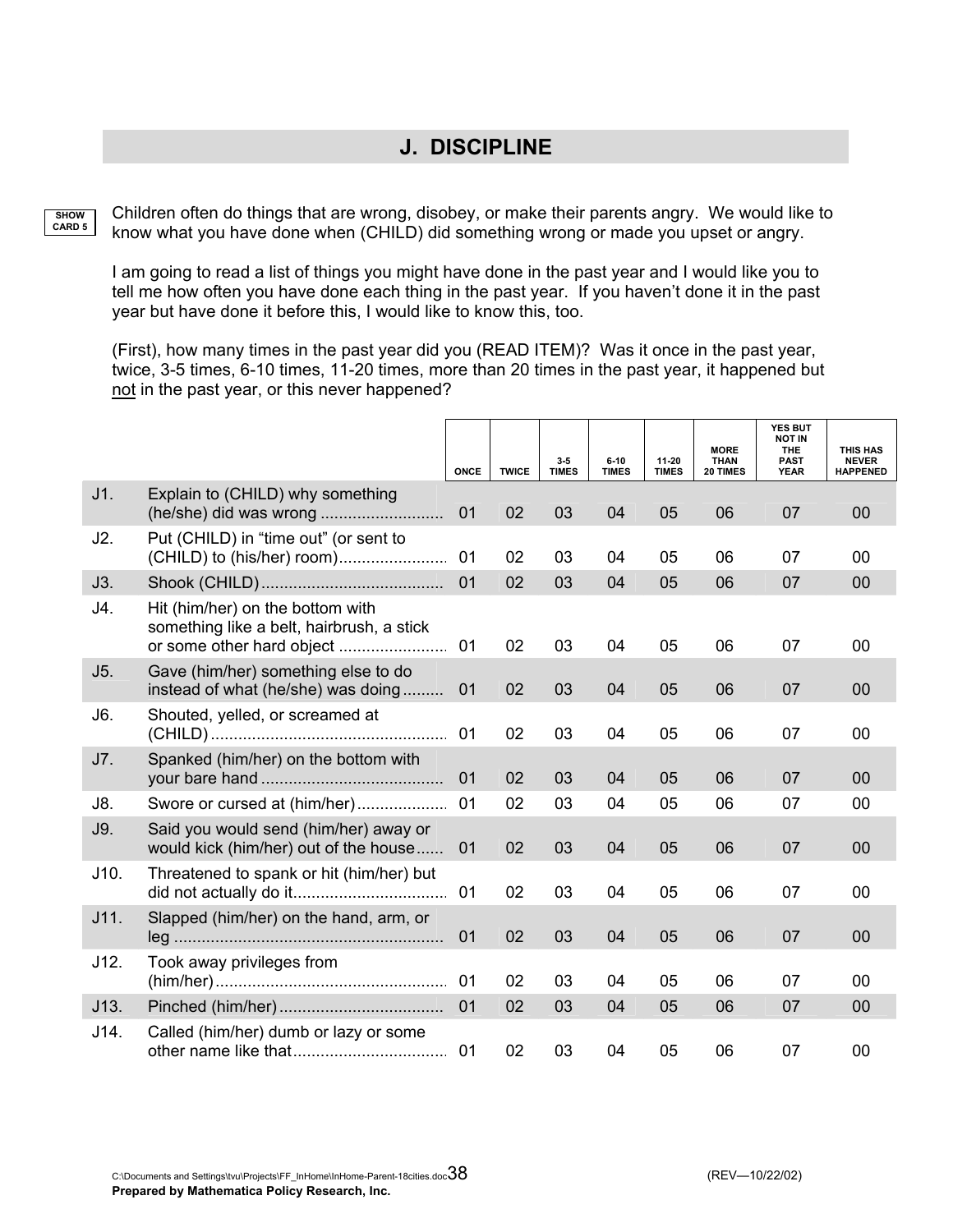## **J. DISCIPLINE**

**SHOW CARD 5** Children often do things that are wrong, disobey, or make their parents angry. We would like to know what you have done when (CHILD) did something wrong or made you upset or angry.

I am going to read a list of things you might have done in the past year and I would like you to tell me how often you have done each thing in the past year. If you haven't done it in the past year but have done it before this, I would like to know this, too.

(First), how many times in the past year did you (READ ITEM)? Was it once in the past year, twice, 3-5 times, 6-10 times, 11-20 times, more than 20 times in the past year, it happened but not in the past year, or this never happened?

|      |                                                                                | <b>ONCE</b> | <b>TWICE</b> | 3.5<br><b>TIMES</b> | $6 - 10$<br><b>TIMES</b> | 11-20<br><b>TIMES</b> | <b>MORE</b><br><b>THAN</b><br>20 TIMES | YES BUT<br><b>NOT IN</b><br><b>THE</b><br><b>PAST</b><br><b>YEAR</b> | <b>THIS HAS</b><br><b>NEVER</b><br><b>HAPPENED</b> |
|------|--------------------------------------------------------------------------------|-------------|--------------|---------------------|--------------------------|-----------------------|----------------------------------------|----------------------------------------------------------------------|----------------------------------------------------|
| J1.  | Explain to (CHILD) why something                                               | 01          | 02           | 03                  | 04                       | 05                    | 06                                     | 07                                                                   | 00                                                 |
| J2.  | Put (CHILD) in "time out" (or sent to                                          | 01          | 02           | 03                  | 04                       | 05                    | 06                                     | 07                                                                   | 00                                                 |
| J3.  |                                                                                | 01          | 02           | 03                  | 04                       | 05                    | 06                                     | 07                                                                   | 00                                                 |
| J4.  | Hit (him/her) on the bottom with<br>something like a belt, hairbrush, a stick  | 01          | 02           | 03                  | 04                       | 05                    | 06                                     | 07                                                                   | 00                                                 |
| J5.  | Gave (him/her) something else to do<br>instead of what (he/she) was doing      | 01          | 02           | 03                  | 04                       | 05                    | 06                                     | 07                                                                   | 00                                                 |
| J6.  | Shouted, yelled, or screamed at                                                | 01          | 02           | 03                  | 04                       | 05                    | 06                                     | 07                                                                   | 00                                                 |
| J7.  | Spanked (him/her) on the bottom with                                           | 01          | 02           | 03                  | 04                       | 05                    | 06                                     | 07                                                                   | 00                                                 |
| J8.  | Swore or cursed at (him/her)                                                   | 01          | 02           | 03                  | 04                       | 05                    | 06                                     | 07                                                                   | 00                                                 |
| J9.  | Said you would send (him/her) away or<br>would kick (him/her) out of the house | 01          | 02           | 03                  | 04                       | 05                    | 06                                     | 07                                                                   | 00                                                 |
| J10. | Threatened to spank or hit (him/her) but                                       | 01          | 02           | 03                  | 04                       | 05                    | 06                                     | 07                                                                   | 00                                                 |
| J11. | Slapped (him/her) on the hand, arm, or                                         | 01          | 02           | 03                  | 04                       | 05                    | 06                                     | 07                                                                   | 00                                                 |
| J12. | Took away privileges from                                                      | 01          | 02           | 03                  | 04                       | 05                    | 06                                     | 07                                                                   | 00                                                 |
| J13. |                                                                                | 01          | 02           | 03                  | 04                       | 05                    | 06                                     | 07                                                                   | 00                                                 |
| J14. | Called (him/her) dumb or lazy or some                                          |             | 02           | 03                  | 04                       | 05                    | 06                                     | 07                                                                   | 00                                                 |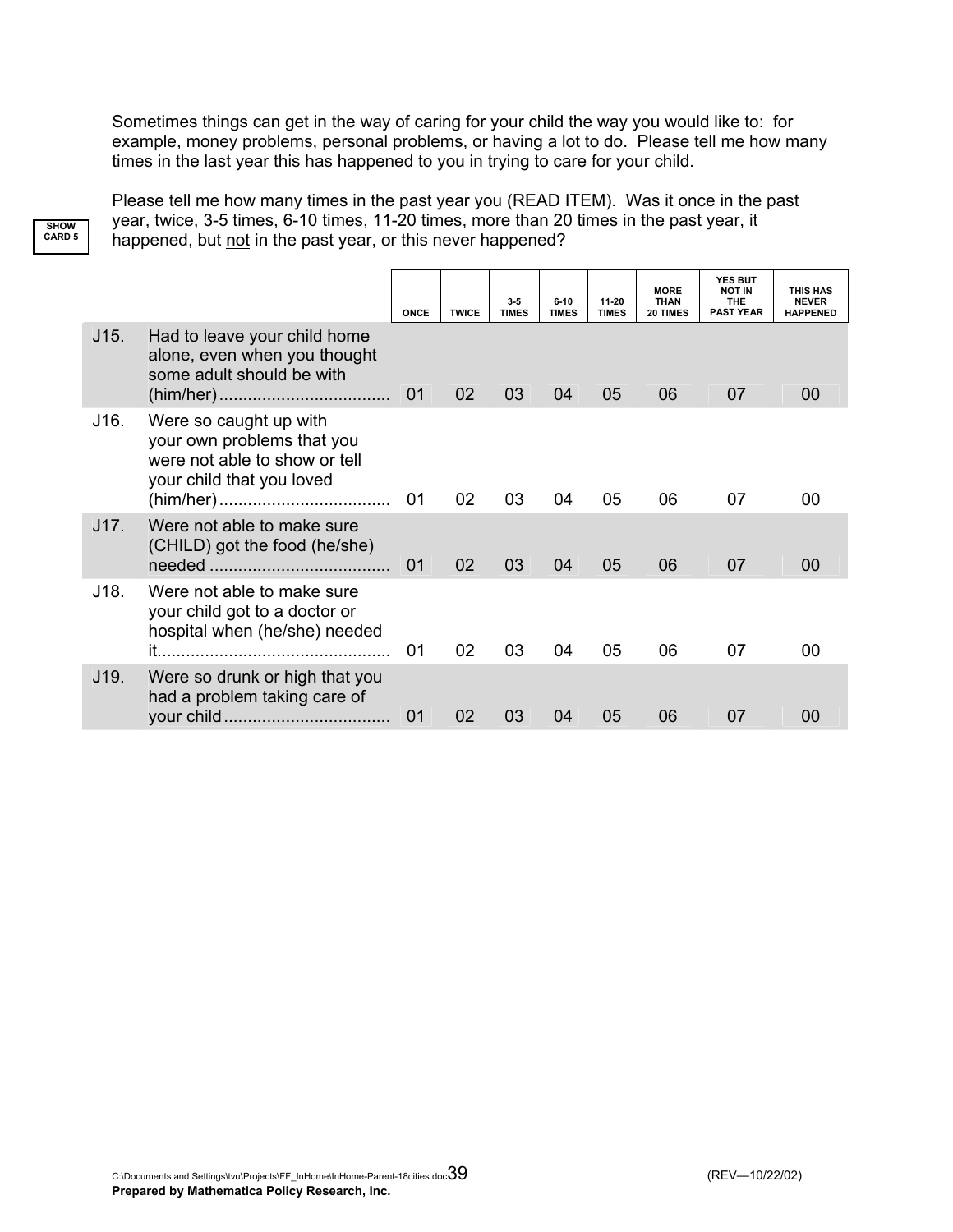Sometimes things can get in the way of caring for your child the way you would like to: for example, money problems, personal problems, or having a lot to do. Please tell me how many times in the last year this has happened to you in trying to care for your child.

Please tell me how many times in the past year you (READ ITEM). Was it once in the past year, twice, 3-5 times, 6-10 times, 11-20 times, more than 20 times in the past year, it happened, but not in the past year, or this never happened?

**SHOW CARD 5**

|      |                                                                                                                    | ONCE | <b>TWICE</b> | $3-5$<br><b>TIMES</b> | $6 - 10$<br><b>TIMES</b> | 11-20<br><b>TIMES</b> | <b>MORE</b><br><b>THAN</b><br>20 TIMES | <b>YES BUT</b><br><b>NOT IN</b><br><b>THE</b><br><b>PAST YEAR</b> | <b>THIS HAS</b><br><b>NEVER</b><br><b>HAPPENED</b> |
|------|--------------------------------------------------------------------------------------------------------------------|------|--------------|-----------------------|--------------------------|-----------------------|----------------------------------------|-------------------------------------------------------------------|----------------------------------------------------|
| J15. | Had to leave your child home<br>alone, even when you thought<br>some adult should be with                          | 01   | 02           | 03                    | 04                       | 05                    | 06                                     | 07                                                                | 00                                                 |
| J16. | Were so caught up with<br>your own problems that you<br>were not able to show or tell<br>your child that you loved | 01   | 02           | 03                    | 04                       | 05                    | 06                                     | 07                                                                | 00                                                 |
| J17. | Were not able to make sure<br>(CHILD) got the food (he/she)                                                        | 01   | 02           | 03                    | 04                       | 05                    | 06                                     | 07                                                                | 00                                                 |
| J18. | Were not able to make sure<br>your child got to a doctor or<br>hospital when (he/she) needed                       | 01   | 02           | 03                    | 04                       | 05                    | 06                                     | 07                                                                | 00                                                 |
| J19. | Were so drunk or high that you<br>had a problem taking care of                                                     | 01   | 02           | 03                    | 04                       | 05                    | 06                                     | 07                                                                | 00                                                 |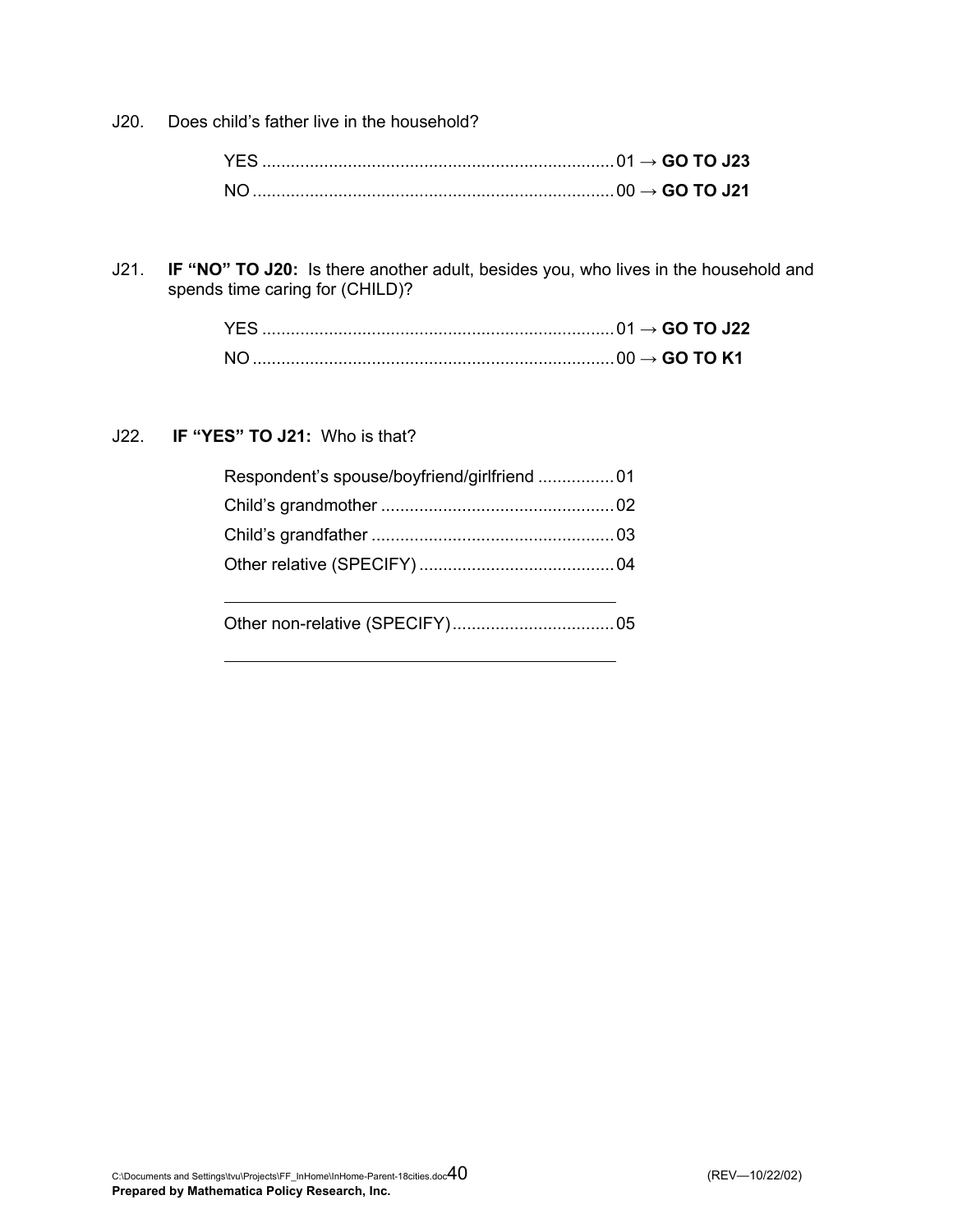J20. Does child's father live in the household?

J21. **IF "NO" TO J20:** Is there another adult, besides you, who lives in the household and spends time caring for (CHILD)?

### J22. **IF "YES" TO J21:** Who is that?

| Respondent's spouse/boyfriend/girlfriend 01 |  |
|---------------------------------------------|--|
|                                             |  |
|                                             |  |
|                                             |  |
|                                             |  |
|                                             |  |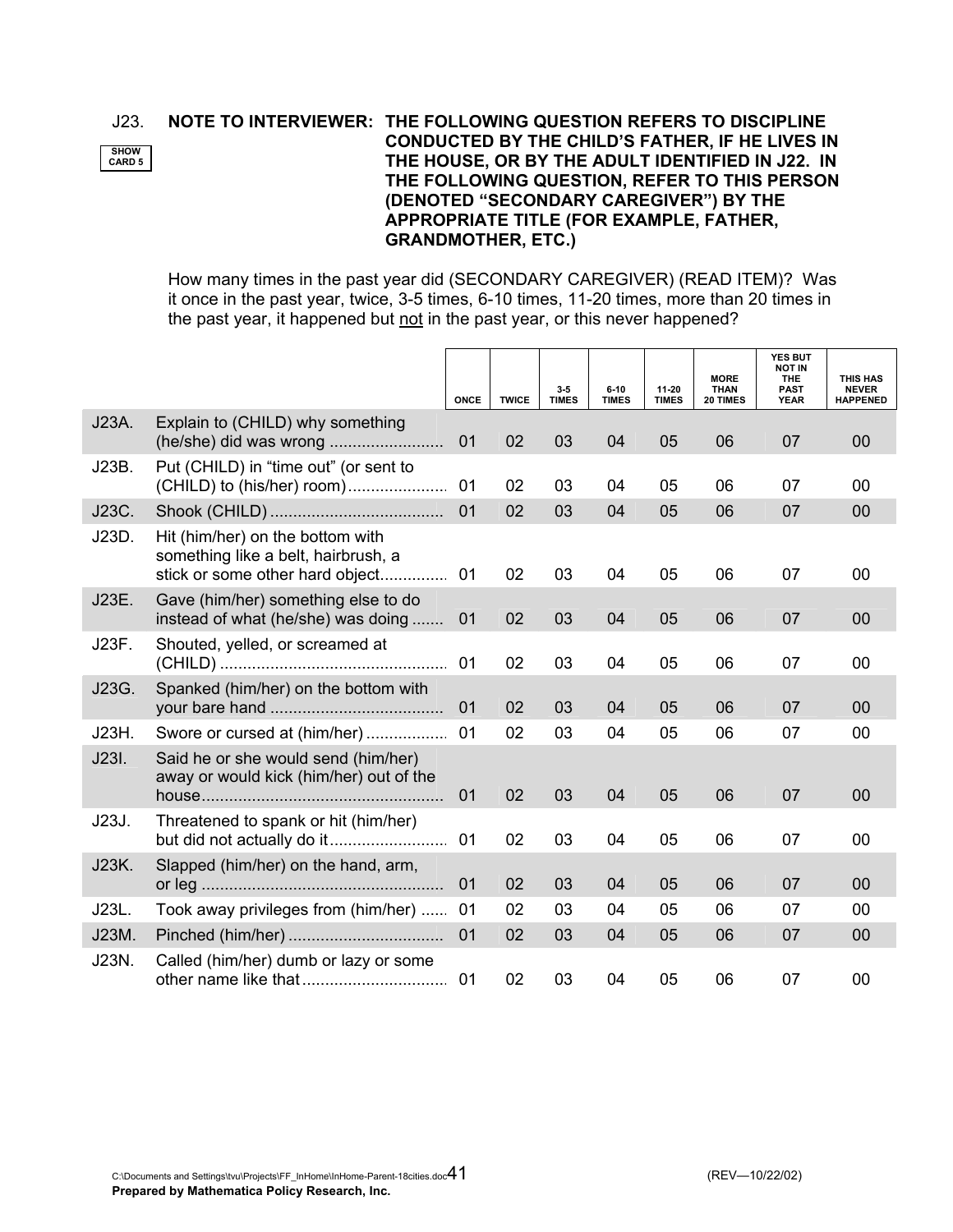**SHOW CARD 5**

### J23. **NOTE TO INTERVIEWER: THE FOLLOWING QUESTION REFERS TO DISCIPLINE CONDUCTED BY THE CHILD'S FATHER, IF HE LIVES IN THE HOUSE, OR BY THE ADULT IDENTIFIED IN J22. IN THE FOLLOWING QUESTION, REFER TO THIS PERSON (DENOTED "SECONDARY CAREGIVER") BY THE APPROPRIATE TITLE (FOR EXAMPLE, FATHER, GRANDMOTHER, ETC.)**

 How many times in the past year did (SECONDARY CAREGIVER) (READ ITEM)? Was it once in the past year, twice, 3-5 times, 6-10 times, 11-20 times, more than 20 times in the past year, it happened but not in the past year, or this never happened?

|       |                                                                                                            | <b>ONCE</b> | <b>TWICE</b> | 3.5<br><b>TIMES</b> | $6 - 10$<br><b>TIMES</b> | 11-20<br><b>TIMES</b> | <b>MORE</b><br><b>THAN</b><br>20 TIMES | YES BUT<br><b>NOT IN</b><br><b>THE</b><br><b>PAST</b><br><b>YEAR</b> | <b>THIS HAS</b><br><b>NEVER</b><br><b>HAPPENED</b> |
|-------|------------------------------------------------------------------------------------------------------------|-------------|--------------|---------------------|--------------------------|-----------------------|----------------------------------------|----------------------------------------------------------------------|----------------------------------------------------|
| J23A. | Explain to (CHILD) why something                                                                           | 01          | 02           | 03                  | 04                       | 05                    | 06                                     | 07                                                                   | 00                                                 |
| J23B. | Put (CHILD) in "time out" (or sent to<br>(CHILD) to (his/her) room)                                        | 01          | 02           | 03                  | 04                       | 05                    | 06                                     | 07                                                                   | 00                                                 |
| J23C. |                                                                                                            | 01          | 02           | 03                  | 04                       | 05                    | 06                                     | 07                                                                   | 00                                                 |
| J23D. | Hit (him/her) on the bottom with<br>something like a belt, hairbrush, a<br>stick or some other hard object | 01          | 02           | 03                  | 04                       | 05                    | 06                                     | 07                                                                   | 00                                                 |
| J23E. | Gave (him/her) something else to do<br>instead of what (he/she) was doing                                  | 01          | 02           | 03                  | 04                       | 05                    | 06                                     | 07                                                                   | 00                                                 |
| J23F. | Shouted, yelled, or screamed at                                                                            | 01          | 02           | 03                  | 04                       | 05                    | 06                                     | 07                                                                   | 00                                                 |
| J23G. | Spanked (him/her) on the bottom with                                                                       | 01          | 02           | 03                  | 04                       | 05                    | 06                                     | 07                                                                   | 00                                                 |
| J23H. | Swore or cursed at (him/her)                                                                               | 01          | 02           | 03                  | 04                       | 05                    | 06                                     | 07                                                                   | 00                                                 |
| J23I. | Said he or she would send (him/her)<br>away or would kick (him/her) out of the                             | 01          | 02           | 03                  | 04                       | 05                    | 06                                     | 07                                                                   | 00                                                 |
| J23J. | Threatened to spank or hit (him/her)                                                                       | 01          | 02           | 03                  | 04                       | 05                    | 06                                     | 07                                                                   | 00                                                 |
| J23K. | Slapped (him/her) on the hand, arm,                                                                        | 01          | 02           | 03                  | 04                       | 05                    | 06                                     | 07                                                                   | 00                                                 |
| J23L. | Took away privileges from (him/her)                                                                        | 01          | 02           | 03                  | 04                       | 05                    | 06                                     | 07                                                                   | 00                                                 |
| J23M. |                                                                                                            | 01          | 02           | 03                  | 04                       | 05                    | 06                                     | 07                                                                   | 00                                                 |
| J23N. | Called (him/her) dumb or lazy or some                                                                      | 01          | 02           | 03                  | 04                       | 05                    | 06                                     | 07                                                                   | 00                                                 |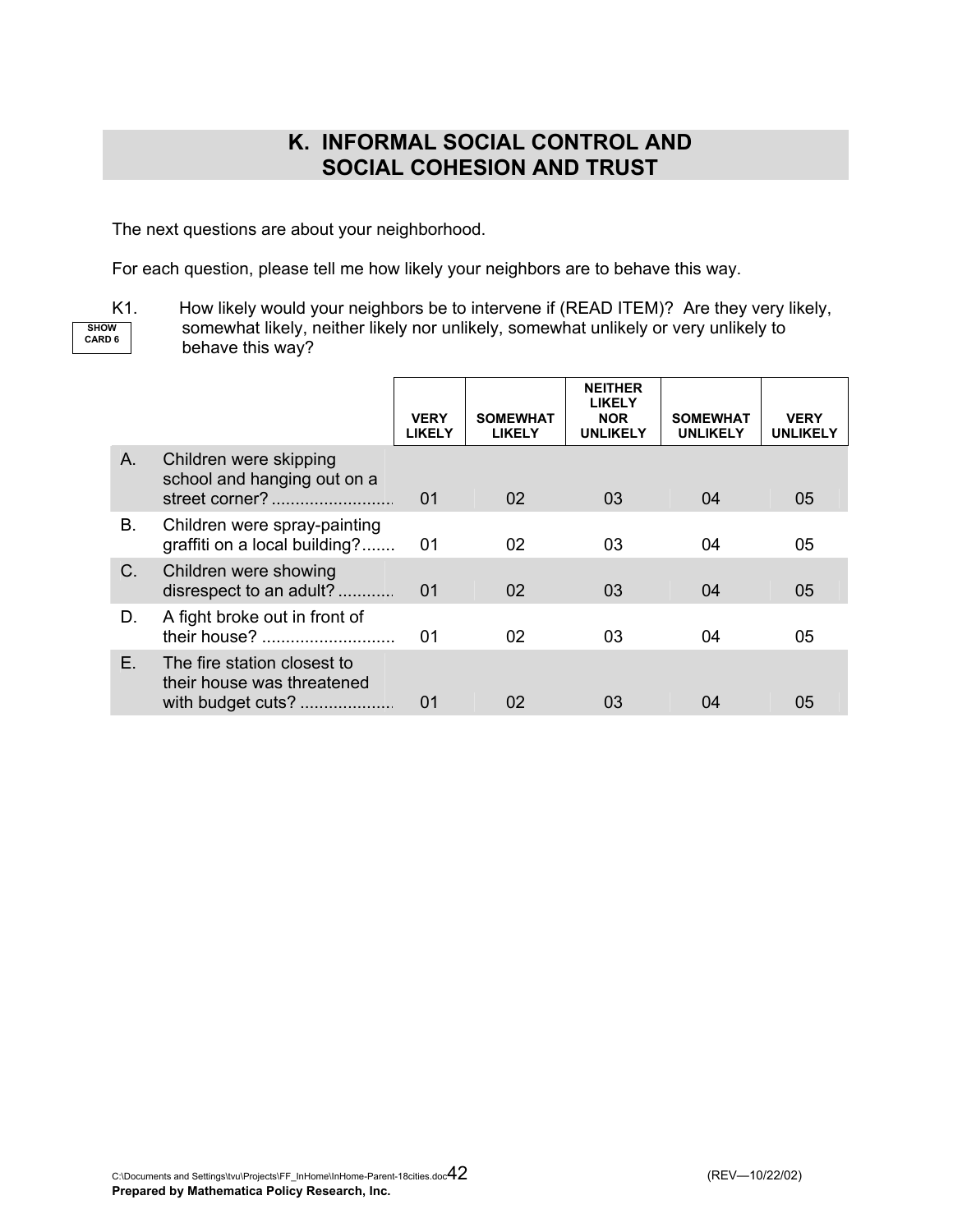### **K. INFORMAL SOCIAL CONTROL AND SOCIAL COHESION AND TRUST**

The next questions are about your neighborhood.

For each question, please tell me how likely your neighbors are to behave this way.

**SHOW CARD 6**

K1. How likely would your neighbors be to intervene if (READ ITEM)? Are they very likely, somewhat likely, neither likely nor unlikely, somewhat unlikely or very unlikely to behave this way?

|    |                                                                                | <b>VERY</b><br><b>LIKELY</b> | <b>SOMEWHAT</b><br><b>LIKELY</b> | <b>NEITHER</b><br><b>LIKELY</b><br><b>NOR</b><br><b>UNLIKELY</b> | <b>SOMEWHAT</b><br><b>UNLIKELY</b> | <b>VERY</b><br><b>UNLIKELY</b> |
|----|--------------------------------------------------------------------------------|------------------------------|----------------------------------|------------------------------------------------------------------|------------------------------------|--------------------------------|
| A. | Children were skipping<br>school and hanging out on a                          | 01                           | 02 <sub>2</sub>                  | 03                                                               | 04                                 | 05                             |
| В. | Children were spray-painting<br>graffiti on a local building?                  | 01                           | 02                               | 03                                                               | 04                                 | 05                             |
| C. | Children were showing<br>disrespect to an adult?                               | 01                           | 02                               | 03                                                               | 04                                 | 05                             |
| D. | A fight broke out in front of<br>their house?                                  | 01                           | 02                               | 03                                                               | 04                                 | 05                             |
| Е. | The fire station closest to<br>their house was threatened<br>with budget cuts? | 01                           | 02                               | 03                                                               | 04                                 | 05                             |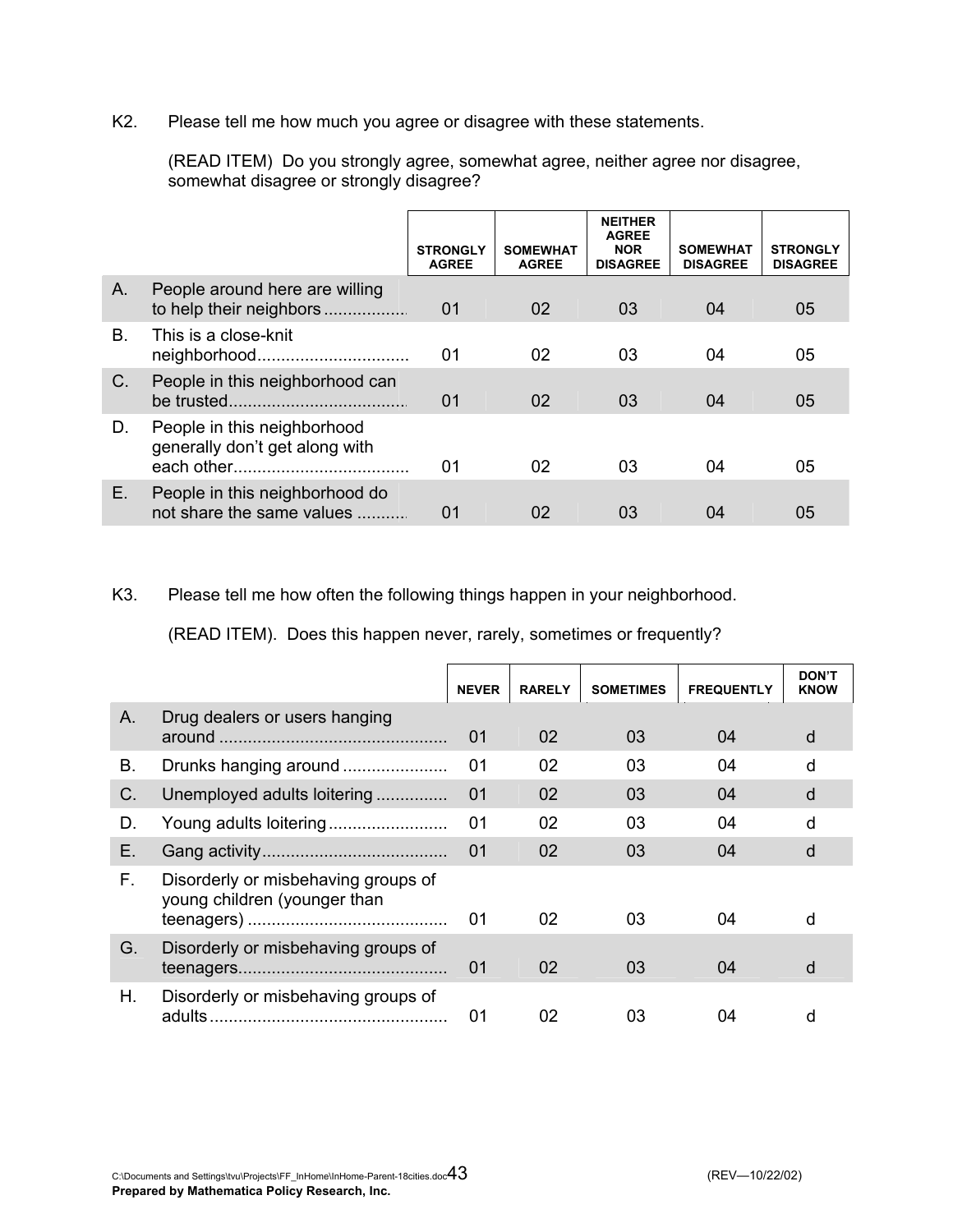K2. Please tell me how much you agree or disagree with these statements.

|                |                                                               | <b>STRONGLY</b><br><b>AGREE</b> | <b>SOMEWHAT</b><br><b>AGREE</b> | <b>NEITHER</b><br><b>AGREE</b><br><b>NOR</b><br><b>DISAGREE</b> | <b>SOMEWHAT</b><br><b>DISAGREE</b> | <b>STRONGLY</b><br><b>DISAGREE</b> |
|----------------|---------------------------------------------------------------|---------------------------------|---------------------------------|-----------------------------------------------------------------|------------------------------------|------------------------------------|
| A.             | People around here are willing<br>to help their neighbors     | 01                              | 02                              | 03                                                              | 04                                 | 05                                 |
| $\mathbf{B}$ . | This is a close-knit<br>neighborhood                          | 01                              | 02                              | 03                                                              | 04                                 | 05                                 |
| $C_{\cdot}$    | People in this neighborhood can                               | 0 <sub>1</sub>                  | 02                              | 03                                                              | 04                                 | 05                                 |
| D.             | People in this neighborhood<br>generally don't get along with | 01                              | 02                              | 03                                                              | 04                                 | 05                                 |
| E.             | People in this neighborhood do<br>not share the same values   | 01                              | 02                              | 03                                                              | 04                                 | 05                                 |

 (READ ITEM) Do you strongly agree, somewhat agree, neither agree nor disagree, somewhat disagree or strongly disagree?

### K3. Please tell me how often the following things happen in your neighborhood.

(READ ITEM). Does this happen never, rarely, sometimes or frequently?

|    |                                                                     | <b>NEVER</b> | <b>RARELY</b> | <b>SOMETIMES</b> | <b>FREQUENTLY</b> | <b>DON'T</b><br><b>KNOW</b> |
|----|---------------------------------------------------------------------|--------------|---------------|------------------|-------------------|-----------------------------|
| A. | Drug dealers or users hanging                                       | 01           | 02            | 03               | 04                | d                           |
| В. | Drunks hanging around                                               | 01           | 02            | 03               | 04                | d                           |
| C. | Unemployed adults loitering                                         | 01           | 02            | 03               | 04                | d                           |
| D. | Young adults loitering                                              | 01           | 02            | 03               | 04                | d                           |
| Е. |                                                                     | 01           | 02            | 03               | 04                | d                           |
| F. | Disorderly or misbehaving groups of<br>young children (younger than | 01           | 02            | 03               | 04                | d                           |
| G. | Disorderly or misbehaving groups of                                 | 01           | 02            | 03               | 04                | d                           |
| Η. | Disorderly or misbehaving groups of                                 | 01           | 02            | 03               | 04                | d                           |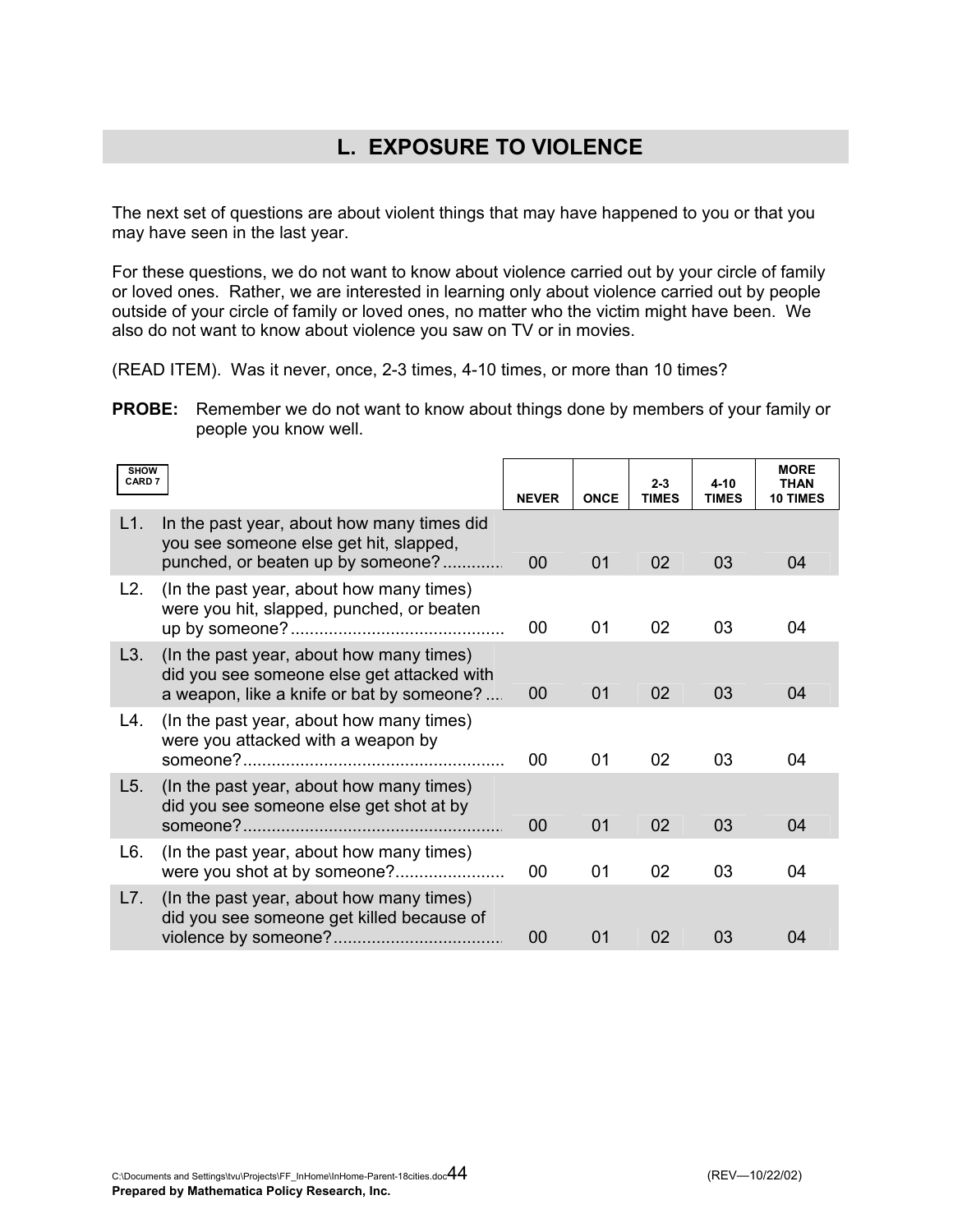# **L. EXPOSURE TO VIOLENCE**

The next set of questions are about violent things that may have happened to you or that you may have seen in the last year.

For these questions, we do not want to know about violence carried out by your circle of family or loved ones. Rather, we are interested in learning only about violence carried out by people outside of your circle of family or loved ones, no matter who the victim might have been. We also do not want to know about violence you saw on TV or in movies.

(READ ITEM). Was it never, once, 2-3 times, 4-10 times, or more than 10 times?

**PROBE:** Remember we do not want to know about things done by members of your family or people you know well.

| <b>SHOW</b><br>CARD 7 |                                                                                                                                     | <b>NEVER</b> | <b>ONCE</b> | $2 - 3$<br><b>TIMES</b> | $4 - 10$<br><b>TIMES</b> | <b>MORE</b><br><b>THAN</b><br><b>10 TIMES</b> |
|-----------------------|-------------------------------------------------------------------------------------------------------------------------------------|--------------|-------------|-------------------------|--------------------------|-----------------------------------------------|
| L1.                   | In the past year, about how many times did<br>you see someone else get hit, slapped,<br>punched, or beaten up by someone?           | 00           | 01          | 02                      | 03                       | 04                                            |
| L2.                   | (In the past year, about how many times)<br>were you hit, slapped, punched, or beaten                                               | 00           | 01          | 02                      | 03                       | 04                                            |
| L3.                   | (In the past year, about how many times)<br>did you see someone else get attacked with<br>a weapon, like a knife or bat by someone? | 00           | 01          | 02                      | 03                       | 04                                            |
| L4.                   | (In the past year, about how many times)<br>were you attacked with a weapon by                                                      | 00           | 01          | 02                      | 03                       | 04                                            |
| L5.                   | (In the past year, about how many times)<br>did you see someone else get shot at by                                                 | 00           | 01          | 02                      | 03                       | 04                                            |
| L6.                   | (In the past year, about how many times)                                                                                            | 00           | 01          | 02                      | 03                       | 04                                            |
| L7.                   | (In the past year, about how many times)<br>did you see someone get killed because of                                               | 00           | 01          | 02                      | 03                       | 04                                            |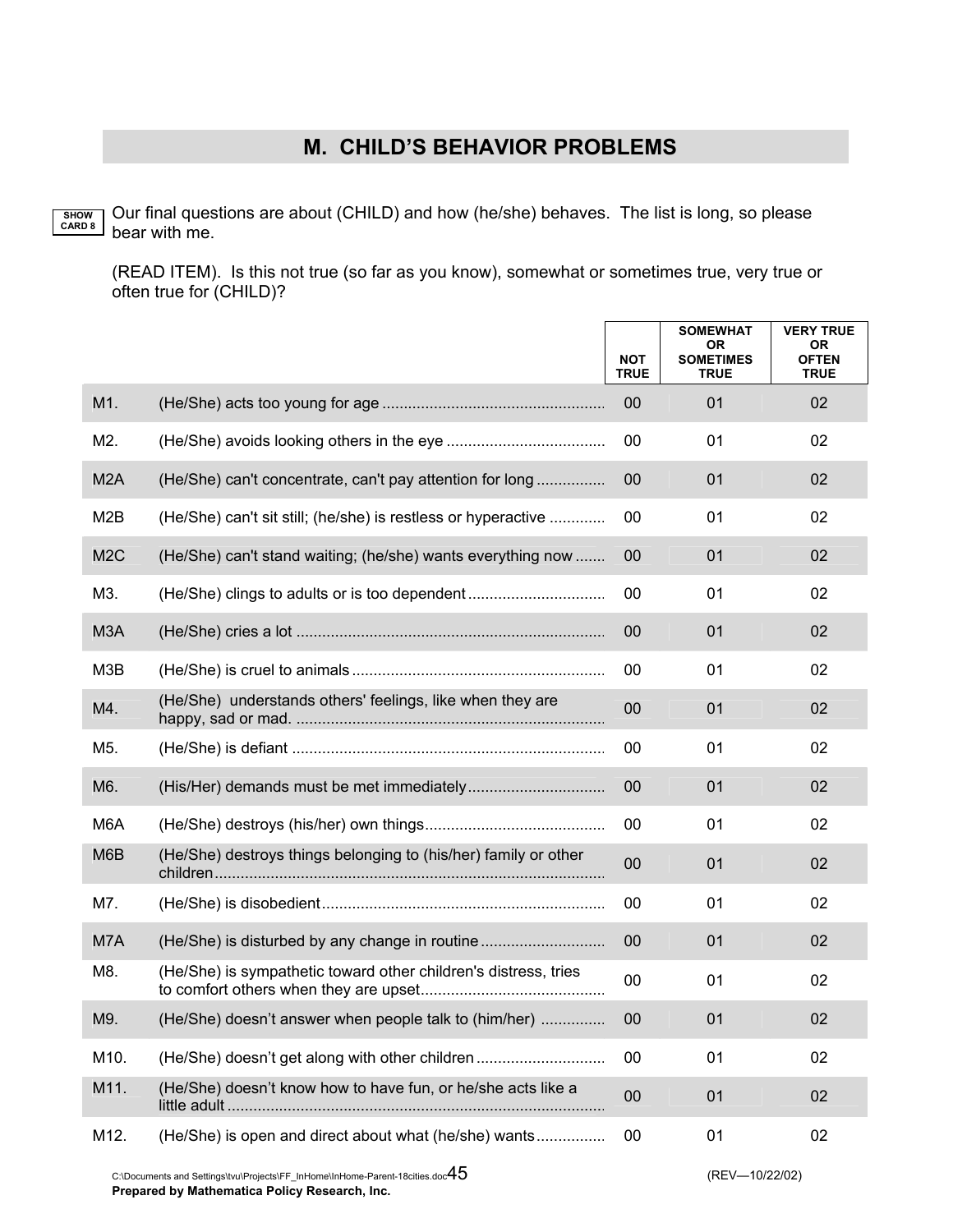Our final questions are about (CHILD) and how (he/she) behaves. The list is long, so please bear with me. **SHOW CARD 8**

(READ ITEM). Is this not true (so far as you know), somewhat or sometimes true, very true or often true for (CHILD)?

|                  |                                                                 | <b>NOT</b><br><b>TRUE</b> | <b>SOMEWHAT</b><br><b>OR</b><br><b>SOMETIMES</b><br><b>TRUE</b> | <b>VERY TRUE</b><br>0R<br><b>OFTEN</b><br><b>TRUE</b> |
|------------------|-----------------------------------------------------------------|---------------------------|-----------------------------------------------------------------|-------------------------------------------------------|
| M1.              |                                                                 | 00                        | 01                                                              | 02                                                    |
| M2.              |                                                                 | 00                        | 01                                                              | 02                                                    |
| M <sub>2</sub> A | (He/She) can't concentrate, can't pay attention for long        | 00                        | 01                                                              | 02                                                    |
| M <sub>2</sub> B | (He/She) can't sit still; (he/she) is restless or hyperactive   | 00                        | 01                                                              | 02                                                    |
| M <sub>2</sub> C | (He/She) can't stand waiting; (he/she) wants everything now     | 00                        | 01                                                              | 02                                                    |
| M3.              |                                                                 | 00                        | 01                                                              | 02                                                    |
| M <sub>3</sub> A |                                                                 | 00                        | 01                                                              | 02                                                    |
| M3B              |                                                                 | 00                        | 01                                                              | 02                                                    |
| M4.              | (He/She) understands others' feelings, like when they are       | 00                        | 01                                                              | 02                                                    |
| M5.              |                                                                 | 00                        | 01                                                              | 02                                                    |
| M6.              |                                                                 | 00                        | 01                                                              | 02                                                    |
| M <sub>6</sub> A |                                                                 | 00                        | 01                                                              | 02                                                    |
| M6B              | (He/She) destroys things belonging to (his/her) family or other | 00                        | 01                                                              | 02                                                    |
| M7.              |                                                                 | 00                        | 01                                                              | 02                                                    |
| M7A              | (He/She) is disturbed by any change in routine                  | 00                        | 01                                                              | 02                                                    |
| M8.              | (He/She) is sympathetic toward other children's distress, tries | 00                        | 01                                                              | 02                                                    |
| M9.              | (He/She) doesn't answer when people talk to (him/her)           | $00\,$                    | 01                                                              | 02                                                    |
| M10.             | (He/She) doesn't get along with other children                  | 00                        | 01                                                              | 02                                                    |
| M11.             | (He/She) doesn't know how to have fun, or he/she acts like a    | 00                        | 01                                                              | 02                                                    |
| M12.             | (He/She) is open and direct about what (he/she) wants           | $00\,$                    | 01                                                              | 02                                                    |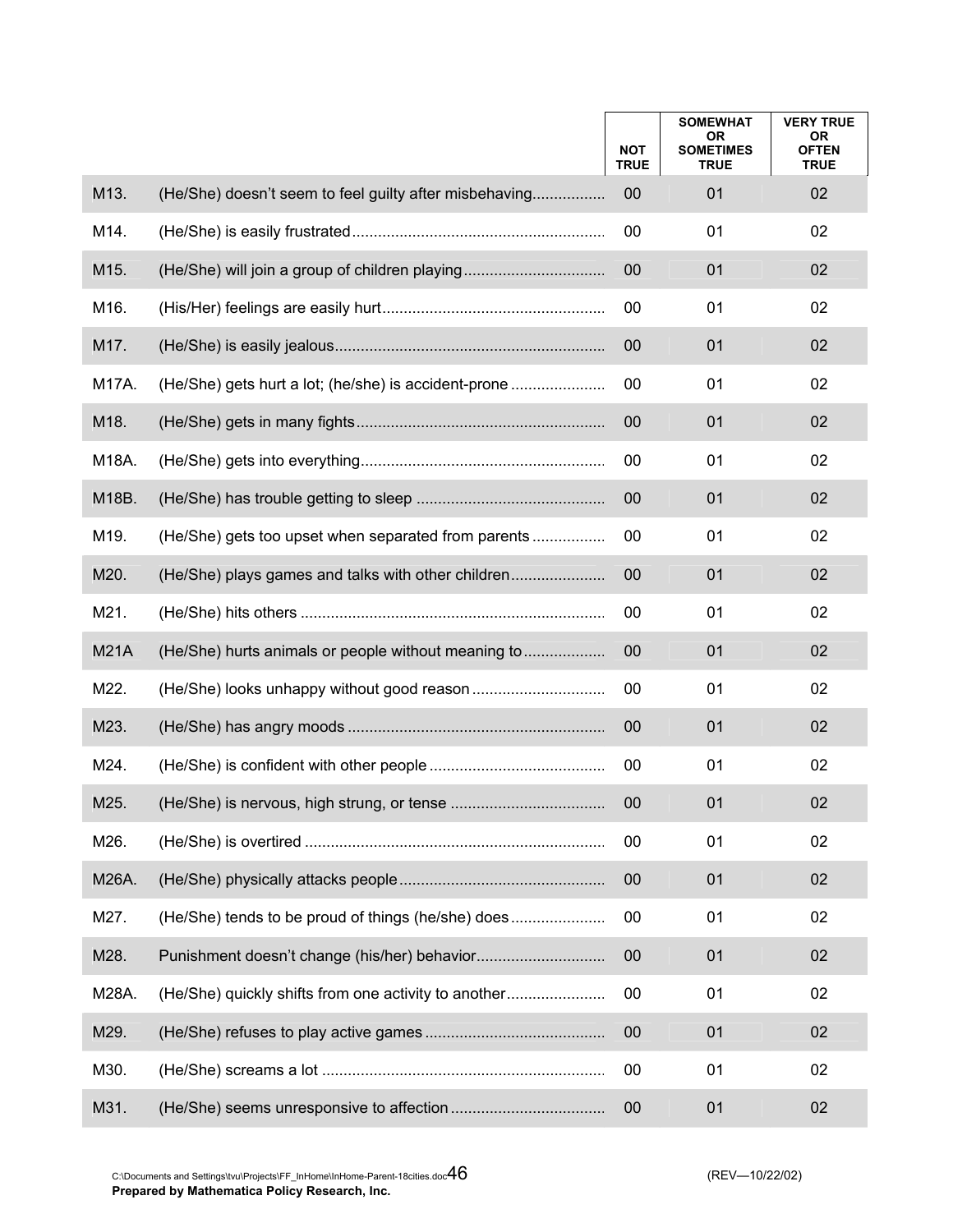|             |                                                        | <b>NOT</b><br><b>TRUE</b> | <b>SOMEWHAT</b><br><b>OR</b><br><b>SOMETIMES</b><br><b>TRUE</b> | <b>VERY TRUE</b><br>OR<br><b>OFTEN</b><br><b>TRUE</b> |
|-------------|--------------------------------------------------------|---------------------------|-----------------------------------------------------------------|-------------------------------------------------------|
| M13.        | (He/She) doesn't seem to feel guilty after misbehaving | 00                        | 01                                                              | 02                                                    |
| M14.        |                                                        | 00                        | 01                                                              | 02                                                    |
| M15.        | (He/She) will join a group of children playing         | 00                        | 01                                                              | 02                                                    |
| M16.        |                                                        | 00                        | 01                                                              | 02                                                    |
| M17.        |                                                        | 00                        | 01                                                              | 02                                                    |
| M17A.       | (He/She) gets hurt a lot; (he/she) is accident-prone   | 00                        | 01                                                              | 02                                                    |
| M18.        |                                                        | 00                        | 01                                                              | 02                                                    |
| M18A.       |                                                        | 00                        | 01                                                              | 02                                                    |
| M18B.       |                                                        | 00                        | 01                                                              | 02                                                    |
| M19.        | (He/She) gets too upset when separated from parents    | 00                        | 01                                                              | 02                                                    |
| M20.        | (He/She) plays games and talks with other children     | 00                        | 01                                                              | 02                                                    |
| M21.        |                                                        | 00                        | 01                                                              | 02                                                    |
| <b>M21A</b> | (He/She) hurts animals or people without meaning to    | 00                        | 01                                                              | 02                                                    |
| M22.        |                                                        | 00                        | 01                                                              | 02                                                    |
| M23.        |                                                        | 00                        | 01                                                              | 02                                                    |
| M24.        |                                                        | 00                        | 01                                                              | 02                                                    |
| M25.        |                                                        | 00                        | 01                                                              | 02                                                    |
| M26.        |                                                        | 00                        | 01                                                              | 02                                                    |
| M26A.       |                                                        | 00                        | 01                                                              | 02                                                    |
| M27.        | (He/She) tends to be proud of things (he/she) does     | 00                        | 01                                                              | 02                                                    |
| M28.        |                                                        | 00                        | 01                                                              | 02                                                    |
| M28A.       | (He/She) quickly shifts from one activity to another   | 00                        | 01                                                              | 02                                                    |
| M29.        |                                                        | 00                        | 01                                                              | 02                                                    |
| M30.        |                                                        | 00                        | 01                                                              | 02                                                    |
| M31.        |                                                        | 00                        | 01                                                              | 02                                                    |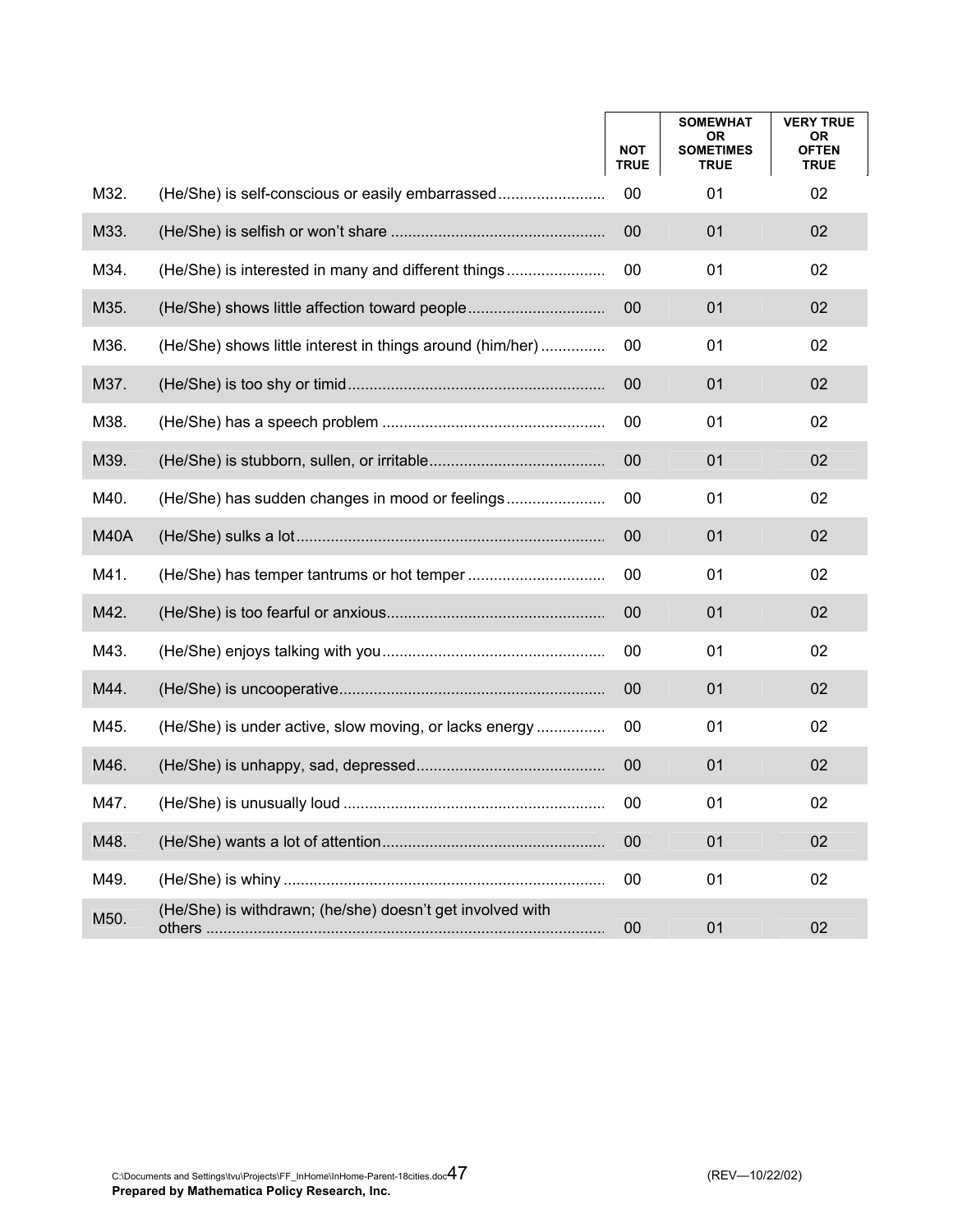|             |                                                           | <b>NOT</b><br><b>TRUE</b> | <b>SOMEWHAT</b><br>0R<br><b>SOMETIMES</b><br><b>TRUE</b> | <b>VERY TRUE</b><br>0R<br><b>OFTEN</b><br><b>TRUE</b> |
|-------------|-----------------------------------------------------------|---------------------------|----------------------------------------------------------|-------------------------------------------------------|
| M32.        | (He/She) is self-conscious or easily embarrassed          | 00                        | 01                                                       | 02                                                    |
| M33.        |                                                           | 00                        | 01                                                       | 02                                                    |
| M34.        | (He/She) is interested in many and different things       | 00                        | 01                                                       | 02                                                    |
| M35.        |                                                           | 00                        | 01                                                       | 02                                                    |
| M36.        | (He/She) shows little interest in things around (him/her) | 00                        | 01                                                       | 02                                                    |
| M37.        |                                                           | 00                        | 01                                                       | 02                                                    |
| M38.        |                                                           | 00                        | 01                                                       | 02                                                    |
| M39.        |                                                           | 00                        | 01                                                       | 02                                                    |
| M40.        |                                                           | 00                        | 01                                                       | 02                                                    |
| <b>M40A</b> |                                                           | 00                        | 01                                                       | 02                                                    |
| M41.        |                                                           | 00                        | 01                                                       | 02                                                    |
| M42.        |                                                           | 00                        | 01                                                       | 02                                                    |
| M43.        |                                                           | 00                        | 01                                                       | 02                                                    |
| M44.        |                                                           | 00                        | 01                                                       | 02                                                    |
| M45.        | (He/She) is under active, slow moving, or lacks energy    | 00                        | 01                                                       | 02                                                    |
| M46.        |                                                           | 00                        | 01                                                       | 02                                                    |
| M47.        |                                                           | 00                        | 01                                                       | 02                                                    |
| M48.        |                                                           | 00                        | 01                                                       | 02                                                    |
| M49.        |                                                           | 00                        | 01                                                       | 02                                                    |
| M50.        | (He/She) is withdrawn; (he/she) doesn't get involved with | 00                        | 01                                                       | 02                                                    |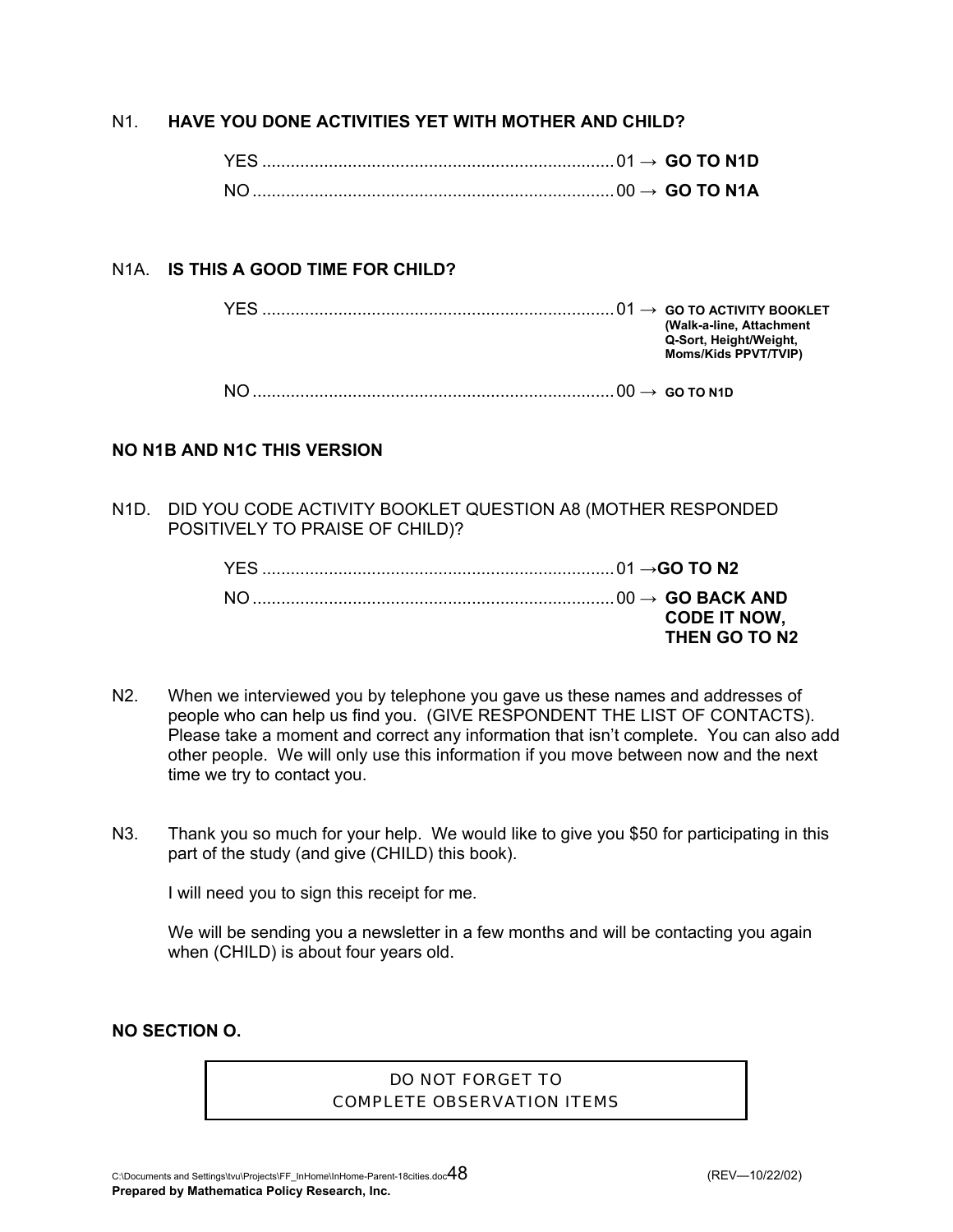### N1. **HAVE YOU DONE ACTIVITIES YET WITH MOTHER AND CHILD?**

### N1A. **IS THIS A GOOD TIME FOR CHILD?**

 YES ..........................................................................01 **→ GO TO ACTIVITY BOOKLET (Walk-a-line, Attachment Q-Sort, Height/Weight, Moms/Kids PPVT/TVIP)** NO ............................................................................00 **→ GO TO N1D** 

### **NO N1B AND N1C THIS VERSION**

N1D. DID YOU CODE ACTIVITY BOOKLET QUESTION A8 (MOTHER RESPONDED POSITIVELY TO PRAISE OF CHILD)?

| <b>CODE IT NOW.</b> |
|---------------------|
| THEN GO TO N2       |

- N2. When we interviewed you by telephone you gave us these names and addresses of people who can help us find you. (GIVE RESPONDENT THE LIST OF CONTACTS). Please take a moment and correct any information that isn't complete. You can also add other people. We will only use this information if you move between now and the next time we try to contact you.
- N3. Thank you so much for your help. We would like to give you \$50 for participating in this part of the study (and give (CHILD) this book).

I will need you to sign this receipt for me.

 We will be sending you a newsletter in a few months and will be contacting you again when (CHILD) is about four years old.

**NO SECTION O.** 

### DO NOT FORGET TO COMPLETE OBSERVATION ITEMS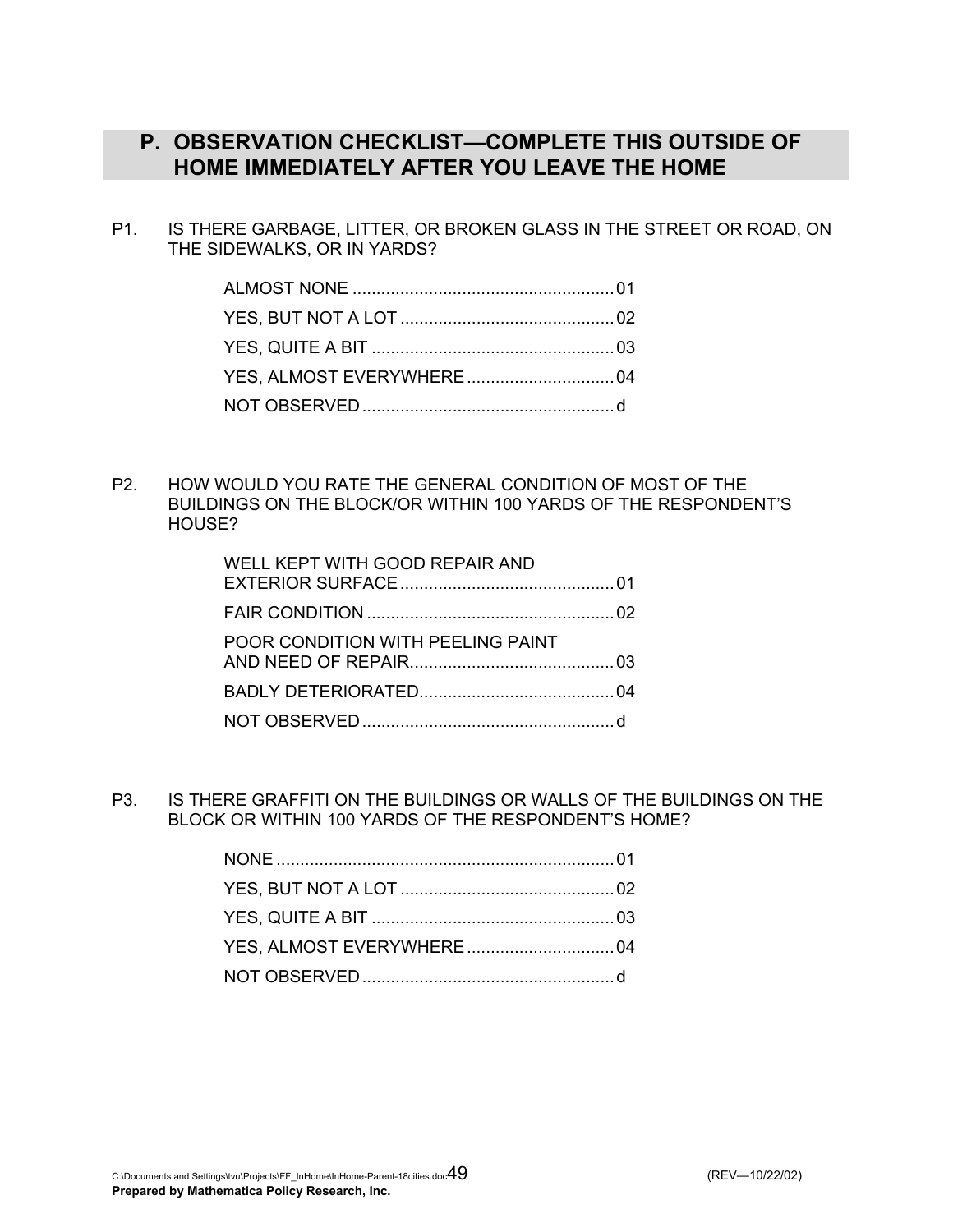### **P. OBSERVATION CHECKLIST—COMPLETE THIS OUTSIDE OF HOME IMMEDIATELY AFTER YOU LEAVE THE HOME**

P1. IS THERE GARBAGE, LITTER, OR BROKEN GLASS IN THE STREET OR ROAD, ON THE SIDEWALKS, OR IN YARDS?

P2. HOW WOULD YOU RATE THE GENERAL CONDITION OF MOST OF THE BUILDINGS ON THE BLOCK/OR WITHIN 100 YARDS OF THE RESPONDENT'S HOUSE?

| WELL KEPT WITH GOOD REPAIR AND    |  |
|-----------------------------------|--|
|                                   |  |
| POOR CONDITION WITH PEELING PAINT |  |
|                                   |  |
|                                   |  |

P3. IS THERE GRAFFITI ON THE BUILDINGS OR WALLS OF THE BUILDINGS ON THE BLOCK OR WITHIN 100 YARDS OF THE RESPONDENT'S HOME?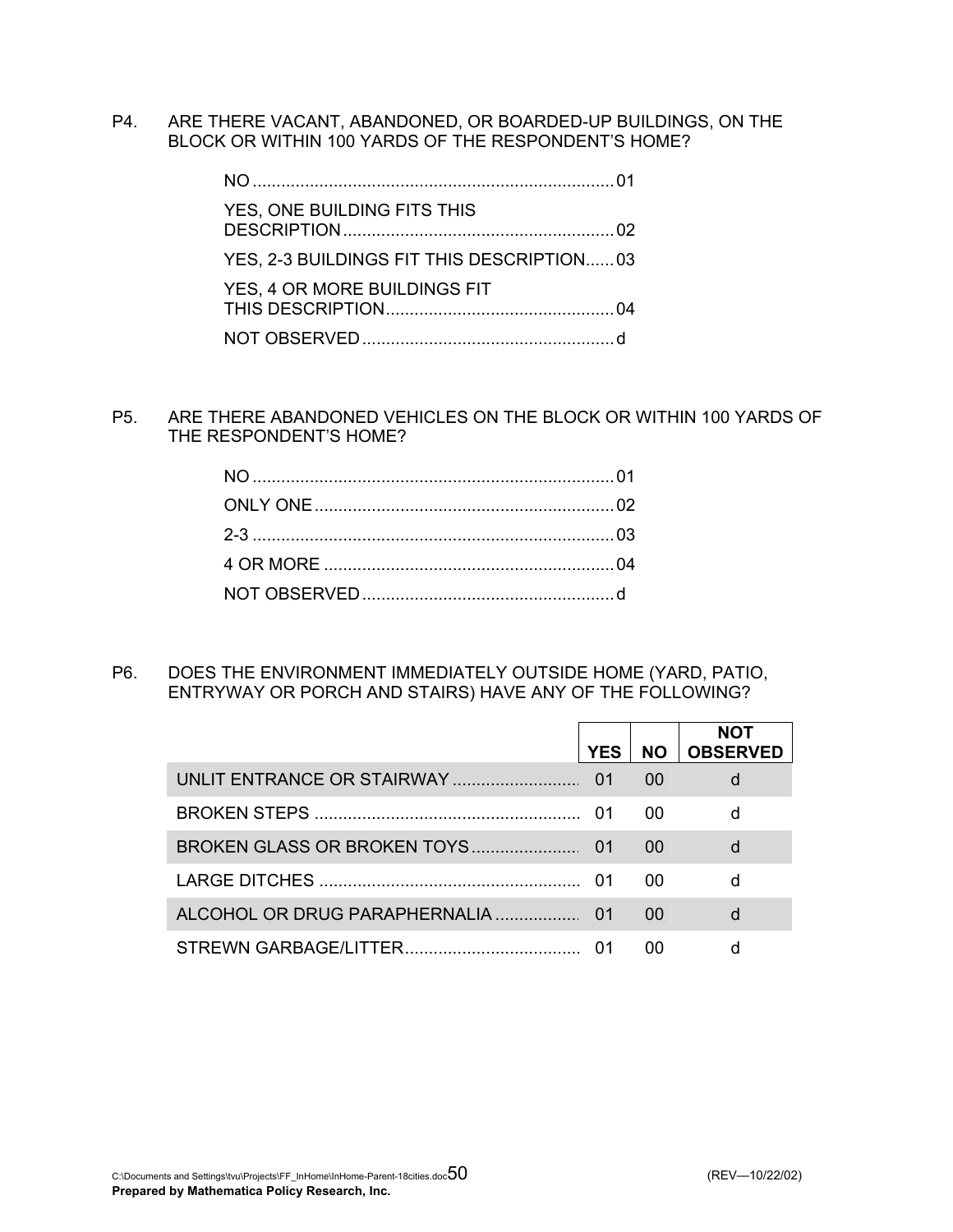P4. ARE THERE VACANT, ABANDONED, OR BOARDED-UP BUILDINGS, ON THE BLOCK OR WITHIN 100 YARDS OF THE RESPONDENT'S HOME?

| YES, ONE BUILDING FITS THIS               |  |
|-------------------------------------------|--|
| YES, 2-3 BUILDINGS FIT THIS DESCRIPTION03 |  |
| YES, 4 OR MORE BUILDINGS FIT              |  |
|                                           |  |

P5. ARE THERE ABANDONED VEHICLES ON THE BLOCK OR WITHIN 100 YARDS OF THE RESPONDENT'S HOME?

P6. DOES THE ENVIRONMENT IMMEDIATELY OUTSIDE HOME (YARD, PATIO, ENTRYWAY OR PORCH AND STAIRS) HAVE ANY OF THE FOLLOWING?

| <b>YES</b> | <b>NO</b> | <b>NOT</b><br><b>OBSERVED</b> |
|------------|-----------|-------------------------------|
| 01         | 00        |                               |
|            | 00        |                               |
|            | 00        | d                             |
|            | 00        |                               |
|            | 00        |                               |
|            | ററ        |                               |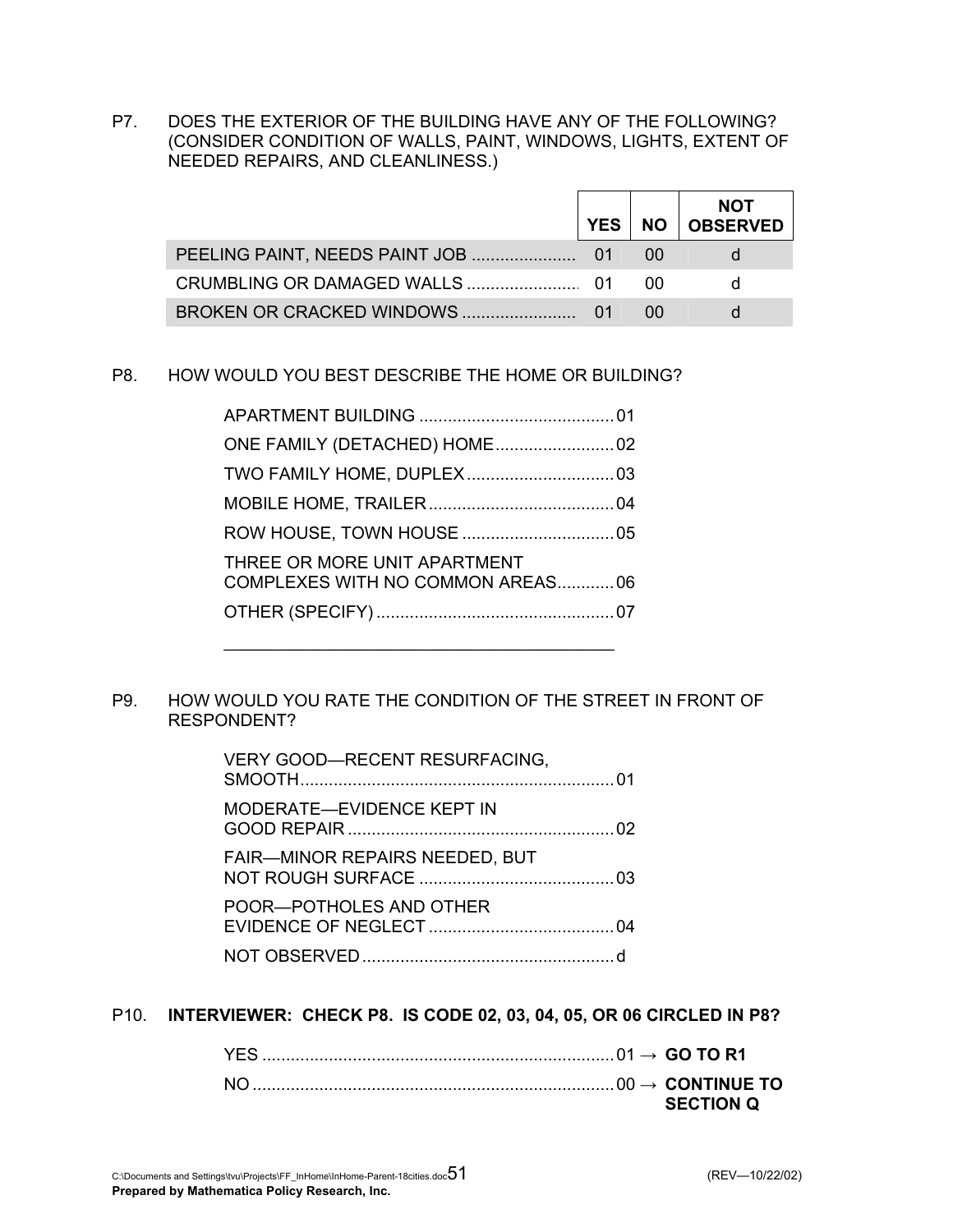P7. DOES THE EXTERIOR OF THE BUILDING HAVE ANY OF THE FOLLOWING? (CONSIDER CONDITION OF WALLS, PAINT, WINDOWS, LIGHTS, EXTENT OF NEEDED REPAIRS, AND CLEANLINESS.)

|                           | <b>YES</b> |      | <b>NOT</b><br>NO OBSERVED |
|---------------------------|------------|------|---------------------------|
|                           |            | ()() |                           |
|                           |            | ()() |                           |
| BROKEN OR CRACKED WINDOWS |            |      |                           |

### P8. HOW WOULD YOU BEST DESCRIBE THE HOME OR BUILDING?

| THREE OR MORE UNIT APARTMENT | COMPLEXES WITH NO COMMON AREAS06 |
|------------------------------|----------------------------------|
|                              |                                  |
|                              |                                  |

### P9. HOW WOULD YOU RATE THE CONDITION OF THE STREET IN FRONT OF RESPONDENT?

| VERY GOOD-RECENT RESURFACING,  |  |
|--------------------------------|--|
| MODERATE-EVIDENCE KEPT IN      |  |
| FAIR-MINOR REPAIRS NEEDED, BUT |  |
| POOR-POTHOLES AND OTHER        |  |
|                                |  |

### P10. **INTERVIEWER: CHECK P8. IS CODE 02, 03, 04, 05, OR 06 CIRCLED IN P8?**

| <b>SECTION O</b> |
|------------------|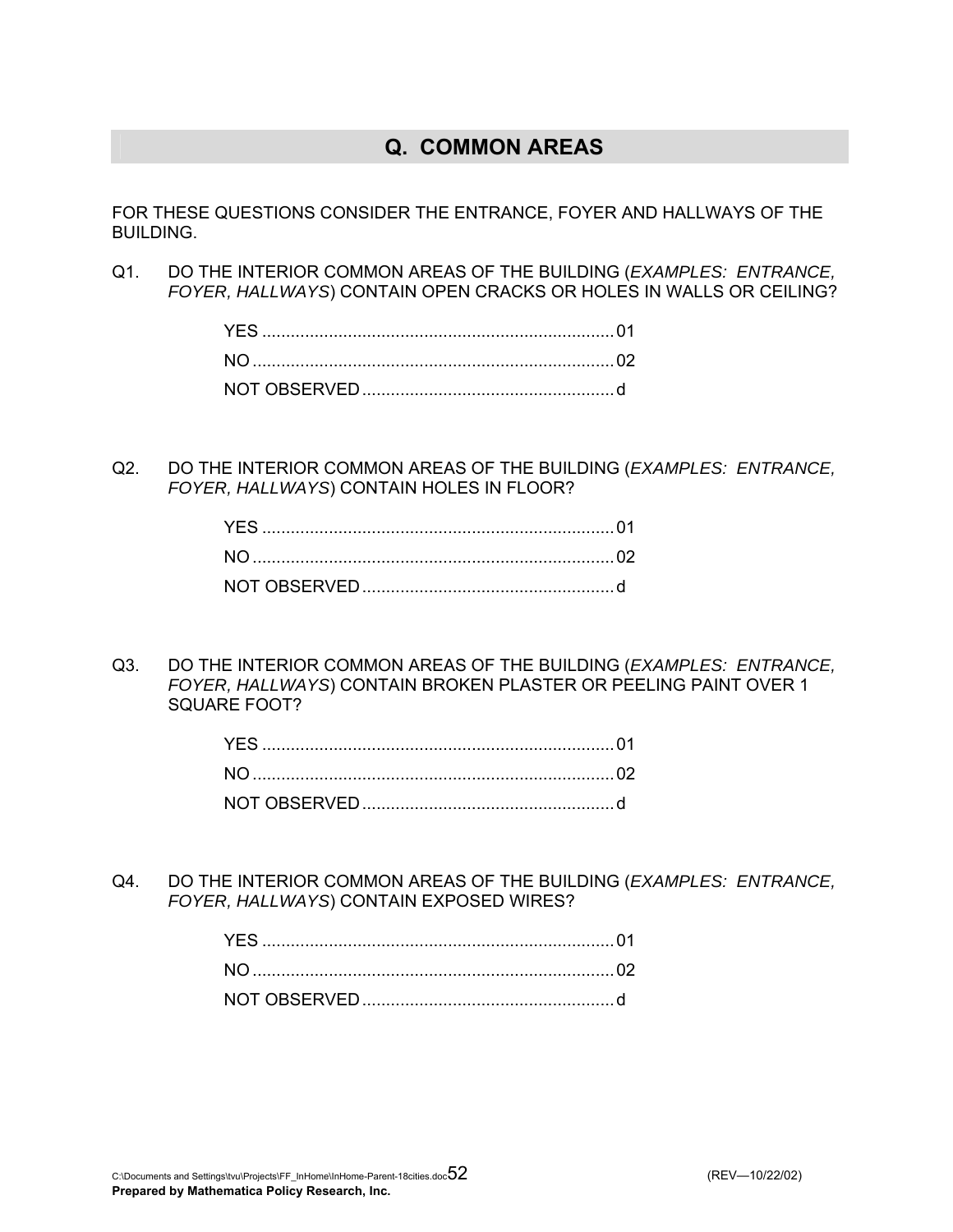## **Q. COMMON AREAS**

FOR THESE QUESTIONS CONSIDER THE ENTRANCE, FOYER AND HALLWAYS OF THE BUILDING.

Q1. DO THE INTERIOR COMMON AREAS OF THE BUILDING (*EXAMPLES: ENTRANCE, FOYER, HALLWAYS*) CONTAIN OPEN CRACKS OR HOLES IN WALLS OR CEILING?

Q2. DO THE INTERIOR COMMON AREAS OF THE BUILDING (*EXAMPLES: ENTRANCE, FOYER, HALLWAYS*) CONTAIN HOLES IN FLOOR?

Q3. DO THE INTERIOR COMMON AREAS OF THE BUILDING (*EXAMPLES: ENTRANCE, FOYER, HALLWAYS*) CONTAIN BROKEN PLASTER OR PEELING PAINT OVER 1 SQUARE FOOT?

Q4. DO THE INTERIOR COMMON AREAS OF THE BUILDING (*EXAMPLES: ENTRANCE, FOYER, HALLWAYS*) CONTAIN EXPOSED WIRES?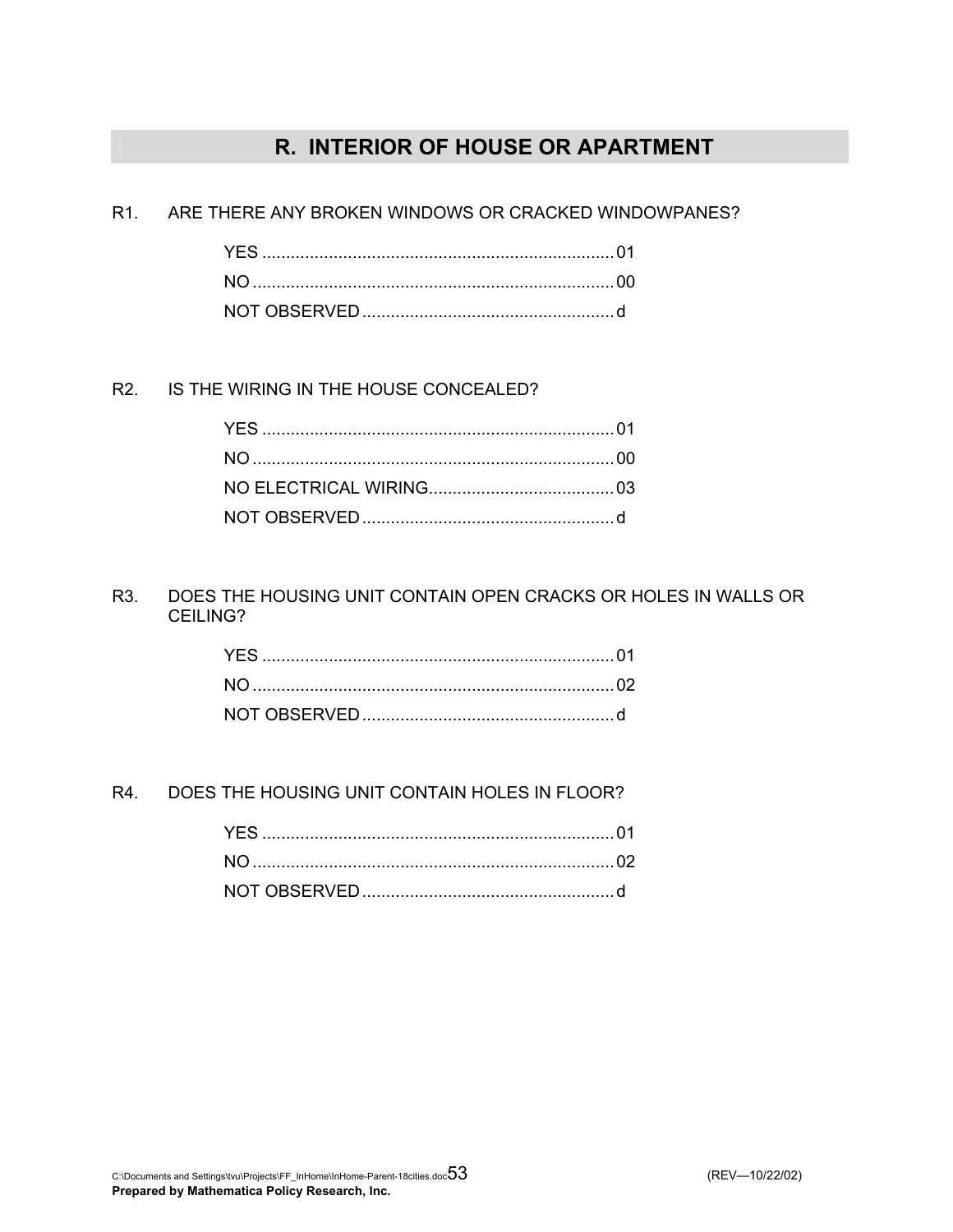# **R. INTERIOR OF HOUSE OR APARTMENT**

R1. ARE THERE ANY BROKEN WINDOWS OR CRACKED WINDOWPANES?

R2. IS THE WIRING IN THE HOUSE CONCEALED?

R3. DOES THE HOUSING UNIT CONTAIN OPEN CRACKS OR HOLES IN WALLS OR CEILING?

R4. DOES THE HOUSING UNIT CONTAIN HOLES IN FLOOR?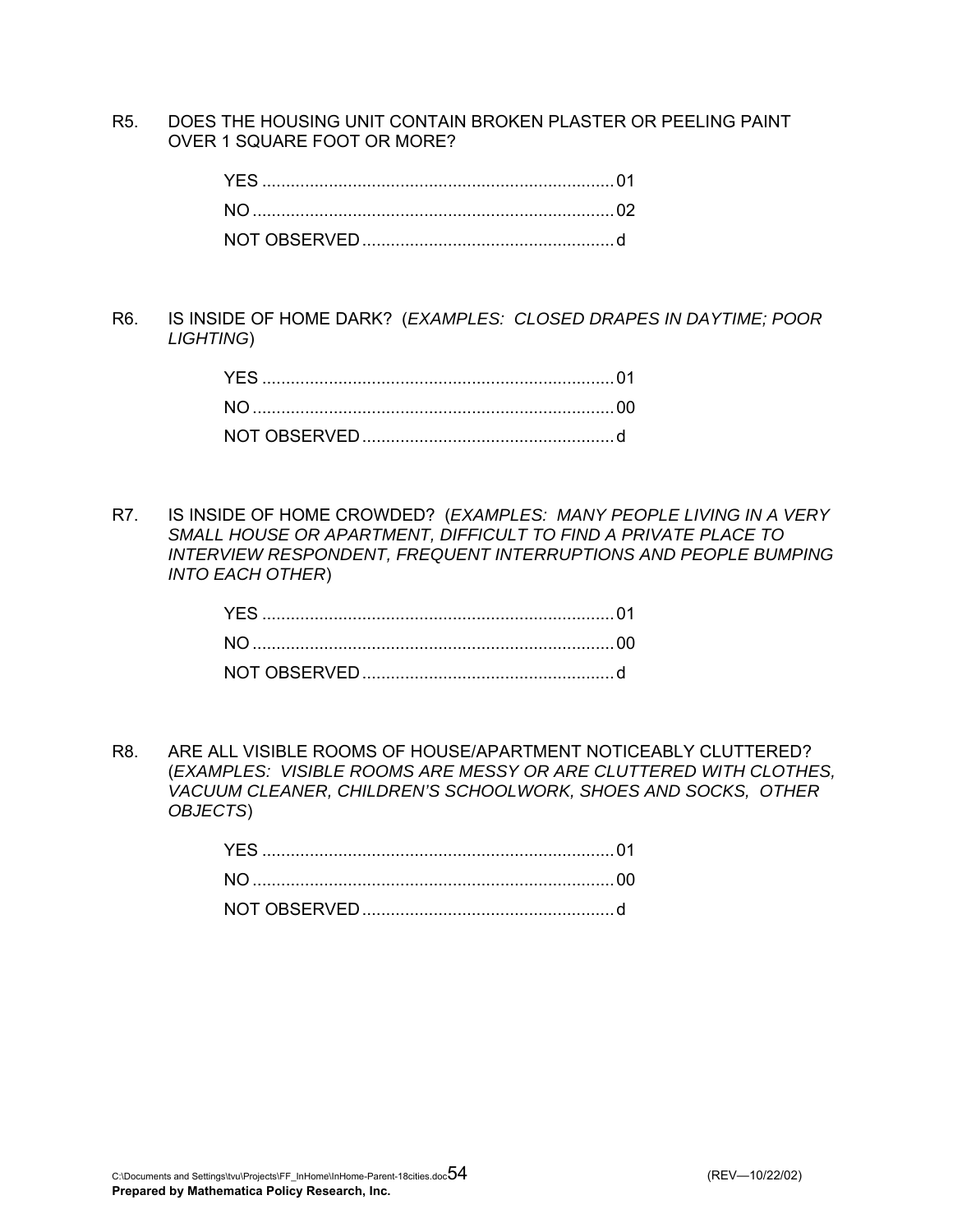R5. DOES THE HOUSING UNIT CONTAIN BROKEN PLASTER OR PEELING PAINT OVER 1 SQUARE FOOT OR MORE?

R6. IS INSIDE OF HOME DARK? (*EXAMPLES: CLOSED DRAPES IN DAYTIME; POOR LIGHTING*)

R7. IS INSIDE OF HOME CROWDED? (*EXAMPLES: MANY PEOPLE LIVING IN A VERY SMALL HOUSE OR APARTMENT, DIFFICULT TO FIND A PRIVATE PLACE TO INTERVIEW RESPONDENT, FREQUENT INTERRUPTIONS AND PEOPLE BUMPING INTO EACH OTHER*)

R8. ARE ALL VISIBLE ROOMS OF HOUSE/APARTMENT NOTICEABLY CLUTTERED? (*EXAMPLES: VISIBLE ROOMS ARE MESSY OR ARE CLUTTERED WITH CLOTHES, VACUUM CLEANER, CHILDREN'S SCHOOLWORK, SHOES AND SOCKS, OTHER OBJECTS*)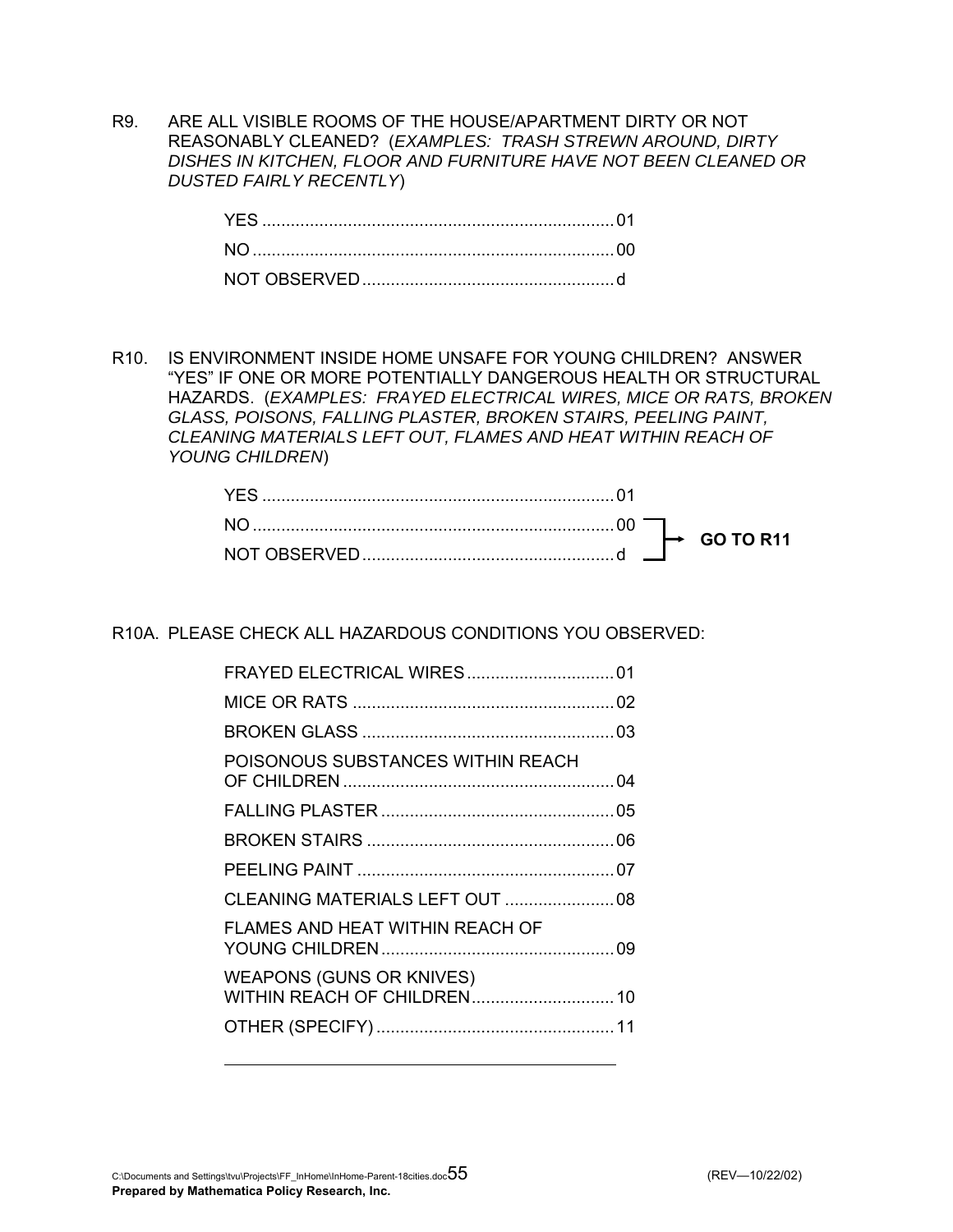R9. ARE ALL VISIBLE ROOMS OF THE HOUSE/APARTMENT DIRTY OR NOT REASONABLY CLEANED? (*EXAMPLES: TRASH STREWN AROUND, DIRTY DISHES IN KITCHEN, FLOOR AND FURNITURE HAVE NOT BEEN CLEANED OR DUSTED FAIRLY RECENTLY*)

R10. IS ENVIRONMENT INSIDE HOME UNSAFE FOR YOUNG CHILDREN? ANSWER "YES" IF ONE OR MORE POTENTIALLY DANGEROUS HEALTH OR STRUCTURAL HAZARDS. (*EXAMPLES: FRAYED ELECTRICAL WIRES, MICE OR RATS, BROKEN GLASS, POISONS, FALLING PLASTER, BROKEN STAIRS, PEELING PAINT, CLEANING MATERIALS LEFT OUT, FLAMES AND HEAT WITHIN REACH OF YOUNG CHILDREN*)

R10A. PLEASE CHECK ALL HAZARDOUS CONDITIONS YOU OBSERVED:

| POISONOUS SUBSTANCES WITHIN REACH |  |
|-----------------------------------|--|
|                                   |  |
|                                   |  |
|                                   |  |
|                                   |  |
| FLAMES AND HEAT WITHIN REACH OF   |  |
| <b>WEAPONS (GUNS OR KNIVES)</b>   |  |
|                                   |  |
|                                   |  |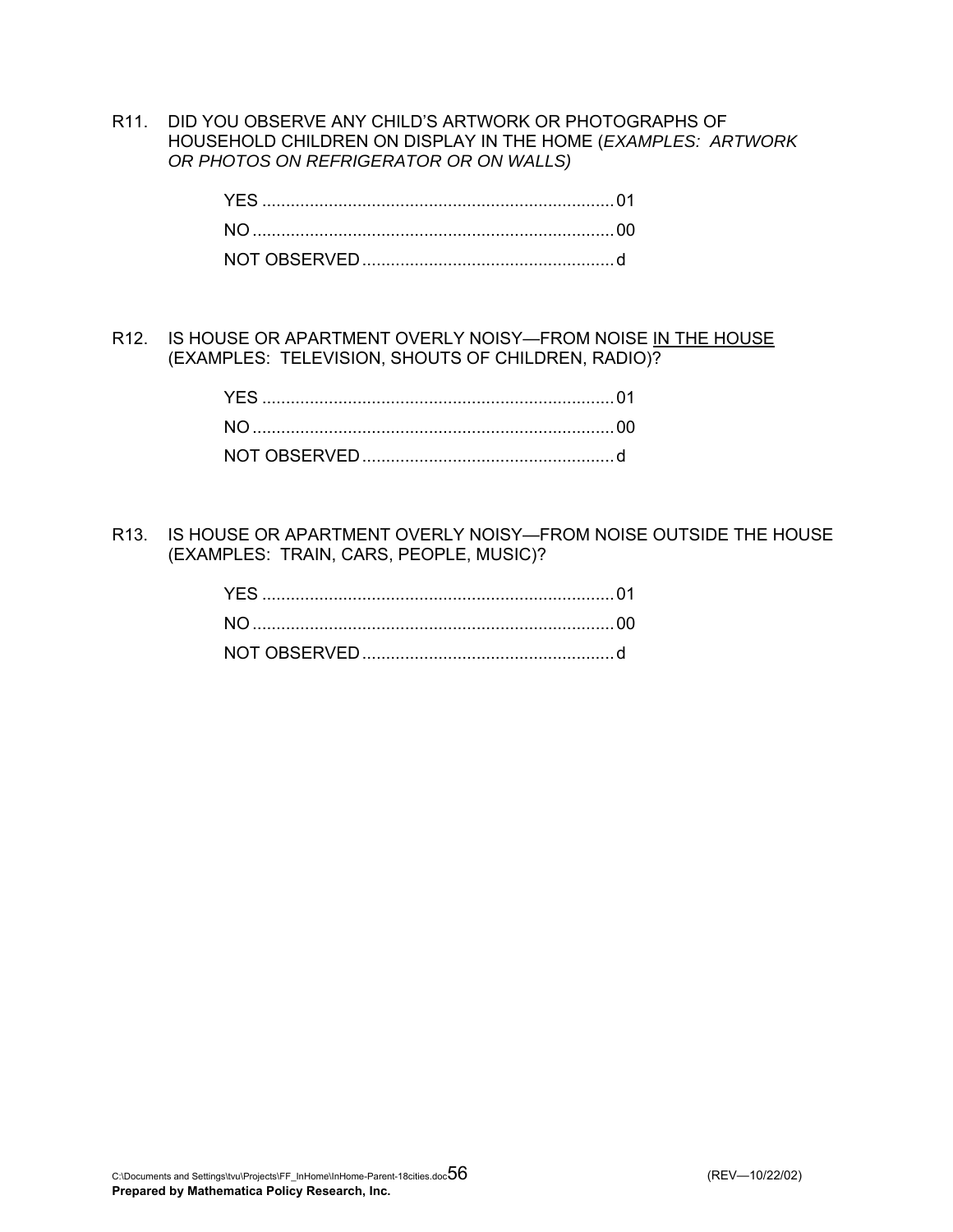R11. DID YOU OBSERVE ANY CHILD'S ARTWORK OR PHOTOGRAPHS OF HOUSEHOLD CHILDREN ON DISPLAY IN THE HOME (*EXAMPLES: ARTWORK OR PHOTOS ON REFRIGERATOR OR ON WALLS)* 

R12. IS HOUSE OR APARTMENT OVERLY NOISY—FROM NOISE IN THE HOUSE (EXAMPLES: TELEVISION, SHOUTS OF CHILDREN, RADIO)?

R13. IS HOUSE OR APARTMENT OVERLY NOISY—FROM NOISE OUTSIDE THE HOUSE (EXAMPLES: TRAIN, CARS, PEOPLE, MUSIC)?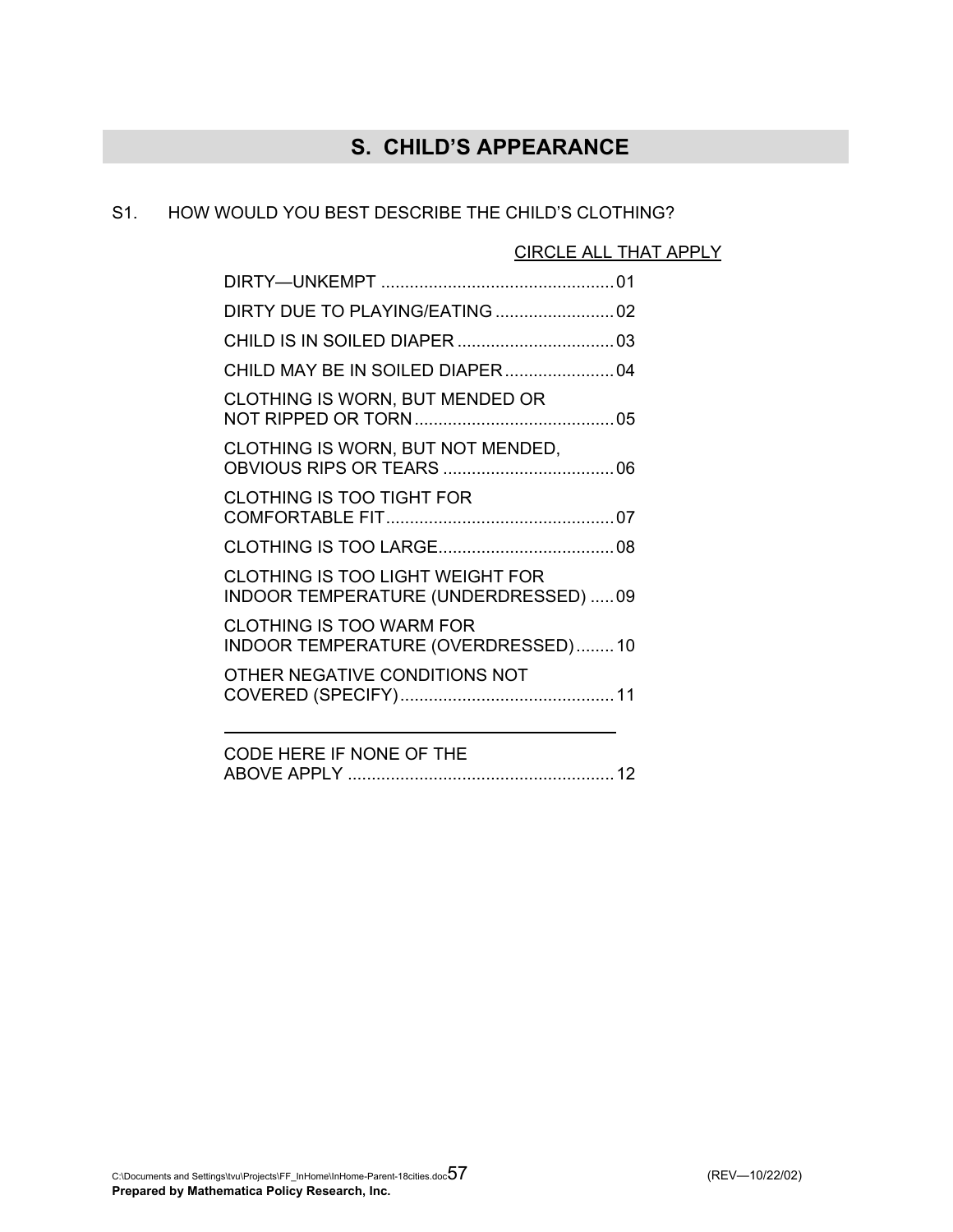# **S. CHILD'S APPEARANCE**

### S1. HOW WOULD YOU BEST DESCRIBE THE CHILD'S CLOTHING?

### CIRCLE ALL THAT APPLY

| CLOTHING IS WORN, BUT MENDED OR                                                 |  |
|---------------------------------------------------------------------------------|--|
| CLOTHING IS WORN, BUT NOT MENDED,                                               |  |
| <b>CLOTHING IS TOO TIGHT FOR</b>                                                |  |
|                                                                                 |  |
| <b>CLOTHING IS TOO LIGHT WEIGHT FOR</b><br>INDOOR TEMPERATURE (UNDERDRESSED) 09 |  |
| <b>CLOTHING IS TOO WARM FOR</b><br>INDOOR TEMPERATURE (OVERDRESSED)10           |  |
| OTHER NEGATIVE CONDITIONS NOT                                                   |  |
|                                                                                 |  |

| CODE HERE IF NONE OF THE |  |
|--------------------------|--|
| ABOVE APPLY              |  |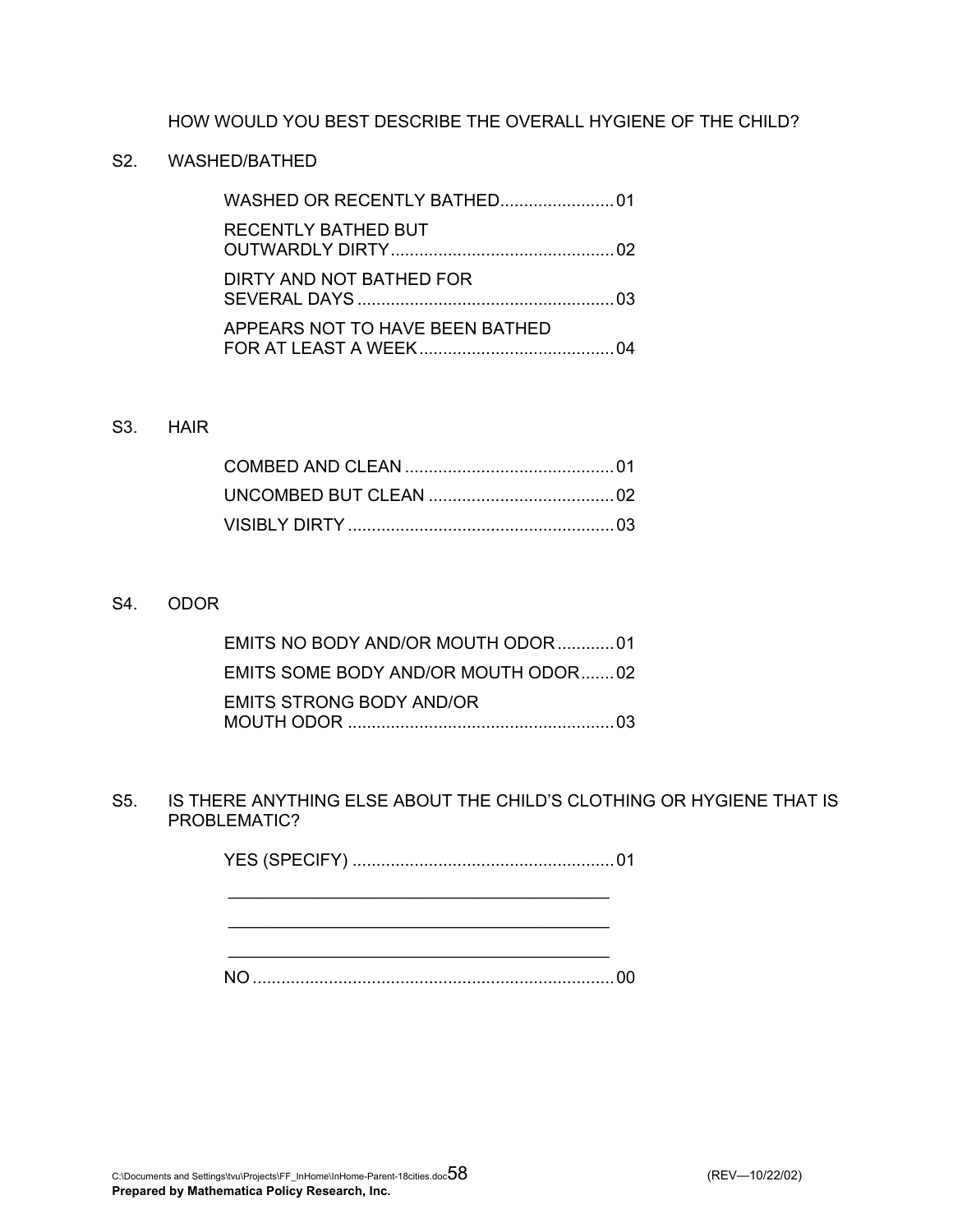### HOW WOULD YOU BEST DESCRIBE THE OVERALL HYGIENE OF THE CHILD?

### S2. WASHED/BATHED

| <b>RECENTLY BATHED BUT</b>      |  |
|---------------------------------|--|
| DIRTY AND NOT BATHED FOR        |  |
| APPEARS NOT TO HAVE BEEN BATHED |  |

### S3. HAIR

#### S4. ODOR

| EMITS NO BODY AND/OR MOUTH ODOR01   |  |
|-------------------------------------|--|
| EMITS SOME BODY AND/OR MOUTH ODOR02 |  |
| EMITS STRONG BODY AND/OR            |  |

S5. IS THERE ANYTHING ELSE ABOUT THE CHILD'S CLOTHING OR HYGIENE THAT IS PROBLEMATIC?

YES (SPECIFY) .......................................................01

 $\mathcal{L}_\mathcal{L}$  , which is a set of the set of the set of the set of the set of the set of the set of the set of the set of the set of the set of the set of the set of the set of the set of the set of the set of the set of

 \_\_\_\_\_\_\_\_\_\_\_\_\_\_\_\_\_\_\_\_\_\_\_\_\_\_\_\_\_\_\_\_\_\_\_\_\_\_\_\_ \_\_\_\_\_\_\_\_\_\_\_\_\_\_\_\_\_\_\_\_\_\_\_\_\_\_\_\_\_\_\_\_\_\_\_\_\_\_\_\_

NO ............................................................................00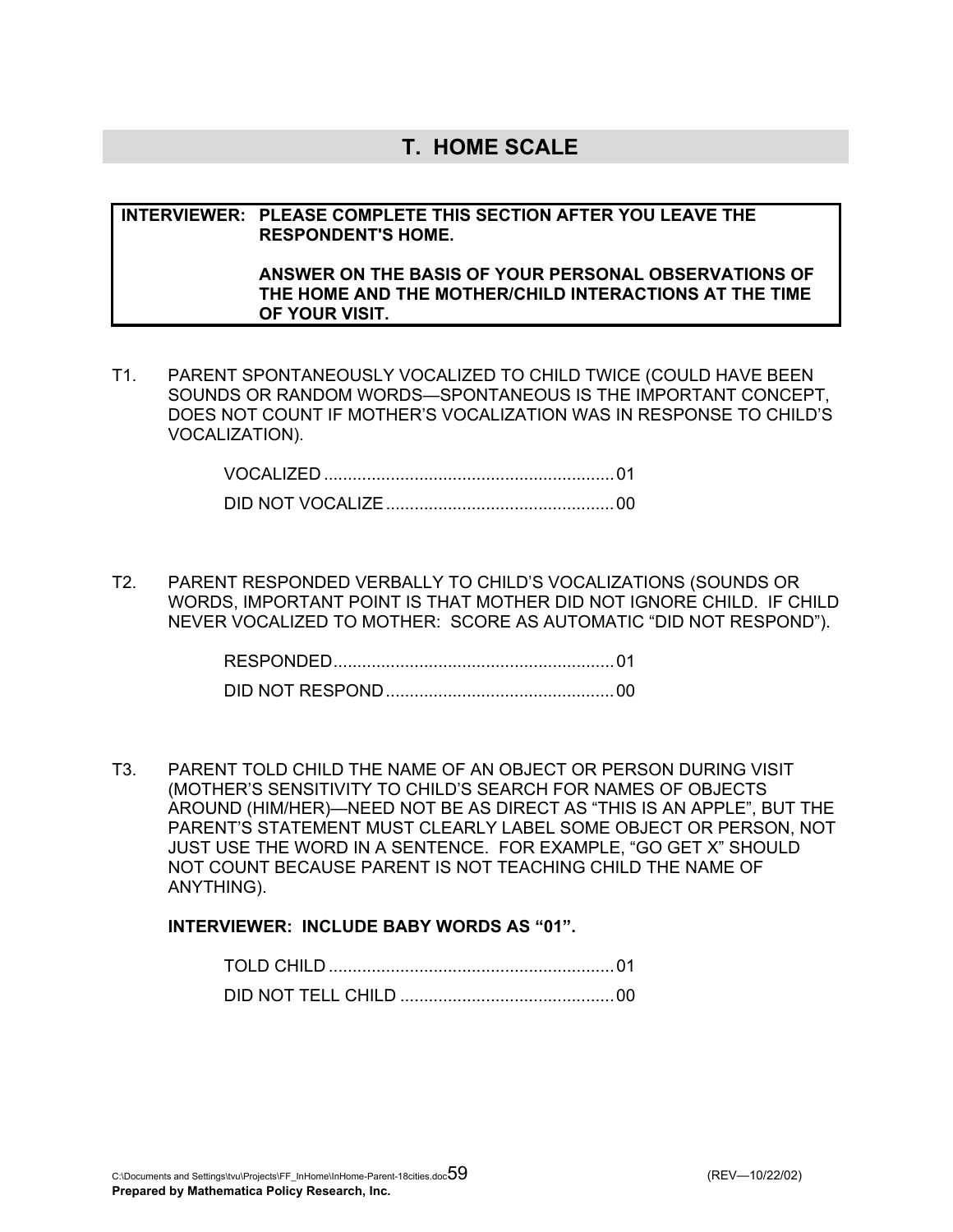### **T. HOME SCALE**

### **INTERVIEWER: PLEASE COMPLETE THIS SECTION AFTER YOU LEAVE THE RESPONDENT'S HOME.**

#### **ANSWER ON THE BASIS OF YOUR PERSONAL OBSERVATIONS OF THE HOME AND THE MOTHER/CHILD INTERACTIONS AT THE TIME OF YOUR VISIT.**

T1. PARENT SPONTANEOUSLY VOCALIZED TO CHILD TWICE (COULD HAVE BEEN SOUNDS OR RANDOM WORDS—SPONTANEOUS IS THE IMPORTANT CONCEPT, DOES NOT COUNT IF MOTHER'S VOCALIZATION WAS IN RESPONSE TO CHILD'S VOCALIZATION).

T2. PARENT RESPONDED VERBALLY TO CHILD'S VOCALIZATIONS (SOUNDS OR WORDS, IMPORTANT POINT IS THAT MOTHER DID NOT IGNORE CHILD. IF CHILD NEVER VOCALIZED TO MOTHER: SCORE AS AUTOMATIC "DID NOT RESPOND").

| <b>RESPONDED</b> |  |
|------------------|--|
|                  |  |

T3. PARENT TOLD CHILD THE NAME OF AN OBJECT OR PERSON DURING VISIT (MOTHER'S SENSITIVITY TO CHILD'S SEARCH FOR NAMES OF OBJECTS AROUND (HIM/HER)—NEED NOT BE AS DIRECT AS "THIS IS AN APPLE", BUT THE PARENT'S STATEMENT MUST CLEARLY LABEL SOME OBJECT OR PERSON, NOT JUST USE THE WORD IN A SENTENCE. FOR EXAMPLE, "GO GET X" SHOULD NOT COUNT BECAUSE PARENT IS NOT TEACHING CHILD THE NAME OF ANYTHING).

### **INTERVIEWER: INCLUDE BABY WORDS AS "01".**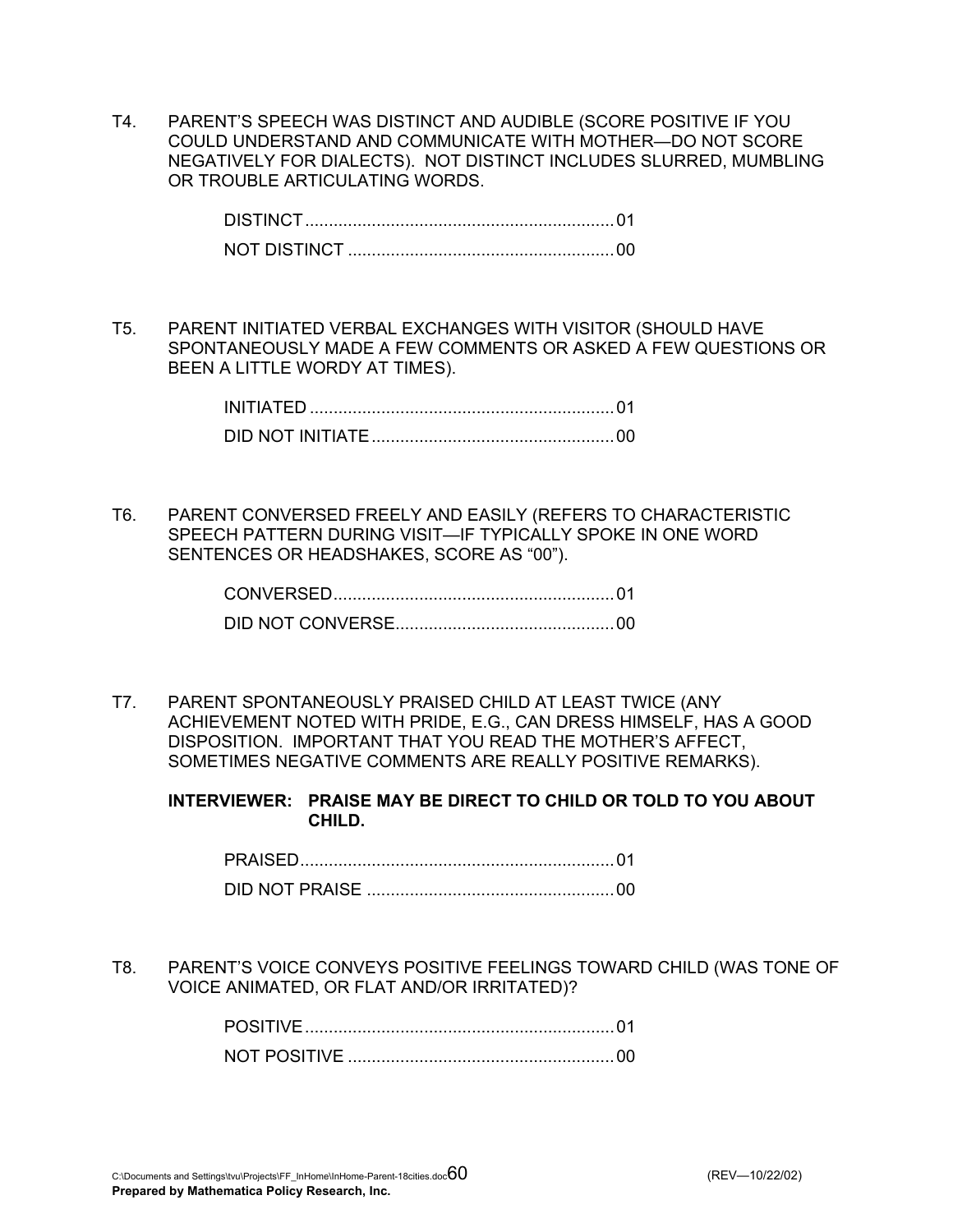T4. PARENT'S SPEECH WAS DISTINCT AND AUDIBLE (SCORE POSITIVE IF YOU COULD UNDERSTAND AND COMMUNICATE WITH MOTHER—DO NOT SCORE NEGATIVELY FOR DIALECTS). NOT DISTINCT INCLUDES SLURRED, MUMBLING OR TROUBLE ARTICULATING WORDS.

T5. PARENT INITIATED VERBAL EXCHANGES WITH VISITOR (SHOULD HAVE SPONTANEOUSLY MADE A FEW COMMENTS OR ASKED A FEW QUESTIONS OR BEEN A LITTLE WORDY AT TIMES).

| INITIATED. |  |
|------------|--|
|            |  |

T6. PARENT CONVERSED FREELY AND EASILY (REFERS TO CHARACTERISTIC SPEECH PATTERN DURING VISIT—IF TYPICALLY SPOKE IN ONE WORD SENTENCES OR HEADSHAKES, SCORE AS "00").

T7. PARENT SPONTANEOUSLY PRAISED CHILD AT LEAST TWICE (ANY ACHIEVEMENT NOTED WITH PRIDE, E.G., CAN DRESS HIMSELF, HAS A GOOD DISPOSITION. IMPORTANT THAT YOU READ THE MOTHER'S AFFECT, SOMETIMES NEGATIVE COMMENTS ARE REALLY POSITIVE REMARKS).

**INTERVIEWER: PRAISE MAY BE DIRECT TO CHILD OR TOLD TO YOU ABOUT CHILD.** 

T8. PARENT'S VOICE CONVEYS POSITIVE FEELINGS TOWARD CHILD (WAS TONE OF VOICE ANIMATED, OR FLAT AND/OR IRRITATED)?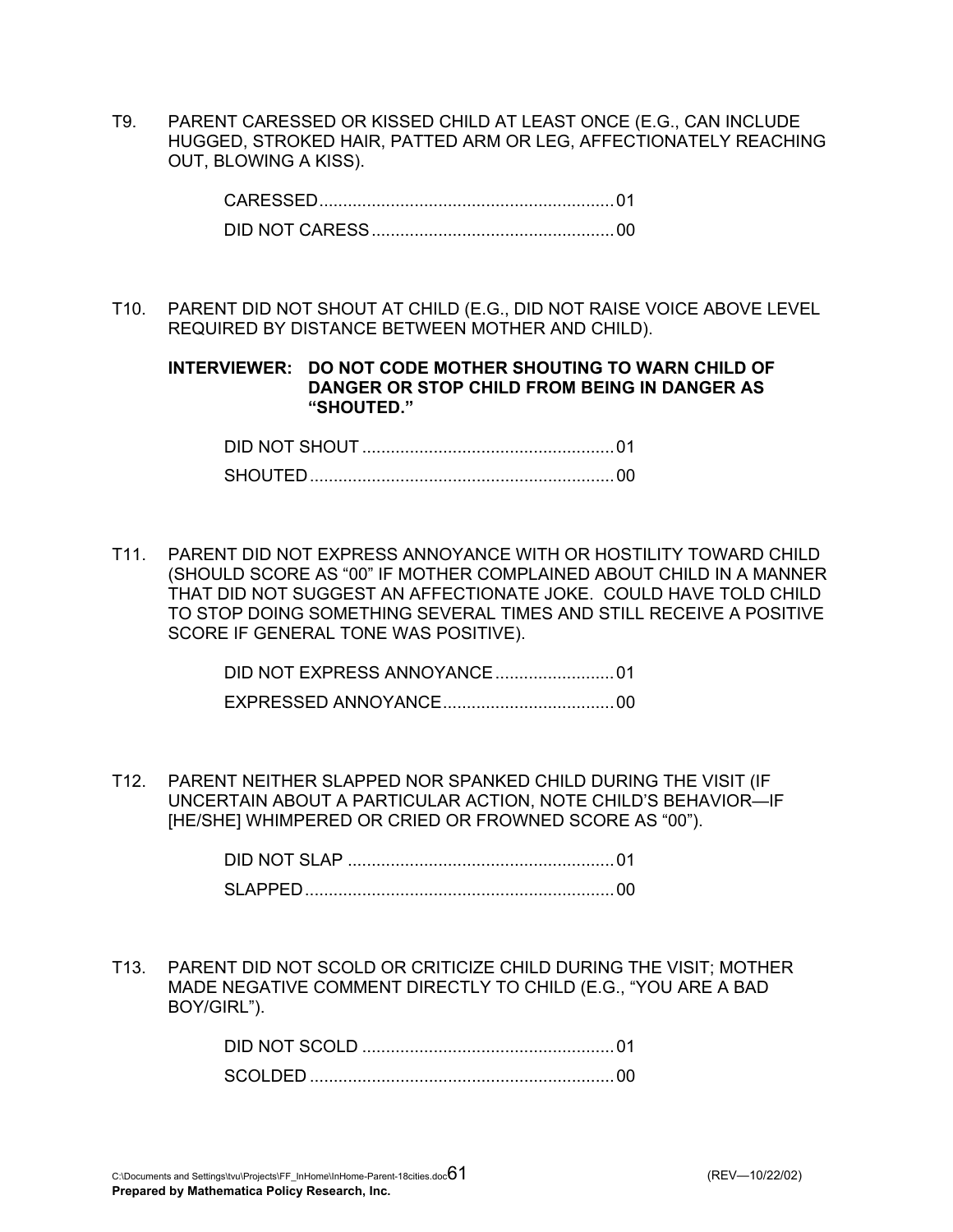T9. PARENT CARESSED OR KISSED CHILD AT LEAST ONCE (E.G., CAN INCLUDE HUGGED, STROKED HAIR, PATTED ARM OR LEG, AFFECTIONATELY REACHING OUT, BLOWING A KISS).

| CARESSED |  |
|----------|--|
|          |  |

T10. PARENT DID NOT SHOUT AT CHILD (E.G., DID NOT RAISE VOICE ABOVE LEVEL REQUIRED BY DISTANCE BETWEEN MOTHER AND CHILD).

**INTERVIEWER: DO NOT CODE MOTHER SHOUTING TO WARN CHILD OF DANGER OR STOP CHILD FROM BEING IN DANGER AS "SHOUTED."** 

| DID NOT SHOUT |  |
|---------------|--|
|               |  |

T11. PARENT DID NOT EXPRESS ANNOYANCE WITH OR HOSTILITY TOWARD CHILD (SHOULD SCORE AS "00" IF MOTHER COMPLAINED ABOUT CHILD IN A MANNER THAT DID NOT SUGGEST AN AFFECTIONATE JOKE. COULD HAVE TOLD CHILD TO STOP DOING SOMETHING SEVERAL TIMES AND STILL RECEIVE A POSITIVE SCORE IF GENERAL TONE WAS POSITIVE).

> DID NOT EXPRESS ANNOYANCE.........................01 EXPRESSED ANNOYANCE....................................00

T12. PARENT NEITHER SLAPPED NOR SPANKED CHILD DURING THE VISIT (IF UNCERTAIN ABOUT A PARTICULAR ACTION, NOTE CHILD'S BEHAVIOR—IF [HE/SHE] WHIMPERED OR CRIED OR FROWNED SCORE AS "00").

| AID NOT SI AP |  |
|---------------|--|
|               |  |

T13. PARENT DID NOT SCOLD OR CRITICIZE CHILD DURING THE VISIT; MOTHER MADE NEGATIVE COMMENT DIRECTLY TO CHILD (E.G., "YOU ARE A BAD BOY/GIRL").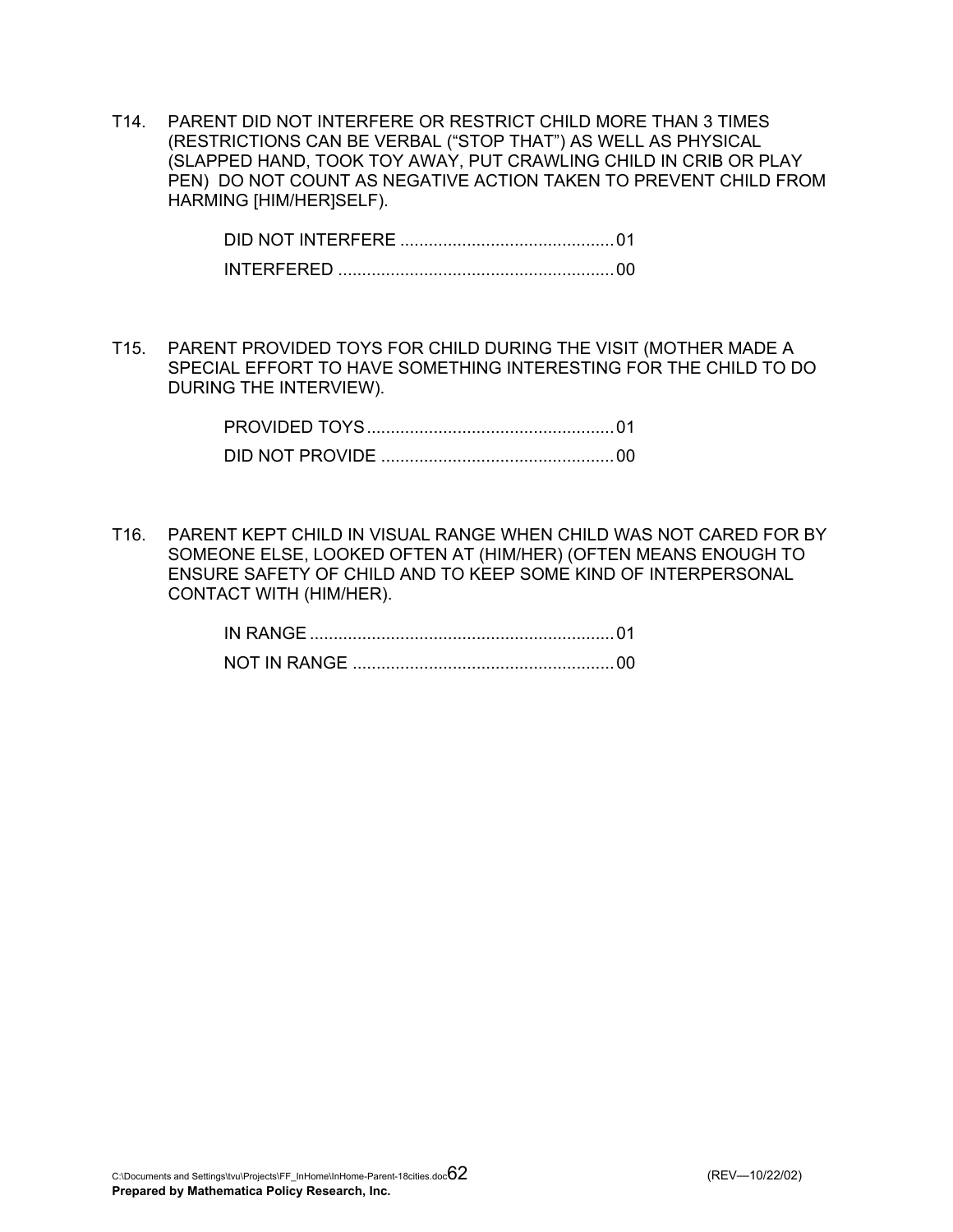T14. PARENT DID NOT INTERFERE OR RESTRICT CHILD MORE THAN 3 TIMES (RESTRICTIONS CAN BE VERBAL ("STOP THAT") AS WELL AS PHYSICAL (SLAPPED HAND, TOOK TOY AWAY, PUT CRAWLING CHILD IN CRIB OR PLAY PEN) DO NOT COUNT AS NEGATIVE ACTION TAKEN TO PREVENT CHILD FROM HARMING [HIM/HER]SELF).

T15. PARENT PROVIDED TOYS FOR CHILD DURING THE VISIT (MOTHER MADE A SPECIAL EFFORT TO HAVE SOMETHING INTERESTING FOR THE CHILD TO DO DURING THE INTERVIEW).

T16. PARENT KEPT CHILD IN VISUAL RANGE WHEN CHILD WAS NOT CARED FOR BY SOMEONE ELSE, LOOKED OFTEN AT (HIM/HER) (OFTEN MEANS ENOUGH TO ENSURE SAFETY OF CHILD AND TO KEEP SOME KIND OF INTERPERSONAL CONTACT WITH (HIM/HER).

| IN RANGE |  |
|----------|--|
|          |  |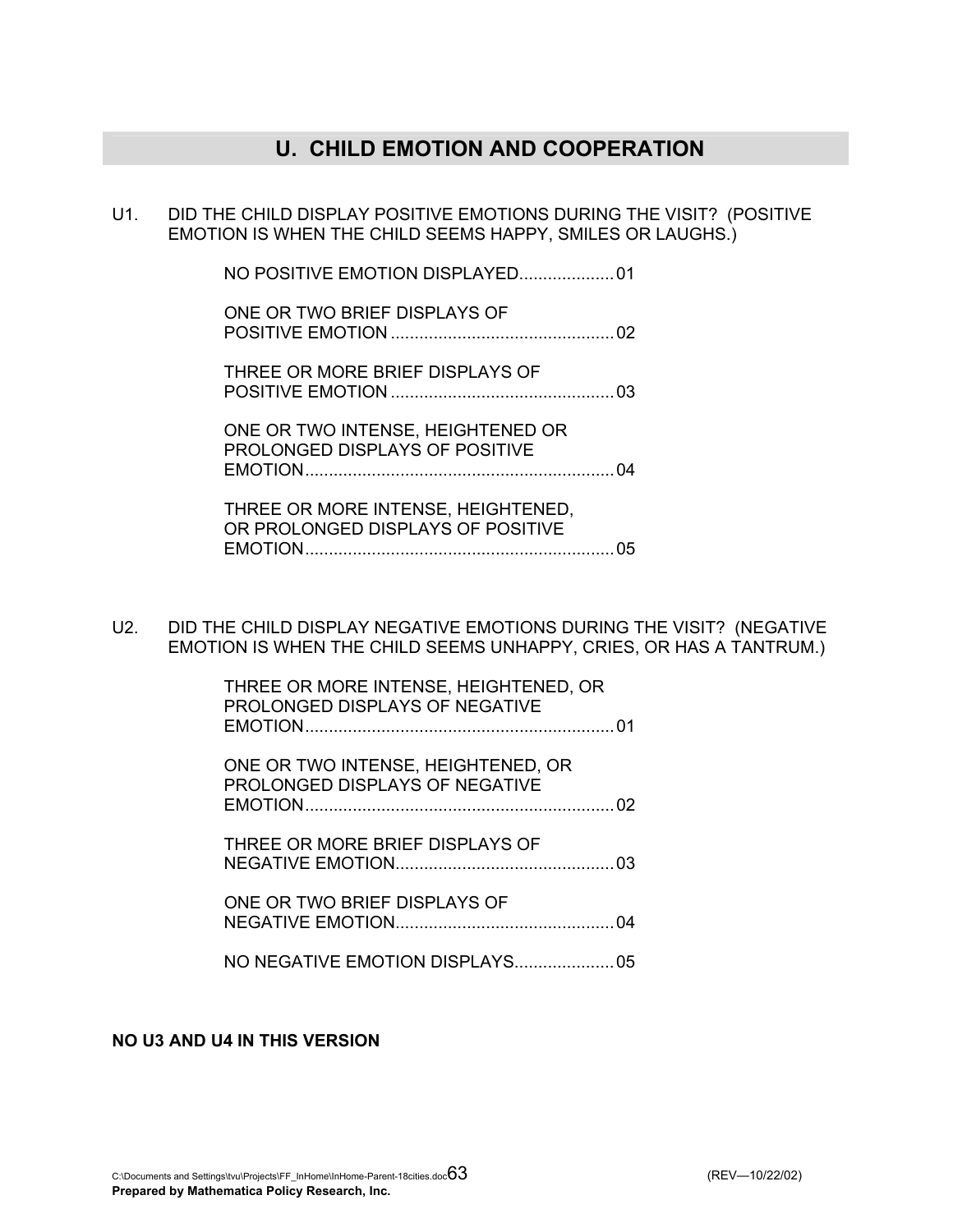## **U. CHILD EMOTION AND COOPERATION**

U1. DID THE CHILD DISPLAY POSITIVE EMOTIONS DURING THE VISIT? (POSITIVE EMOTION IS WHEN THE CHILD SEEMS HAPPY, SMILES OR LAUGHS.)

NO POSITIVE EMOTION DISPLAYED....................01

ONE OR TWO BRIFF DISPLAYS OF POSITIVE EMOTION ...............................................02

 THREE OR MORE BRIEF DISPLAYS OF POSITIVE EMOTION ...............................................03

 ONE OR TWO INTENSE, HEIGHTENED OR PROLONGED DISPLAYS OF POSITIVE EMOTION.................................................................04

 THREE OR MORE INTENSE, HEIGHTENED, OR PROLONGED DISPLAYS OF POSITIVE EMOTION.................................................................05

U2. DID THE CHILD DISPLAY NEGATIVE EMOTIONS DURING THE VISIT? (NEGATIVE EMOTION IS WHEN THE CHILD SEEMS UNHAPPY, CRIES, OR HAS A TANTRUM.)

> THREE OR MORE INTENSE, HEIGHTENED, OR PROLONGED DISPLAYS OF NEGATIVE EMOTION.................................................................01

> ONE OR TWO INTENSE, HEIGHTENED, OR PROLONGED DISPLAYS OF NEGATIVE EMOTION.................................................................02

 THREE OR MORE BRIEF DISPLAYS OF NEGATIVE EMOTION..............................................03

ONE OR TWO BRIFF DISPLAYS OF NEGATIVE EMOTION..............................................04

NO NEGATIVE EMOTION DISPLAYS.....................05

**NO U3 AND U4 IN THIS VERSION**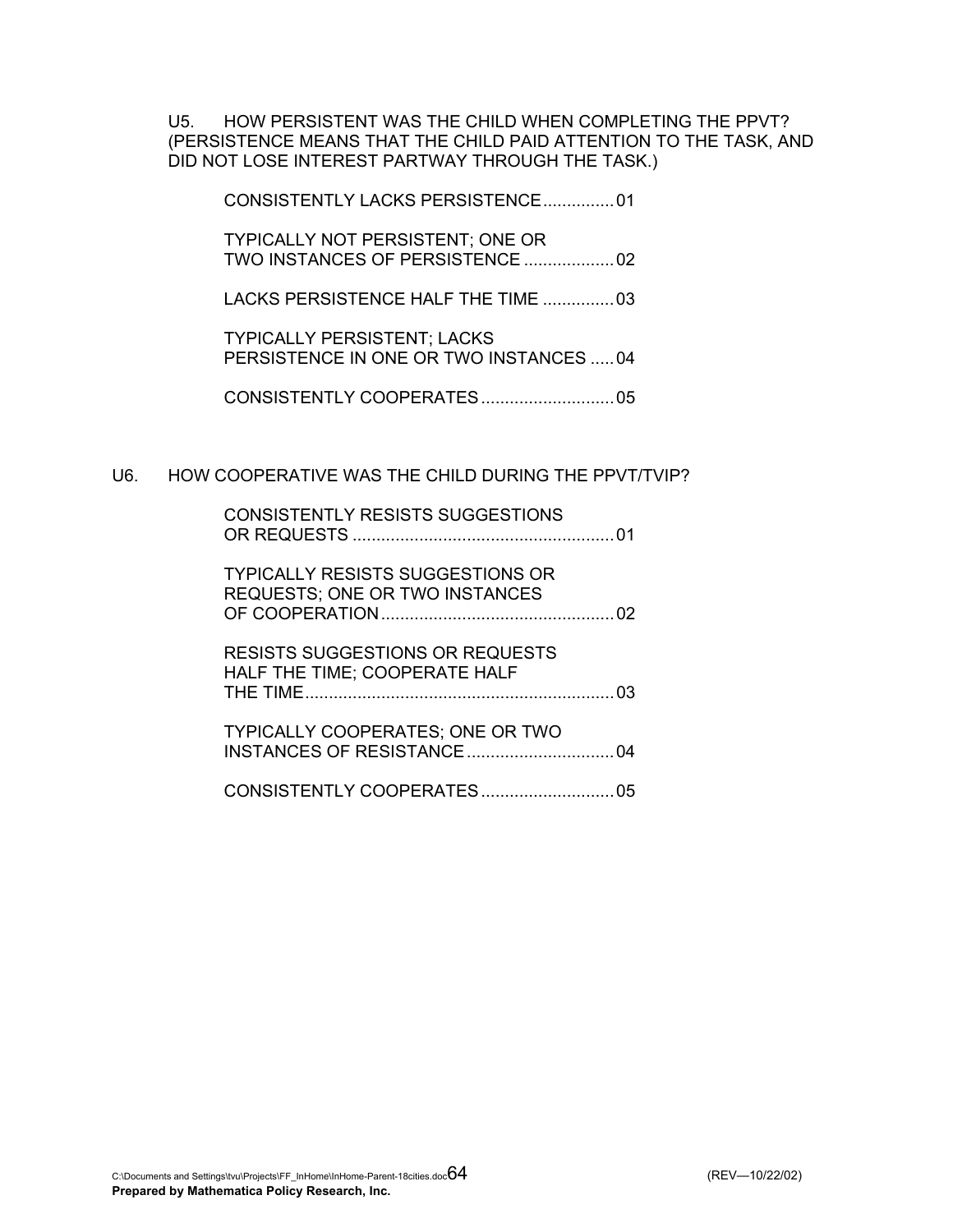U5. HOW PERSISTENT WAS THE CHILD WHEN COMPLETING THE PPVT? (PERSISTENCE MEANS THAT THE CHILD PAID ATTENTION TO THE TASK, AND DID NOT LOSE INTEREST PARTWAY THROUGH THE TASK.)

CONSISTENTLY LACKS PERSISTENCE...............01

 TYPICALLY NOT PERSISTENT; ONE OR TWO INSTANCES OF PERSISTENCE ...................02

LACKS PERSISTENCE HALF THE TIME ...............03

 TYPICALLY PERSISTENT; LACKS PERSISTENCE IN ONE OR TWO INSTANCES .....04

CONSISTENTLY COOPERATES............................05

### U6. HOW COOPERATIVE WAS THE CHILD DURING THE PPVT/TVIP?

| <b>CONSISTENTLY RESISTS SUGGESTIONS</b>                                          |  |
|----------------------------------------------------------------------------------|--|
| <b>TYPICALLY RESISTS SUGGESTIONS OR</b><br><b>REQUESTS; ONE OR TWO INSTANCES</b> |  |
| <b>RESISTS SUGGESTIONS OR REQUESTS</b><br>HALF THE TIME; COOPERATE HALF          |  |
| <b>TYPICALLY COOPERATES; ONE OR TWO</b>                                          |  |
|                                                                                  |  |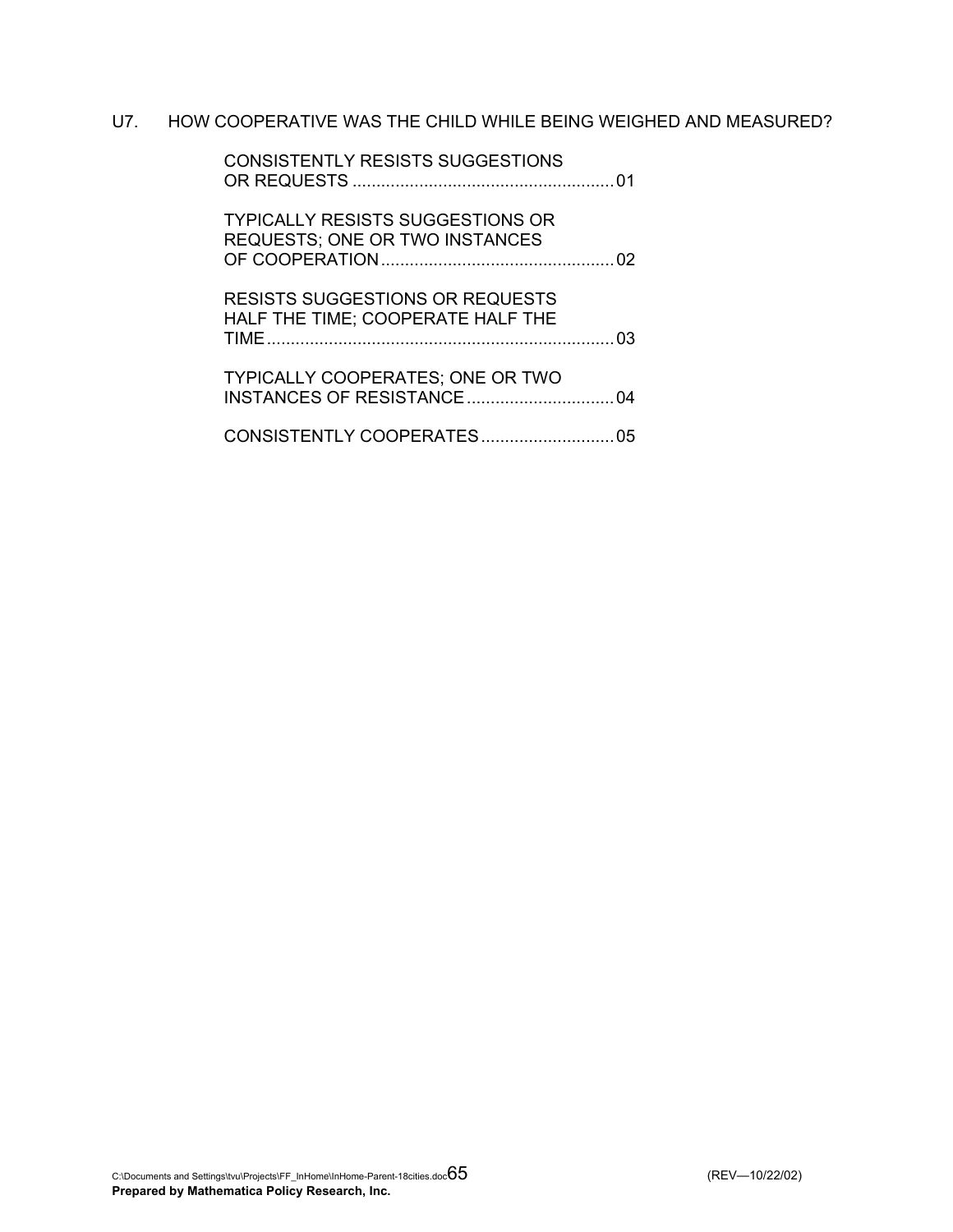### U7. HOW COOPERATIVE WAS THE CHILD WHILE BEING WEIGHED AND MEASURED?

|     | <b>CONSISTENTLY RESISTS SUGGESTIONS</b>                                          |
|-----|----------------------------------------------------------------------------------|
|     | <b>TYPICALLY RESISTS SUGGESTIONS OR</b><br><b>REQUESTS; ONE OR TWO INSTANCES</b> |
| -03 | <b>RESISTS SUGGESTIONS OR REQUESTS</b><br>HALF THE TIME; COOPERATE HALF THE      |
|     | <b>TYPICALLY COOPERATES: ONE OR TWO</b>                                          |
| 05  | CONSISTENTLY COOPERATES                                                          |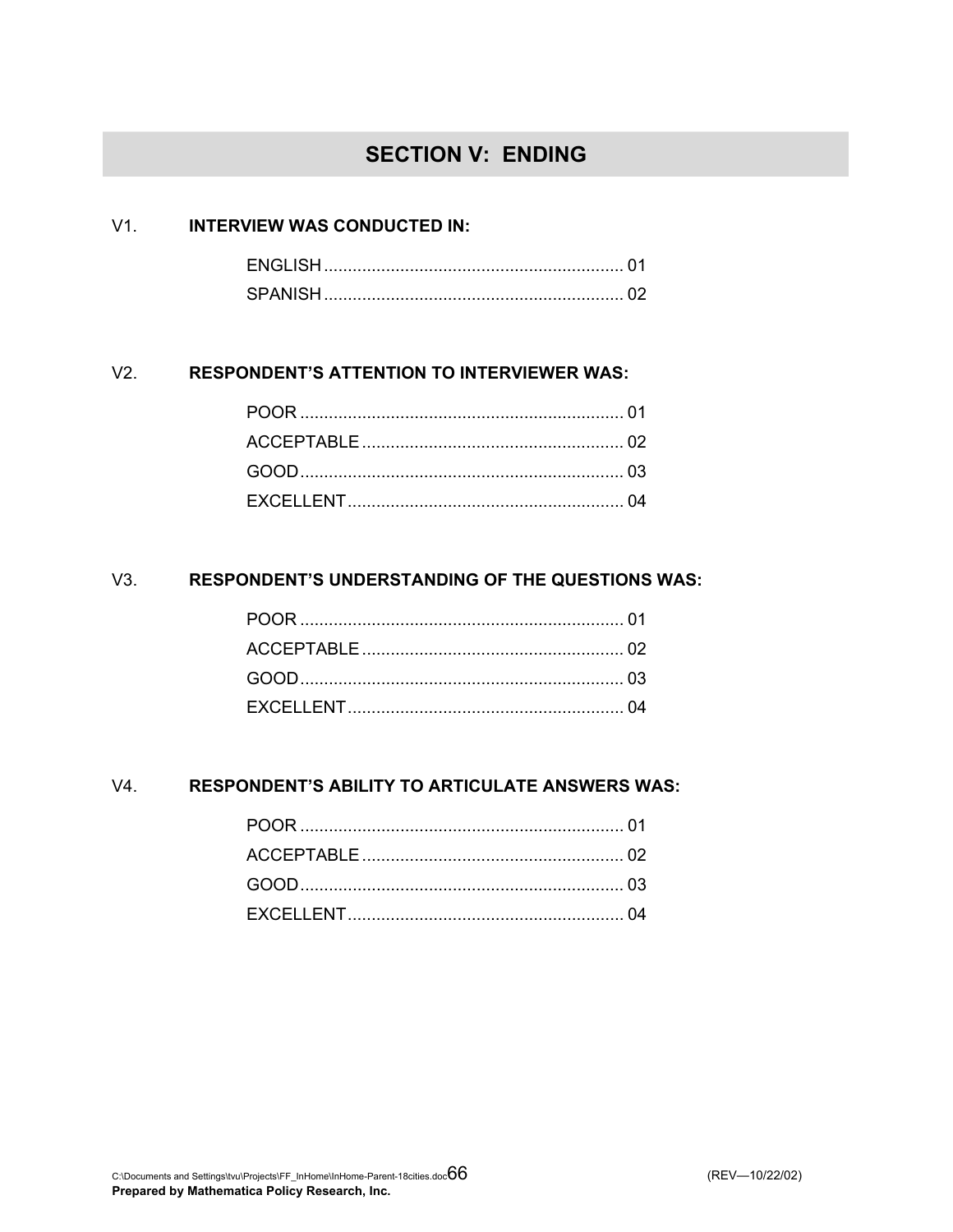# **SECTION V: ENDING**

### V1. **INTERVIEW WAS CONDUCTED IN:**

| <b>FNGLISH</b> |  |
|----------------|--|
| SPANISH        |  |

### V2. **RESPONDENT'S ATTENTION TO INTERVIEWER WAS:**

### V3. **RESPONDENT'S UNDERSTANDING OF THE QUESTIONS WAS:**

### V4. **RESPONDENT'S ABILITY TO ARTICULATE ANSWERS WAS:**